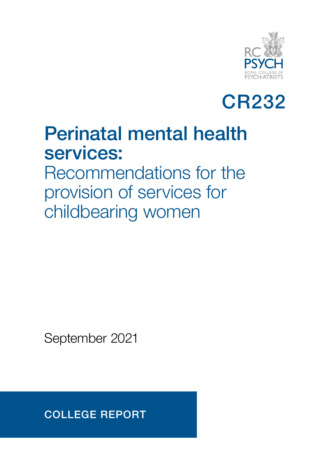



## Perinatal mental health services:

Recommendations for the provision of services for childbearing women

September 2021

COLLEGE REPORT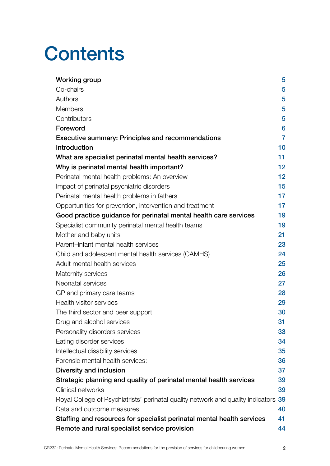# **Contents**

| <b>Working group</b>                                                             | 5              |
|----------------------------------------------------------------------------------|----------------|
| Co-chairs                                                                        | 5              |
| Authors                                                                          | 5              |
| <b>Members</b>                                                                   | 5              |
| Contributors                                                                     | 5              |
| Foreword                                                                         | 6              |
| <b>Executive summary: Principles and recommendations</b>                         | $\overline{7}$ |
| <b>Introduction</b>                                                              | 10             |
| What are specialist perinatal mental health services?                            | 11             |
| Why is perinatal mental health important?                                        | 12             |
| Perinatal mental health problems: An overview                                    | 12             |
| Impact of perinatal psychiatric disorders                                        | 15             |
| Perinatal mental health problems in fathers                                      | 17             |
| Opportunities for prevention, intervention and treatment                         | 17             |
| Good practice guidance for perinatal mental health care services                 | 19             |
| Specialist community perinatal mental health teams                               | 19             |
| Mother and baby units                                                            | 21             |
| Parent-infant mental health services                                             | 23             |
| Child and adolescent mental health services (CAMHS)                              | 24             |
| Adult mental health services                                                     | 25             |
| Maternity services                                                               | 26             |
| Neonatal services                                                                | 27             |
| GP and primary care teams                                                        | 28             |
| Health visitor services                                                          | 29             |
| The third sector and peer support                                                | 30             |
| Drug and alcohol services                                                        | 31             |
| Personality disorders services                                                   | 33             |
| Eating disorder services                                                         | 34             |
| Intellectual disability services                                                 | 35             |
| Forensic mental health services:                                                 | 36             |
| Diversity and inclusion                                                          | 37             |
| Strategic planning and quality of perinatal mental health services               | 39             |
| Clinical networks                                                                | 39             |
| Royal College of Psychiatrists' perinatal quality network and quality indicators | 39             |
| Data and outcome measures                                                        | 40             |
| Staffing and resources for specialist perinatal mental health services           | 41             |
| Remote and rural specialist service provision                                    | 44             |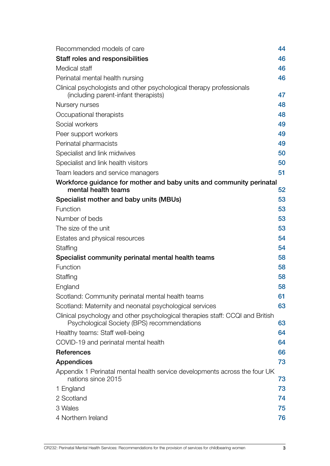| Recommended models of care                                                                                                   | 44 |
|------------------------------------------------------------------------------------------------------------------------------|----|
| Staff roles and responsibilities                                                                                             | 46 |
| Medical staff                                                                                                                | 46 |
| Perinatal mental health nursing                                                                                              | 46 |
| Clinical psychologists and other psychological therapy professionals<br>(including parent-infant therapists)                 | 47 |
| Nursery nurses                                                                                                               | 48 |
| Occupational therapists                                                                                                      | 48 |
| Social workers                                                                                                               | 49 |
| Peer support workers                                                                                                         | 49 |
| Perinatal pharmacists                                                                                                        | 49 |
| Specialist and link midwives                                                                                                 | 50 |
| Specialist and link health visitors                                                                                          | 50 |
| Team leaders and service managers                                                                                            | 51 |
| Workforce guidance for mother and baby units and community perinatal                                                         |    |
| mental health teams                                                                                                          | 52 |
| Specialist mother and baby units (MBUs)                                                                                      | 53 |
| Function                                                                                                                     | 53 |
| Number of beds                                                                                                               | 53 |
| The size of the unit                                                                                                         | 53 |
| Estates and physical resources                                                                                               | 54 |
| Staffing                                                                                                                     | 54 |
| Specialist community perinatal mental health teams                                                                           | 58 |
| Function                                                                                                                     | 58 |
| Staffing                                                                                                                     | 58 |
| England                                                                                                                      | 58 |
| Scotland: Community perinatal mental health teams                                                                            | 61 |
| Scotland: Maternity and neonatal psychological services                                                                      | 63 |
| Clinical psychology and other psychological therapies staff: CCQI and British<br>Psychological Society (BPS) recommendations | 63 |
| Healthy teams: Staff well-being                                                                                              | 64 |
| COVID-19 and perinatal mental health                                                                                         | 64 |
| <b>References</b>                                                                                                            | 66 |
| <b>Appendices</b>                                                                                                            | 73 |
| Appendix 1 Perinatal mental health service developments across the four UK<br>nations since 2015                             | 73 |
| 1 England                                                                                                                    | 73 |
| 2 Scotland                                                                                                                   | 74 |
| 3 Wales                                                                                                                      | 75 |
| 4 Northern Ireland                                                                                                           | 76 |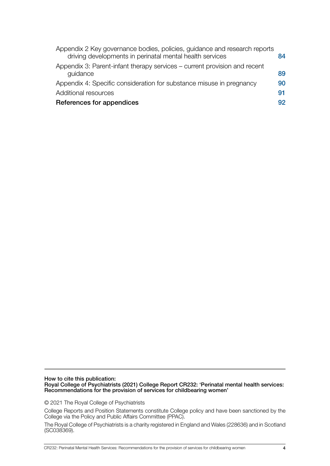| Appendix 2 Key governance bodies, policies, guidance and research reports<br>84 |
|---------------------------------------------------------------------------------|
| 89                                                                              |
| 90                                                                              |
| 91                                                                              |
| 92                                                                              |
|                                                                                 |

How to cite this publication: Royal College of Psychiatrists (2021) College Report CR232: 'Perinatal mental health services: Recommendations for the provision of services for childbearing women'

© 2021 The Royal College of Psychiatrists

College Reports and Position Statements constitute College policy and have been sanctioned by the College via the Policy and Public Affairs Committee (PPAC).

The Royal College of Psychiatrists is a charity registered in England and Wales (228636) and in Scotland (SC038369).

CR232: Perinatal Mental Health Services: Recommendations for the provision of services for childbearing women 4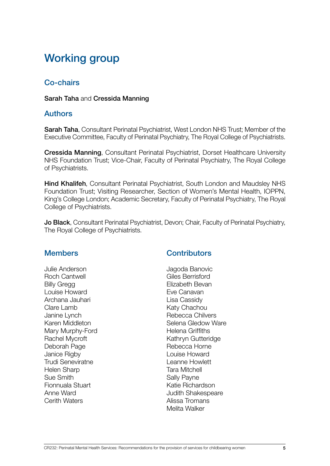### <span id="page-4-0"></span>Working group

### Co-chairs

#### Sarah Taha and Cressida Manning

#### **Authors**

Sarah Taha, Consultant Perinatal Psychiatrist, West London NHS Trust; Member of the Executive Committee, Faculty of Perinatal Psychiatry, The Royal College of Psychiatrists.

Cressida Manning, Consultant Perinatal Psychiatrist, Dorset Healthcare University NHS Foundation Trust; Vice-Chair, Faculty of Perinatal Psychiatry, The Royal College of Psychiatrists.

Hind Khalifeh, Consultant Perinatal Psychiatrist, South London and Maudsley NHS Foundation Trust; Visiting Researcher, Section of Women's Mental Health, IOPPN, King's College London; Academic Secretary, Faculty of Perinatal Psychiatry, The Royal College of Psychiatrists.

Jo Black, Consultant Perinatal Psychiatrist, Devon; Chair, Faculty of Perinatal Psychiatry, The Royal College of Psychiatrists.

#### Members

Julie Anderson Roch Cantwell Billy Gregg Louise Howard Archana Jauhari Clare Lamb Janine Lynch Karen Middleton Mary Murphy-Ford Rachel Mycroft Deborah Page Janice Rigby Trudi Seneviratne Helen Sharp Sue Smith Fionnuala Stuart Anne Ward Cerith Waters

### **Contributors**

Jagoda Banovic Giles Berrisford Elizabeth Bevan Eve Canavan Lisa Cassidy Katy Chachou Rebecca Chilvers Selena Gledow Ware Helena Griffiths Kathryn Gutteridge Rebecca Horne Louise Howard Leanne Howlett Tara Mitchell Sally Payne Katie Richardson Judith Shakespeare Alissa Tromans Melita Walker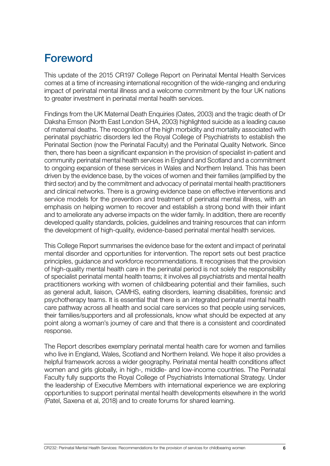### <span id="page-5-0"></span>Foreword

This update of the 2015 CR197 College Report on Perinatal Mental Health Services comes at a time of increasing international recognition of the wide-ranging and enduring impact of perinatal mental illness and a welcome commitment by the four UK nations to greater investment in perinatal mental health services.

Findings from the UK Maternal Death Enquiries (Oates, 2003) and the tragic death of Dr Daksha Emson (North East London SHA, 2003) highlighted suicide as a leading cause of maternal deaths. The recognition of the high morbidity and mortality associated with perinatal psychiatric disorders led the Royal College of Psychiatrists to establish the Perinatal Section (now the Perinatal Faculty) and the Perinatal Quality Network. Since then, there has been a significant expansion in the provision of specialist in-patient and community perinatal mental health services in England and Scotland and a commitment to ongoing expansion of these services in Wales and Northern Ireland. This has been driven by the evidence base, by the voices of women and their families (amplified by the third sector) and by the commitment and advocacy of perinatal mental health practitioners and clinical networks. There is a growing evidence base on effective interventions and service models for the prevention and treatment of perinatal mental illness, with an emphasis on helping women to recover and establish a strong bond with their infant and to ameliorate any adverse impacts on the wider family. In addition, there are recently developed quality standards, policies, guidelines and training resources that can inform the development of high-quality, evidence-based perinatal mental health services.

This College Report summarises the evidence base for the extent and impact of perinatal mental disorder and opportunities for intervention. The report sets out best practice principles, guidance and workforce recommendations. It recognises that the provision of high-quality mental health care in the perinatal period is not solely the responsibility of specialist perinatal mental health teams; it involves all psychiatrists and mental health practitioners working with women of childbearing potential and their families, such as general adult, liaison, CAMHS, eating disorders, learning disabilities, forensic and psychotherapy teams. It is essential that there is an integrated perinatal mental health care pathway across all health and social care services so that people using services, their families/supporters and all professionals, know what should be expected at any point along a woman's journey of care and that there is a consistent and coordinated response.

The Report describes exemplary perinatal mental health care for women and families who live in England, Wales, Scotland and Northern Ireland. We hope it also provides a helpful framework across a wider geography. Perinatal mental health conditions affect women and girls globally, in high-, middle- and low-income countries. The Perinatal Faculty fully supports the Royal College of Psychiatrists International Strategy. Under the leadership of Executive Members with international experience we are exploring opportunities to support perinatal mental health developments elsewhere in the world (Patel, Saxena et al, 2018) and to create forums for shared learning.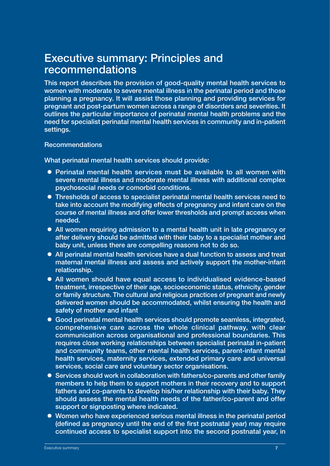### <span id="page-6-0"></span>Executive summary: Principles and recommendations

This report describes the provision of good-quality mental health services to women with moderate to severe mental illness in the perinatal period and those planning a pregnancy. It will assist those planning and providing services for pregnant and post-partum women across a range of disorders and severities. It outlines the particular importance of perinatal mental health problems and the need for specialist perinatal mental health services in community and in-patient settings.

#### Recommendations

What perinatal mental health services should provide:

- Perinatal mental health services must be available to all women with severe mental illness and moderate mental illness with additional complex psychosocial needs or comorbid conditions.
- **Thresholds of access to specialist perinatal mental health services need to** take into account the modifying effects of pregnancy and infant care on the course of mental illness and offer lower thresholds and prompt access when needed.
- All women requiring admission to a mental health unit in late pregnancy or after delivery should be admitted with their baby to a specialist mother and baby unit, unless there are compelling reasons not to do so.
- All perinatal mental health services have a dual function to assess and treat maternal mental illness and assess and actively support the mother-infant relationship.
- All women should have equal access to individualised evidence-based treatment, irrespective of their age, socioeconomic status, ethnicity, gender or family structure. The cultural and religious practices of pregnant and newly delivered women should be accommodated, whilst ensuring the health and safety of mother and infant
- Good perinatal mental health services should promote seamless, integrated, comprehensive care across the whole clinical pathway, with clear communication across organisational and professional boundaries. This requires close working relationships between specialist perinatal in-patient and community teams, other mental health services, parent-infant mental health services, maternity services, extended primary care and universal services, social care and voluntary sector organisations.
- Services should work in collaboration with fathers/co-parents and other family members to help them to support mothers in their recovery and to support fathers and co-parents to develop his/her relationship with their baby. They should assess the mental health needs of the father/co-parent and offer support or signposting where indicated.
- Women who have experienced serious mental illness in the perinatal period (defined as pregnancy until the end of the first postnatal year) may require continued access to specialist support into the second postnatal year, in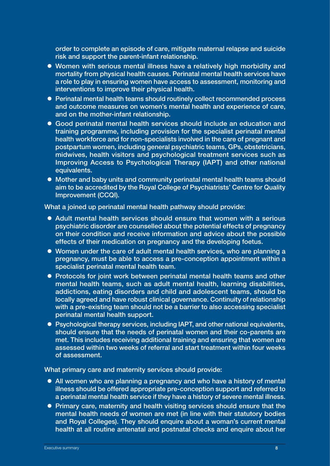order to complete an episode of care, mitigate maternal relapse and suicide risk and support the parent-infant relationship.

- Women with serious mental illness have a relatively high morbidity and mortality from physical health causes. Perinatal mental health services have a role to play in ensuring women have access to assessment, monitoring and interventions to improve their physical health.
- Perinatal mental health teams should routinely collect recommended process and outcome measures on women's mental health and experience of care, and on the mother-infant relationship.
- Good perinatal mental health services should include an education and training programme, including provision for the specialist perinatal mental health workforce and for non-specialists involved in the care of pregnant and postpartum women, including general psychiatric teams, GPs, obstetricians, midwives, health visitors and psychological treatment services such as Improving Access to Psychological Therapy (IAPT) and other national equivalents.
- Mother and baby units and community perinatal mental health teams should aim to be accredited by the Royal College of Psychiatrists' Centre for Quality Improvement (CCQI).

What a joined up perinatal mental health pathway should provide:

- Adult mental health services should ensure that women with a serious psychiatric disorder are counselled about the potential effects of pregnancy on their condition and receive information and advice about the possible effects of their medication on pregnancy and the developing foetus.
- Women under the care of adult mental health services, who are planning a pregnancy, must be able to access a pre-conception appointment within a specialist perinatal mental health team.
- Protocols for joint work between perinatal mental health teams and other mental health teams, such as adult mental health, learning disabilities, addictions, eating disorders and child and adolescent teams, should be locally agreed and have robust clinical governance. Continuity of relationship with a pre-existing team should not be a barrier to also accessing specialist perinatal mental health support.
- Psychological therapy services, including IAPT, and other national equivalents, should ensure that the needs of perinatal women and their co-parents are met. This includes receiving additional training and ensuring that women are assessed within two weeks of referral and start treatment within four weeks of assessment.

What primary care and maternity services should provide:

- All women who are planning a pregnancy and who have a history of mental illness should be offered appropriate pre-conception support and referred to a perinatal mental health service if they have a history of severe mental illness.
- Primary care, maternity and health visiting services should ensure that the mental health needs of women are met (in line with their statutory bodies and Royal Colleges). They should enquire about a woman's current mental health at all routine antenatal and postnatal checks and enquire about her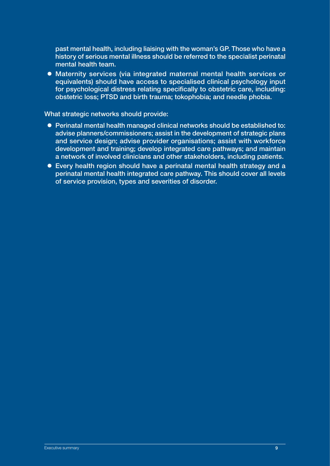past mental health, including liaising with the woman's GP. Those who have a history of serious mental illness should be referred to the specialist perinatal mental health team.

• Maternity services (via integrated maternal mental health services or equivalents) should have access to specialised clinical psychology input for psychological distress relating specifically to obstetric care, including: obstetric loss; PTSD and birth trauma; tokophobia; and needle phobia.

What strategic networks should provide:

- **Perinatal mental health managed clinical networks should be established to:** advise planners/commissioners; assist in the development of strategic plans and service design; advise provider organisations; assist with workforce development and training; develop integrated care pathways; and maintain a network of involved clinicians and other stakeholders, including patients.
- Every health region should have a perinatal mental health strategy and a perinatal mental health integrated care pathway. This should cover all levels of service provision, types and severities of disorder.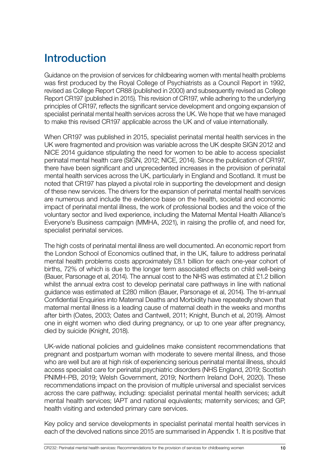### <span id="page-9-0"></span>Introduction

Guidance on the provision of services for childbearing women with mental health problems was first produced by the Royal College of Psychiatrists as a Council Report in 1992, revised as College Report CR88 (published in 2000) and subsequently revised as College Report CR197 (published in 2015). This revision of CR197, while adhering to the underlying principles of CR197, reflects the significant service development and ongoing expansion of specialist perinatal mental health services across the UK. We hope that we have managed to make this revised CR197 applicable across the UK and of value internationally.

When CR197 was published in 2015, specialist perinatal mental health services in the UK were fragmented and provision was variable across the UK despite SIGN 2012 and NICE 2014 guidance stipulating the need for women to be able to access specialist perinatal mental health care (SIGN, 2012; NICE, 2014). Since the publication of CR197, there have been significant and unprecedented increases in the provision of perinatal mental health services across the UK, particularly in England and Scotland. It must be noted that CR197 has played a pivotal role in supporting the development and design of these new services. The drivers for the expansion of perinatal mental health services are numerous and include the evidence base on the health, societal and economic impact of perinatal mental illness, the work of professional bodies and the voice of the voluntary sector and lived experience, including the Maternal Mental Health Alliance's Everyone's Business campaign (MMHA, 2021), in raising the profile of, and need for, specialist perinatal services.

The high costs of perinatal mental illness are well documented. An economic report from the London School of Economics outlined that, in the UK, failure to address perinatal mental health problems costs approximately £8.1 billion for each one-year cohort of births, 72% of which is due to the longer term associated effects on child well-being (Bauer, Parsonage et al, 2014). The annual cost to the NHS was estimated at £1.2 billion whilst the annual extra cost to develop perinatal care pathways in line with national guidance was estimated at £280 million (Bauer, Parsonage et al, 2014). The tri-annual Confidential Enquiries into Maternal Deaths and Morbidity have repeatedly shown that maternal mental illness is a leading cause of maternal death in the weeks and months after birth (Oates, 2003; Oates and Cantwell, 2011; Knight, Bunch et al, 2019). Almost one in eight women who died during pregnancy, or up to one year after pregnancy, died by suicide (Knight, 2018).

UK-wide national policies and guidelines make consistent recommendations that pregnant and postpartum woman with moderate to severe mental illness, and those who are well but are at high risk of experiencing serious perinatal mental illness, should access specialist care for perinatal psychiatric disorders (NHS England, 2019; Scottish PNIMH-PB, 2019; Welsh Government, 2019; Northern Ireland DoH, 2020). These recommendations impact on the provision of multiple universal and specialist services across the care pathway, including: specialist perinatal mental health services; adult mental health services; IAPT and national equivalents; maternity services; and GP, health visiting and extended primary care services.

Key policy and service developments in specialist perinatal mental health services in each of the devolved nations since 2015 are summarised in Appendix 1. It is positive that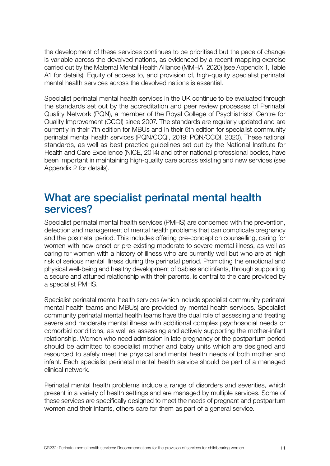<span id="page-10-0"></span>the development of these services continues to be prioritised but the pace of change is variable across the devolved nations, as evidenced by a recent mapping exercise carried out by the Maternal Mental Health Alliance (MMHA, 2020) (see Appendix 1, Table A1 for details). Equity of access to, and provision of, high-quality specialist perinatal mental health services across the devolved nations is essential.

Specialist perinatal mental health services in the UK continue to be evaluated through the standards set out by the accreditation and peer review processes of Perinatal Quality Network (PQN), a member of the Royal College of Psychiatrists' Centre for Quality Improvement (CCQI) since 2007. The standards are regularly updated and are currently in their 7th edition for MBUs and in their 5th edition for specialist community perinatal mental health services (PQN/CCQI, 2019; PQN/CCQI, 2020). These national standards, as well as best practice guidelines set out by the National Institute for Health and Care Excellence (NICE, 2014) and other national professional bodies, have been important in maintaining high-quality care across existing and new services (see Appendix 2 for details).

### What are specialist perinatal mental health services?

Specialist perinatal mental health services (PMHS) are concerned with the prevention, detection and management of mental health problems that can complicate pregnancy and the postnatal period. This includes offering pre-conception counselling, caring for women with new-onset or pre-existing moderate to severe mental illness, as well as caring for women with a history of illness who are currently well but who are at high risk of serious mental illness during the perinatal period. Promoting the emotional and physical well-being and healthy development of babies and infants, through supporting a secure and attuned relationship with their parents, is central to the care provided by a specialist PMHS.

Specialist perinatal mental health services (which include specialist community perinatal mental health teams and MBUs) are provided by mental health services. Specialist community perinatal mental health teams have the dual role of assessing and treating severe and moderate mental illness with additional complex psychosocial needs or comorbid conditions, as well as assessing and actively supporting the mother-infant relationship. Women who need admission in late pregnancy or the postpartum period should be admitted to specialist mother and baby units which are designed and resourced to safely meet the physical and mental health needs of both mother and infant. Each specialist perinatal mental health service should be part of a managed clinical network.

Perinatal mental health problems include a range of disorders and severities, which present in a variety of health settings and are managed by multiple services. Some of these services are specifically designed to meet the needs of pregnant and postpartum women and their infants, others care for them as part of a general service.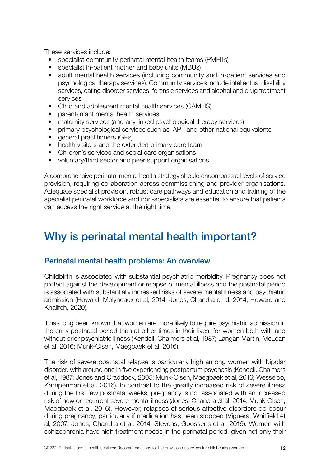<span id="page-11-0"></span>These services include:

- specialist community perinatal mental health teams (PMHTs)
- specialist in-patient mother and baby units (MBUs)
- adult mental health services (including community and in-patient services and psychological therapy services). Community services include intellectual disability services, eating disorder services, forensic services and alcohol and drug treatment services
- Child and adolescent mental health services (CAMHS)
- parent-infant mental health services
- maternity services (and any linked psychological therapy services)
- primary psychological services such as IAPT and other national equivalents
- general practitioners (GPs)
- health visitors and the extended primary care team
- Children's services and social care organisations
- voluntary/third sector and peer support organisations.

A comprehensive perinatal mental health strategy should encompass all levels of service provision, requiring collaboration across commissioning and provider organisations. Adequate specialist provision, robust care pathways and education and training of the specialist perinatal workforce and non-specialists are essential to ensure that patients can access the right service at the right time.

### Why is perinatal mental health important?

#### Perinatal mental health problems: An overview

Childbirth is associated with substantial psychiatric morbidity. Pregnancy does not protect against the development or relapse of mental illness and the postnatal period is associated with substantially increased risks of severe mental illness and psychiatric admission (Howard, Molyneaux et al, 2014; Jones, Chandra et al, 2014; Howard and Khalifeh, 2020).

It has long been known that women are more likely to require psychiatric admission in the early postnatal period than at other times in their lives, for women both with and without prior psychiatric illness (Kendell, Chalmers et al, 1987; Langan Martin, McLean et al, 2016; Munk-Olsen, Maegbaek et al, 2016).

The risk of severe postnatal relapse is particularly high among women with bipolar disorder, with around one in five experiencing postpartum psychosis (Kendell, Chalmers et al, 1987; Jones and Craddock, 2005; Munk-Olsen, Maegbaek et al, 2016; Wesseloo, Kamperman et al, 2016). In contrast to the greatly increased risk of severe illness during the first few postnatal weeks, pregnancy is not associated with an increased risk of new or recurrent severe mental illness (Jones, Chandra et al, 2014; Munk-Olsen, Maegbaek et al, 2016). However, relapses of serious affective disorders do occur during pregnancy, particularly if medication has been stopped (Viguera, Whitfield et al, 2007; Jones, Chandra et al, 2014; Stevens, Goossens et al, 2019). Women with schizophrenia have high treatment needs in the perinatal period, given not only their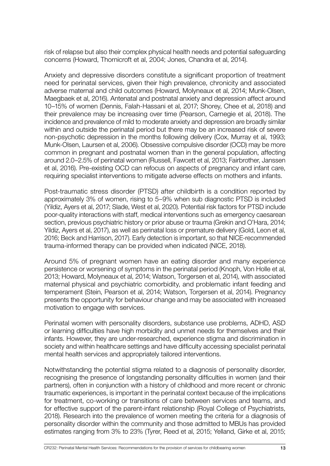risk of relapse but also their complex physical health needs and potential safeguarding concerns (Howard, Thornicroft et al, 2004; Jones, Chandra et al, 2014).

Anxiety and depressive disorders constitute a significant proportion of treatment need for perinatal services, given their high prevalence, chronicity and associated adverse maternal and child outcomes (Howard, Molyneaux et al, 2014; Munk-Olsen, Maegbaek et al, 2016). Antenatal and postnatal anxiety and depression affect around 10–15% of women (Dennis, Falah-Hassani et al, 2017; Shorey, Chee et al, 2018) and their prevalence may be increasing over time (Pearson, Carnegie et al, 2018). The incidence and prevalence of mild to moderate anxiety and depression are broadly similar within and outside the perinatal period but there may be an increased risk of severe non-psychotic depression in the months following delivery (Cox, Murray et al, 1993; Munk-Olsen, Laursen et al, 2006). Obsessive compulsive disorder (OCD) may be more common in pregnant and postnatal women than in the general population, affecting around 2.0–2.5% of perinatal women (Russell, Fawcett et al, 2013; Fairbrother, Janssen et al, 2016). Pre-existing OCD can refocus on aspects of pregnancy and infant care, requiring specialist interventions to mitigate adverse effects on mothers and infants.

Post-traumatic stress disorder (PTSD) after childbirth is a condition reported by approximately 3% of women, rising to 5–9% when sub diagnostic PTSD is included (Yildiz, Ayers et al, 2017; Slade, West et al, 2020). Potential risk factors for PTSD include poor-quality interactions with staff, medical interventions such as emergency caesarean section, previous psychiatric history or prior abuse or trauma (Grekin and O'Hara, 2014; Yildiz, Ayers et al, 2017), as well as perinatal loss or premature delivery (Gold, Leon et al, 2016; Beck and Harrison, 2017). Early detection is important, so that NICE-recommended trauma-informed therapy can be provided when indicated (NICE, 2018).

Around 5% of pregnant women have an eating disorder and many experience persistence or worsening of symptoms in the perinatal period (Knoph, Von Holle et al, 2013; Howard, Molyneaux et al, 2014; Watson, Torgersen et al, 2014), with associated maternal physical and psychiatric comorbidity, and problematic infant feeding and temperament (Stein, Pearson et al, 2014; Watson, Torgersen et al, 2014). Pregnancy presents the opportunity for behaviour change and may be associated with increased motivation to engage with services.

Perinatal women with personality disorders, substance use problems, ADHD, ASD or learning difficulties have high morbidity and unmet needs for themselves and their infants. However, they are under-researched, experience stigma and discrimination in society and within healthcare settings and have difficulty accessing specialist perinatal mental health services and appropriately tailored interventions.

Notwithstanding the potential stigma related to a diagnosis of personality disorder, recognising the presence of longstanding personality difficulties in women (and their partners), often in conjunction with a history of childhood and more recent or chronic traumatic experiences, is important in the perinatal context because of the implications for treatment, co-working or transitions of care between services and teams, and for effective support of the parent-infant relationship (Royal College of Psychiatrists, 2018). Research into the prevalence of women meeting the criteria for a diagnosis of personality disorder within the community and those admitted to MBUs has provided estimates ranging from 3% to 23% (Tyrer, Reed et al, 2015; Yelland, Girke et al, 2015;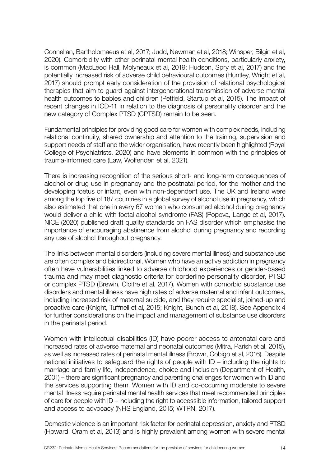Connellan, Bartholomaeus et al, 2017; Judd, Newman et al, 2018; Winsper, Bilgin et al, 2020). Comorbidity with other perinatal mental health conditions, particularly anxiety, is common (MacLeod Hall, Molyneaux et al, 2019; Hudson, Spry et al, 2017) and the potentially increased risk of adverse child behavioural outcomes (Huntley, Wright et al, 2017) should prompt early consideration of the provision of relational psychological therapies that aim to guard against intergenerational transmission of adverse mental health outcomes to babies and children (Petfield, Startup et al, 2015). The impact of recent changes in ICD-11 in relation to the diagnosis of personality disorder and the new category of Complex PTSD (CPTSD) remain to be seen.

Fundamental principles for providing good care for women with complex needs, including relational continuity, shared ownership and attention to the training, supervision and support needs of staff and the wider organisation, have recently been highlighted (Royal College of Psychiatrists, 2020) and have elements in common with the principles of trauma-informed care (Law, Wolfenden et al, 2021).

There is increasing recognition of the serious short- and long-term consequences of alcohol or drug use in pregnancy and the postnatal period, for the mother and the developing foetus or infant, even with non-dependent use. The UK and Ireland were among the top five of 187 countries in a global survey of alcohol use in pregnancy, which also estimated that one in every 67 women who consumed alcohol during pregnancy would deliver a child with foetal alcohol syndrome (FAS) (Popova, Lange et al, 2017). NICE (2020) published draft quality standards on FAS disorder which emphasise the importance of encouraging abstinence from alcohol during pregnancy and recording any use of alcohol throughout pregnancy.

The links between mental disorders (including severe mental illness) and substance use are often complex and bidirectional, Women who have an active addiction in pregnancy often have vulnerabilities linked to adverse childhood experiences or gender-based trauma and may meet diagnostic criteria for borderline personality disorder, PTSD or complex PTSD (Brewin, Cloitre et al, 2017). Women with comorbid substance use disorders and mental illness have high rates of adverse maternal and infant outcomes, including increased risk of maternal suicide, and they require specialist, joined-up and proactive care (Knight, Tuffnell et al, 2015; Knight, Bunch et al, 2018). See Appendix 4 for further considerations on the impact and management of substance use disorders in the perinatal period.

Women with intellectual disabilities (ID) have poorer access to antenatal care and increased rates of adverse maternal and neonatal outcomes (Mitra, Parish et al, 2015), as well as increased rates of perinatal mental illness (Brown, Cobigo et al, 2016). Despite national initiatives to safeguard the rights of people with ID – including the rights to marriage and family life, independence, choice and inclusion (Department of Health, 2001) – there are significant pregnancy and parenting challenges for women with ID and the services supporting them. Women with ID and co-occurring moderate to severe mental illness require perinatal mental health services that meet recommended principles of care for people with ID – including the right to accessible information, tailored support and access to advocacy (NHS England, 2015; WTPN, 2017).

Domestic violence is an important risk factor for perinatal depression, anxiety and PTSD (Howard, Oram et al, 2013) and is highly prevalent among women with severe mental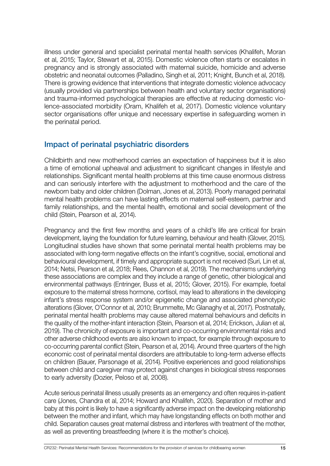<span id="page-14-0"></span>illness under general and specialist perinatal mental health services (Khalifeh, Moran et al, 2015; Taylor, Stewart et al, 2015). Domestic violence often starts or escalates in pregnancy and is strongly associated with maternal suicide, homicide and adverse obstetric and neonatal outcomes (Palladino, Singh et al, 2011; Knight, Bunch et al, 2018). There is growing evidence that interventions that integrate domestic violence advocacy (usually provided via partnerships between health and voluntary sector organisations) and trauma-informed psychological therapies are effective at reducing domestic violence-associated morbidity (Oram, Khalifeh et al, 2017). Domestic violence voluntary sector organisations offer unique and necessary expertise in safeguarding women in the perinatal period.

### Impact of perinatal psychiatric disorders

Childbirth and new motherhood carries an expectation of happiness but it is also a time of emotional upheaval and adjustment to significant changes in lifestyle and relationships. Significant mental health problems at this time cause enormous distress and can seriously interfere with the adjustment to motherhood and the care of the newborn baby and older children (Dolman, Jones et al, 2013). Poorly managed perinatal mental health problems can have lasting effects on maternal self-esteem, partner and family relationships, and the mental health, emotional and social development of the child (Stein, Pearson et al, 2014).

Pregnancy and the first few months and years of a child's life are critical for brain development, laying the foundation for future learning, behaviour and health (Glover, 2015). Longitudinal studies have shown that some perinatal mental health problems may be associated with long-term negative effects on the infant's cognitive, social, emotional and behavioural development, if timely and appropriate support is not received (Suri, Lin et al, 2014; Netsi, Pearson et al, 2018; Rees, Channon et al, 2019). The mechanisms underlying these associations are complex and they include a range of genetic, other biological and environmental pathways (Entringer, Buss et al, 2015; Glover, 2015). For example, foetal exposure to the maternal stress hormone, cortisol, may lead to alterations in the developing infant's stress response system and/or epigenetic change and associated phenotypic alterations (Glover, O'Connor et al, 2010; Brummelte, Mc Glanaghy et al, 2017). Postnatally, perinatal mental health problems may cause altered maternal behaviours and deficits in the quality of the mother-infant interaction (Stein, Pearson et al, 2014; Erickson, Julian et al, 2019). The chronicity of exposure is important and co-occurring environmental risks and other adverse childhood events are also known to impact, for example through exposure to co-occurring parental conflict (Stein, Pearson et al, 2014). Around three quarters of the high economic cost of perinatal mental disorders are attributable to long-term adverse effects on children (Bauer, Parsonage et al, 2014). Positive experiences and good relationships between child and caregiver may protect against changes in biological stress responses to early adversity (Dozier, Peloso et al, 2008).

Acute serious perinatal illness usually presents as an emergency and often requires in-patient care (Jones, Chandra et al, 2014; Howard and Khalifeh, 2020). Separation of mother and baby at this point is likely to have a significantly adverse impact on the developing relationship between the mother and infant, which may have longstanding effects on both mother and child. Separation causes great maternal distress and interferes with treatment of the mother, as well as preventing breastfeeding (where it is the mother's choice).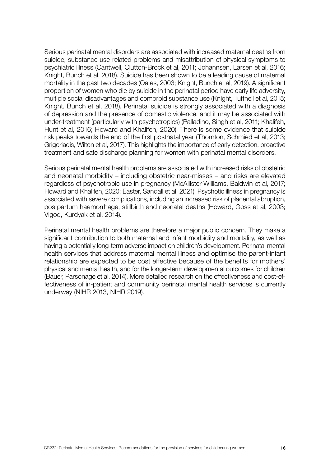Serious perinatal mental disorders are associated with increased maternal deaths from suicide, substance use-related problems and misattribution of physical symptoms to psychiatric illness (Cantwell, Clutton-Brock et al, 2011; Johannsen, Larsen et al, 2016; Knight, Bunch et al, 2018). Suicide has been shown to be a leading cause of maternal mortality in the past two decades (Oates, 2003; Knight, Bunch et al, 2019). A significant proportion of women who die by suicide in the perinatal period have early life adversity, multiple social disadvantages and comorbid substance use (Knight, Tuffnell et al, 2015; Knight, Bunch et al, 2018). Perinatal suicide is strongly associated with a diagnosis of depression and the presence of domestic violence, and it may be associated with under-treatment (particularly with psychotropics) (Palladino, Singh et al, 2011; Khalifeh, Hunt et al, 2016; Howard and Khalifeh, 2020). There is some evidence that suicide risk peaks towards the end of the first postnatal year (Thornton, Schmied et al, 2013; Grigoriadis, Wilton et al, 2017). This highlights the importance of early detection, proactive treatment and safe discharge planning for women with perinatal mental disorders.

Serious perinatal mental health problems are associated with increased risks of obstetric and neonatal morbidity – including obstetric near-misses – and risks are elevated regardless of psychotropic use in pregnancy (McAllister-Williams, Baldwin et al, 2017; Howard and Khalifeh, 2020; Easter, Sandall et al, 2021). Psychotic illness in pregnancy is associated with severe complications, including an increased risk of placental abruption, postpartum haemorrhage, stillbirth and neonatal deaths (Howard, Goss et al, 2003; Vigod, Kurdyak et al, 2014).

Perinatal mental health problems are therefore a major public concern. They make a significant contribution to both maternal and infant morbidity and mortality, as well as having a potentially long-term adverse impact on children's development. Perinatal mental health services that address maternal mental illness and optimise the parent-infant relationship are expected to be cost effective because of the benefits for mothers' physical and mental health, and for the longer-term developmental outcomes for children (Bauer, Parsonage et al, 2014). More detailed research on the effectiveness and cost-effectiveness of in-patient and community perinatal mental health services is currently underway (NIHR 2013, NIHR 2019).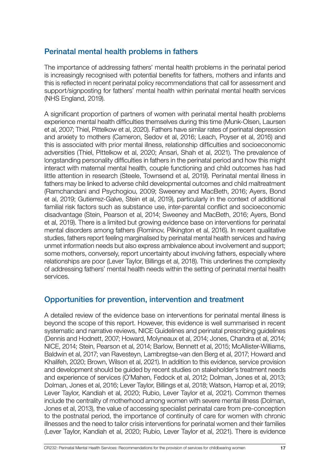### <span id="page-16-0"></span>Perinatal mental health problems in fathers

The importance of addressing fathers' mental health problems in the perinatal period is increasingly recognised with potential benefits for fathers, mothers and infants and this is reflected in recent perinatal policy recommendations that call for assessment and support/signposting for fathers' mental health within perinatal mental health services (NHS England, 2019).

A significant proportion of partners of women with perinatal mental health problems experience mental health difficulties themselves during this time (Munk-Olsen, Laursen et al, 2007; Thiel, Pittelkow et al, 2020). Fathers have similar rates of perinatal depression and anxiety to mothers (Cameron, Sedov et al, 2016; Leach, Poyser et al, 2016) and this is associated with prior mental illness, relationship difficulties and socioeconomic adversities (Thiel, Pittelkow et al, 2020; Ansari, Shah et al, 2021). The prevalence of longstanding personality difficulties in fathers in the perinatal period and how this might interact with maternal mental health, couple functioning and child outcomes has had little attention in research (Steele, Townsend et al, 2019). Perinatal mental illness in fathers may be linked to adverse child developmental outcomes and child maltreatment (Ramchandani and Psychogiou, 2009; Sweeney and MacBeth, 2016; Ayers, Bond et al, 2019; Gutierrez-Galve, Stein et al, 2019), particularly in the context of additional familial risk factors such as substance use, inter-parental conflict and socioeconomic disadvantage (Stein, Pearson et al, 2014; Sweeney and MacBeth, 2016; Ayers, Bond et al, 2019). There is a limited but growing evidence base on interventions for perinatal mental disorders among fathers (Rominov, Pilkington et al, 2016). In recent qualitative studies, fathers report feeling marginalised by perinatal mental health services and having unmet information needs but also express ambivalence about involvement and support; some mothers, conversely, report uncertainty about involving fathers, especially where relationships are poor (Lever Taylor, Billings et al, 2018). This underlines the complexity of addressing fathers' mental health needs within the setting of perinatal mental health services.

### Opportunities for prevention, intervention and treatment

A detailed review of the evidence base on interventions for perinatal mental illness is beyond the scope of this report. However, this evidence is well summarised in recent systematic and narrative reviews, NICE Guidelines and perinatal prescribing guidelines (Dennis and Hodnett, 2007; Howard, Molyneaux et al, 2014; Jones, Chandra et al, 2014; NICE, 2014; Stein, Pearson et al, 2014; Barlow, Bennett et al, 2015; McAllister-Williams, Baldwin et al, 2017; van Ravesteyn, Lambregtse-van den Berg et al, 2017; Howard and Khalifeh, 2020; Brown, Wilson et al, 2021). In addition to this evidence, service provision and development should be guided by recent studies on stakeholder's treatment needs and experience of services (O'Mahen, Fedock et al, 2012; Dolman, Jones et al, 2013; Dolman, Jones et al, 2016; Lever Taylor, Billings et al, 2018; Watson, Harrop et al, 2019; Lever Taylor, Kandiah et al, 2020; Rubio, Lever Taylor et al, 2021). Common themes include the centrality of motherhood among women with severe mental illness (Dolman, Jones et al, 2013), the value of accessing specialist perinatal care from pre-conception to the postnatal period, the importance of continuity of care for women with chronic illnesses and the need to tailor crisis interventions for perinatal women and their families (Lever Taylor, Kandiah et al, 2020; Rubio, Lever Taylor et al, 2021). There is evidence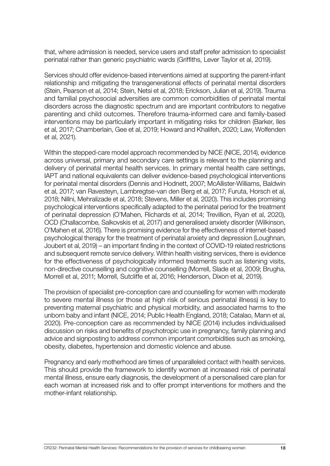that, where admission is needed, service users and staff prefer admission to specialist perinatal rather than generic psychiatric wards (Griffiths, Lever Taylor et al, 2019).

Services should offer evidence-based interventions aimed at supporting the parent-infant relationship and mitigating the transgenerational effects of perinatal mental disorders (Stein, Pearson et al, 2014; Stein, Netsi et al, 2018; Erickson, Julian et al, 2019). Trauma and familial psychosocial adversities are common comorbidities of perinatal mental disorders across the diagnostic spectrum and are important contributors to negative parenting and child outcomes. Therefore trauma-informed care and family-based interventions may be particularly important in mitigating risks for children (Barker, Iles et al, 2017; Chamberlain, Gee et al, 2019; Howard and Khalifeh, 2020; Law, Wolfenden et al, 2021).

Within the stepped-care model approach recommended by NICE (NICE, 2014), evidence across universal, primary and secondary care settings is relevant to the planning and delivery of perinatal mental health services. In primary mental health care settings, IAPT and national equivalents can deliver evidence-based psychological interventions for perinatal mental disorders (Dennis and Hodnett, 2007; McAllister-Williams, Baldwin et al, 2017; van Ravesteyn, Lambregtse-van den Berg et al, 2017; Furuta, Horsch et al, 2018; Nillni, Mehralizade et al, 2018; Stevens, Miller et al, 2020). This includes promising psychological interventions specifically adapted to the perinatal period for the treatment of perinatal depression (O'Mahen, Richards et al, 2014; Trevillion, Ryan et al, 2020), OCD (Challacombe, Salkovskis et al, 2017) and generalised anxiety disorder (Wilkinson, O'Mahen et al, 2016). There is promising evidence for the effectiveness of internet-based psychological therapy for the treatment of perinatal anxiety and depression (Loughnan, Joubert et al, 2019) – an important finding in the context of COVID-19 related restrictions and subsequent remote service delivery. Within health visiting services, there is evidence for the effectiveness of psychologically informed treatments such as listening visits, non-directive counselling and cognitive counselling (Morrell, Slade et al, 2009; Brugha, Morrell et al, 2011; Morrell, Sutcliffe et al, 2016; Henderson, Dixon et al, 2019).

The provision of specialist pre-conception care and counselling for women with moderate to severe mental illness (or those at high risk of serious perinatal illness) is key to preventing maternal psychiatric and physical morbidity, and associated harms to the unborn baby and infant (NICE, 2014; Public Health England, 2018; Catalao, Mann et al, 2020). Pre-conception care as recommended by NICE (2014) includes individualised discussion on risks and benefits of psychotropic use in pregnancy, family planning and advice and signposting to address common important comorbidities such as smoking, obesity, diabetes, hypertension and domestic violence and abuse.

Pregnancy and early motherhood are times of unparalleled contact with health services. This should provide the framework to identify women at increased risk of perinatal mental illness, ensure early diagnosis, the development of a personalised care plan for each woman at increased risk and to offer prompt interventions for mothers and the mother-infant relationship.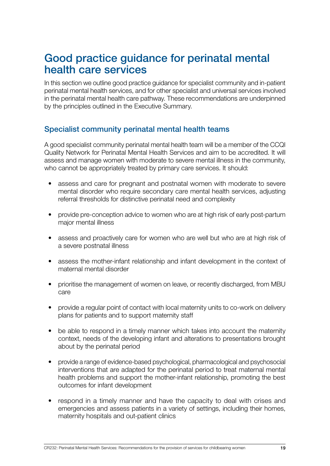### <span id="page-18-0"></span>Good practice guidance for perinatal mental health care services

In this section we outline good practice guidance for specialist community and in-patient perinatal mental health services, and for other specialist and universal services involved in the perinatal mental health care pathway. These recommendations are underpinned by the principles outlined in the Executive Summary.

### Specialist community perinatal mental health teams

A good specialist community perinatal mental health team will be a member of the CCQI Quality Network for Perinatal Mental Health Services and aim to be accredited. It will assess and manage women with moderate to severe mental illness in the community, who cannot be appropriately treated by primary care services. It should:

- assess and care for pregnant and postnatal women with moderate to severe mental disorder who require secondary care mental health services, adjusting referral thresholds for distinctive perinatal need and complexity
- provide pre-conception advice to women who are at high risk of early post-partum major mental illness
- assess and proactively care for women who are well but who are at high risk of a severe postnatal illness
- assess the mother-infant relationship and infant development in the context of maternal mental disorder
- prioritise the management of women on leave, or recently discharged, from MBU care
- provide a regular point of contact with local maternity units to co-work on delivery plans for patients and to support maternity staff
- be able to respond in a timely manner which takes into account the maternity context, needs of the developing infant and alterations to presentations brought about by the perinatal period
- provide a range of evidence-based psychological, pharmacological and psychosocial interventions that are adapted for the perinatal period to treat maternal mental health problems and support the mother-infant relationship, promoting the best outcomes for infant development
- respond in a timely manner and have the capacity to deal with crises and emergencies and assess patients in a variety of settings, including their homes, maternity hospitals and out-patient clinics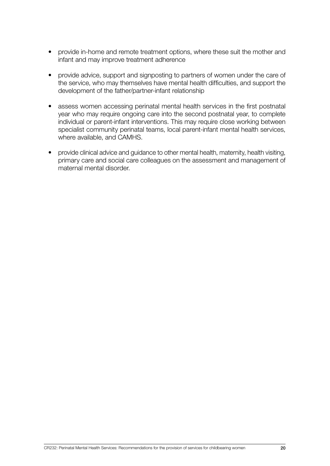- provide in-home and remote treatment options, where these suit the mother and infant and may improve treatment adherence
- provide advice, support and signposting to partners of women under the care of the service, who may themselves have mental health difficulties, and support the development of the father/partner-infant relationship
- assess women accessing perinatal mental health services in the first postnatal year who may require ongoing care into the second postnatal year, to complete individual or parent-infant interventions. This may require close working between specialist community perinatal teams, local parent-infant mental health services, where available, and CAMHS.
- provide clinical advice and guidance to other mental health, maternity, health visiting, primary care and social care colleagues on the assessment and management of maternal mental disorder.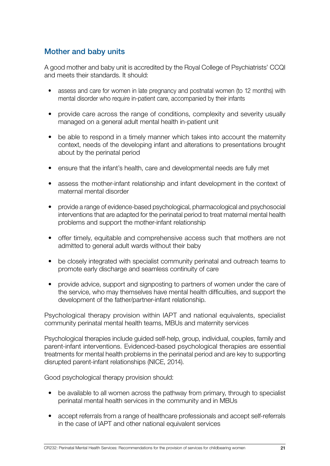### <span id="page-20-0"></span>Mother and baby units

A good mother and baby unit is accredited by the Royal College of Psychiatrists' CCQI and meets their standards. It should:

- assess and care for women in late pregnancy and postnatal women (to 12 months) with mental disorder who require in-patient care, accompanied by their infants
- provide care across the range of conditions, complexity and severity usually managed on a general adult mental health in-patient unit
- be able to respond in a timely manner which takes into account the maternity context, needs of the developing infant and alterations to presentations brought about by the perinatal period
- ensure that the infant's health, care and developmental needs are fully met
- assess the mother-infant relationship and infant development in the context of maternal mental disorder
- provide a range of evidence-based psychological, pharmacological and psychosocial interventions that are adapted for the perinatal period to treat maternal mental health problems and support the mother-infant relationship
- offer timely, equitable and comprehensive access such that mothers are not admitted to general adult wards without their baby
- be closely integrated with specialist community perinatal and outreach teams to promote early discharge and seamless continuity of care
- provide advice, support and signposting to partners of women under the care of the service, who may themselves have mental health difficulties, and support the development of the father/partner-infant relationship.

Psychological therapy provision within IAPT and national equivalents, specialist community perinatal mental health teams, MBUs and maternity services

Psychological therapies include guided self-help, group, individual, couples, family and parent-infant interventions. Evidenced-based psychological therapies are essential treatments for mental health problems in the perinatal period and are key to supporting disrupted parent-infant relationships (NICE, 2014).

Good psychological therapy provision should:

- be available to all women across the pathway from primary, through to specialist perinatal mental health services in the community and in MBUs
- accept referrals from a range of healthcare professionals and accept self-referrals in the case of IAPT and other national equivalent services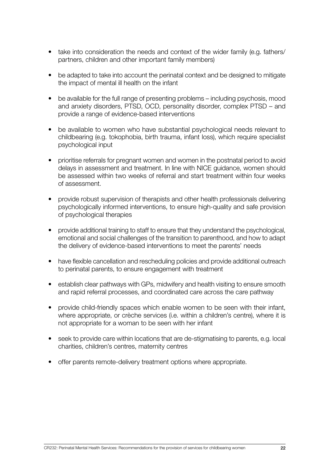- take into consideration the needs and context of the wider family (e.g. fathers/ partners, children and other important family members)
- be adapted to take into account the perinatal context and be designed to mitigate the impact of mental ill health on the infant
- be available for the full range of presenting problems including psychosis, mood and anxiety disorders, PTSD, OCD, personality disorder, complex PTSD – and provide a range of evidence-based interventions
- be available to women who have substantial psychological needs relevant to childbearing (e.g. tokophobia, birth trauma, infant loss), which require specialist psychological input
- prioritise referrals for pregnant women and women in the postnatal period to avoid delays in assessment and treatment. In line with NICE guidance, women should be assessed within two weeks of referral and start treatment within four weeks of assessment.
- provide robust supervision of therapists and other health professionals delivering psychologically informed interventions, to ensure high-quality and safe provision of psychological therapies
- provide additional training to staff to ensure that they understand the psychological, emotional and social challenges of the transition to parenthood, and how to adapt the delivery of evidence-based interventions to meet the parents' needs
- have flexible cancellation and rescheduling policies and provide additional outreach to perinatal parents, to ensure engagement with treatment
- establish clear pathways with GPs, midwifery and health visiting to ensure smooth and rapid referral processes, and coordinated care across the care pathway
- provide child-friendly spaces which enable women to be seen with their infant, where appropriate, or crèche services (i.e. within a children's centre), where it is not appropriate for a woman to be seen with her infant
- seek to provide care within locations that are de-stigmatising to parents, e.g. local charities, children's centres, maternity centres
- offer parents remote-delivery treatment options where appropriate.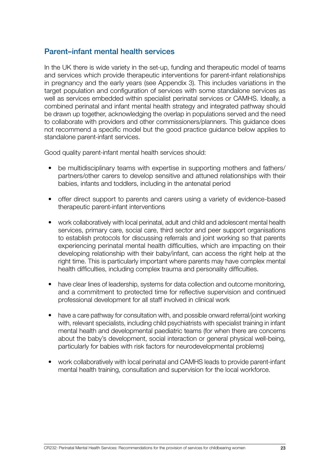#### <span id="page-22-0"></span>Parent–infant mental health services

In the UK there is wide variety in the set-up, funding and therapeutic model of teams and services which provide therapeutic interventions for parent-infant relationships in pregnancy and the early years (see Appendix 3). This includes variations in the target population and configuration of services with some standalone services as well as services embedded within specialist perinatal services or CAMHS. Ideally, a combined perinatal and infant mental health strategy and integrated pathway should be drawn up together, acknowledging the overlap in populations served and the need to collaborate with providers and other commissioners/planners. This guidance does not recommend a specific model but the good practice guidance below applies to standalone parent-infant services.

Good quality parent-infant mental health services should:

- be multidisciplinary teams with expertise in supporting mothers and fathers/ partners/other carers to develop sensitive and attuned relationships with their babies, infants and toddlers, including in the antenatal period
- offer direct support to parents and carers using a variety of evidence-based therapeutic parent-infant interventions
- work collaboratively with local perinatal, adult and child and adolescent mental health services, primary care, social care, third sector and peer support organisations to establish protocols for discussing referrals and joint working so that parents experiencing perinatal mental health difficulties, which are impacting on their developing relationship with their baby/infant, can access the right help at the right time. This is particularly important where parents may have complex mental health difficulties, including complex trauma and personality difficulties.
- have clear lines of leadership, systems for data collection and outcome monitoring, and a commitment to protected time for reflective supervision and continued professional development for all staff involved in clinical work
- have a care pathway for consultation with, and possible onward referral/joint working with, relevant specialists, including child psychiatrists with specialist training in infant mental health and developmental paediatric teams (for when there are concerns about the baby's development, social interaction or general physical well-being, particularly for babies with risk factors for neurodevelopmental problems)
- work collaboratively with local perinatal and CAMHS leads to provide parent-infant mental health training, consultation and supervision for the local workforce.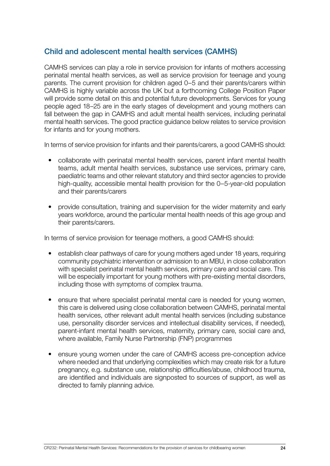### <span id="page-23-0"></span>Child and adolescent mental health services (CAMHS)

CAMHS services can play a role in service provision for infants of mothers accessing perinatal mental health services, as well as service provision for teenage and young parents. The current provision for children aged 0–5 and their parents/carers within CAMHS is highly variable across the UK but a forthcoming College Position Paper will provide some detail on this and potential future developments. Services for young people aged 18–25 are in the early stages of development and young mothers can fall between the gap in CAMHS and adult mental health services, including perinatal mental health services. The good practice guidance below relates to service provision for infants and for young mothers.

In terms of service provision for infants and their parents/carers, a good CAMHS should:

- collaborate with perinatal mental health services, parent infant mental health teams, adult mental health services, substance use services, primary care, paediatric teams and other relevant statutory and third sector agencies to provide high-quality, accessible mental health provision for the 0-5-year-old population and their parents/carers
- provide consultation, training and supervision for the wider maternity and early years workforce, around the particular mental health needs of this age group and their parents/carers.

In terms of service provision for teenage mothers, a good CAMHS should:

- establish clear pathways of care for young mothers aged under 18 years, requiring community psychiatric intervention or admission to an MBU, in close collaboration with specialist perinatal mental health services, primary care and social care. This will be especially important for young mothers with pre-existing mental disorders, including those with symptoms of complex trauma.
- ensure that where specialist perinatal mental care is needed for young women, this care is delivered using close collaboration between CAMHS, perinatal mental health services, other relevant adult mental health services (including substance use, personality disorder services and intellectual disability services, if needed), parent-infant mental health services, maternity, primary care, social care and, where available, Family Nurse Partnership (FNP) programmes
- ensure young women under the care of CAMHS access pre-conception advice where needed and that underlying complexities which may create risk for a future pregnancy, e.g. substance use, relationship difficulties/abuse, childhood trauma, are identified and individuals are signposted to sources of support, as well as directed to family planning advice.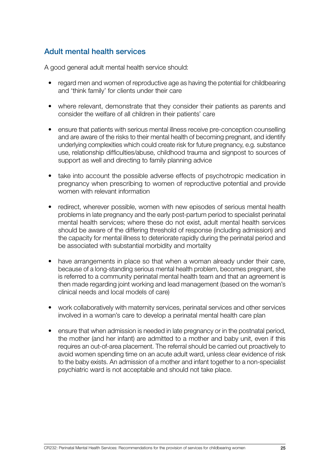### <span id="page-24-0"></span>Adult mental health services

A good general adult mental health service should:

- regard men and women of reproductive age as having the potential for childbearing and 'think family' for clients under their care
- where relevant, demonstrate that they consider their patients as parents and consider the welfare of all children in their patients' care
- ensure that patients with serious mental illness receive pre-conception counselling and are aware of the risks to their mental health of becoming pregnant, and identify underlying complexities which could create risk for future pregnancy, e.g. substance use, relationship difficulties/abuse, childhood trauma and signpost to sources of support as well and directing to family planning advice
- take into account the possible adverse effects of psychotropic medication in pregnancy when prescribing to women of reproductive potential and provide women with relevant information
- redirect, wherever possible, women with new episodes of serious mental health problems in late pregnancy and the early post-partum period to specialist perinatal mental health services; where these do not exist, adult mental health services should be aware of the differing threshold of response (including admission) and the capacity for mental illness to deteriorate rapidly during the perinatal period and be associated with substantial morbidity and mortality
- have arrangements in place so that when a woman already under their care, because of a long-standing serious mental health problem, becomes pregnant, she is referred to a community perinatal mental health team and that an agreement is then made regarding joint working and lead management (based on the woman's clinical needs and local models of care)
- work collaboratively with maternity services, perinatal services and other services involved in a woman's care to develop a perinatal mental health care plan
- ensure that when admission is needed in late pregnancy or in the postnatal period, the mother (and her infant) are admitted to a mother and baby unit, even if this requires an out-of-area placement. The referral should be carried out proactively to avoid women spending time on an acute adult ward, unless clear evidence of risk to the baby exists. An admission of a mother and infant together to a non-specialist psychiatric ward is not acceptable and should not take place.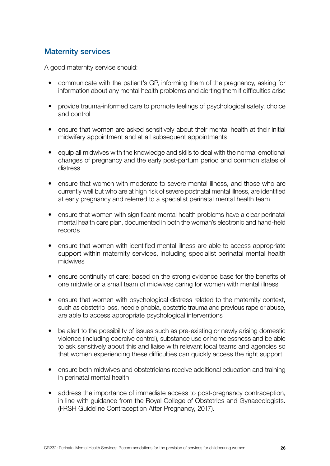### <span id="page-25-0"></span>Maternity services

A good maternity service should:

- communicate with the patient's GP, informing them of the pregnancy, asking for information about any mental health problems and alerting them if difficulties arise
- provide trauma-informed care to promote feelings of psychological safety, choice and control
- ensure that women are asked sensitively about their mental health at their initial midwifery appointment and at all subsequent appointments
- equip all midwives with the knowledge and skills to deal with the normal emotional changes of pregnancy and the early post-partum period and common states of distress
- ensure that women with moderate to severe mental illness, and those who are currently well but who are at high risk of severe postnatal mental illness, are identified at early pregnancy and referred to a specialist perinatal mental health team
- ensure that women with significant mental health problems have a clear perinatal mental health care plan, documented in both the woman's electronic and hand-held records
- ensure that women with identified mental illness are able to access appropriate support within maternity services, including specialist perinatal mental health midwives
- ensure continuity of care; based on the strong evidence base for the benefits of one midwife or a small team of midwives caring for women with mental illness
- ensure that women with psychological distress related to the maternity context, such as obstetric loss, needle phobia, obstetric trauma and previous rape or abuse, are able to access appropriate psychological interventions
- be alert to the possibility of issues such as pre-existing or newly arising domestic violence (including coercive control), substance use or homelessness and be able to ask sensitively about this and liaise with relevant local teams and agencies so that women experiencing these difficulties can quickly access the right support
- ensure both midwives and obstetricians receive additional education and training in perinatal mental health
- address the importance of immediate access to post-pregnancy contraception, in line with guidance from the Royal College of Obstetrics and Gynaecologists. (FRSH Guideline Contraception After Pregnancy, 2017).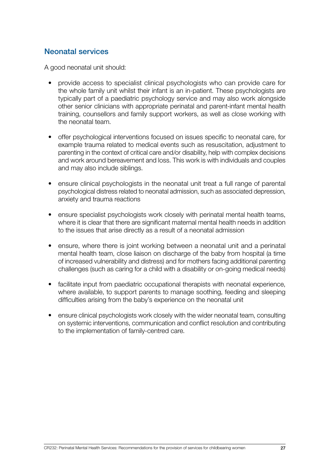### <span id="page-26-0"></span>Neonatal services

A good neonatal unit should:

- provide access to specialist clinical psychologists who can provide care for the whole family unit whilst their infant is an in-patient. These psychologists are typically part of a paediatric psychology service and may also work alongside other senior clinicians with appropriate perinatal and parent-infant mental health training, counsellors and family support workers, as well as close working with the neonatal team.
- offer psychological interventions focused on issues specific to neonatal care, for example trauma related to medical events such as resuscitation, adjustment to parenting in the context of critical care and/or disability, help with complex decisions and work around bereavement and loss. This work is with individuals and couples and may also include siblings.
- ensure clinical psychologists in the neonatal unit treat a full range of parental psychological distress related to neonatal admission, such as associated depression, anxiety and trauma reactions
- ensure specialist psychologists work closely with perinatal mental health teams, where it is clear that there are significant maternal mental health needs in addition to the issues that arise directly as a result of a neonatal admission
- ensure, where there is joint working between a neonatal unit and a perinatal mental health team, close liaison on discharge of the baby from hospital (a time of increased vulnerability and distress) and for mothers facing additional parenting challenges (such as caring for a child with a disability or on-going medical needs)
- facilitate input from paediatric occupational therapists with neonatal experience, where available, to support parents to manage soothing, feeding and sleeping difficulties arising from the baby's experience on the neonatal unit
- ensure clinical psychologists work closely with the wider neonatal team, consulting on systemic interventions, communication and conflict resolution and contributing to the implementation of family-centred care.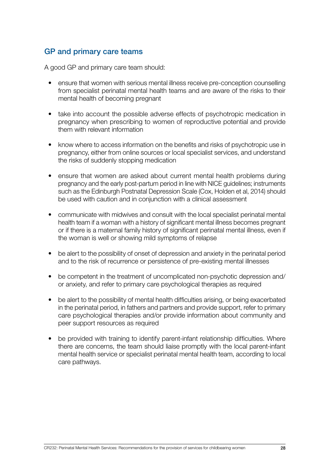### <span id="page-27-0"></span>GP and primary care teams

A good GP and primary care team should:

- ensure that women with serious mental illness receive pre-conception counselling from specialist perinatal mental health teams and are aware of the risks to their mental health of becoming pregnant
- take into account the possible adverse effects of psychotropic medication in pregnancy when prescribing to women of reproductive potential and provide them with relevant information
- know where to access information on the benefits and risks of psychotropic use in pregnancy, either from online sources or local specialist services, and understand the risks of suddenly stopping medication
- ensure that women are asked about current mental health problems during pregnancy and the early post-partum period in line with NICE guidelines; instruments such as the Edinburgh Postnatal Depression Scale (Cox, Holden et al, 2014) should be used with caution and in conjunction with a clinical assessment
- communicate with midwives and consult with the local specialist perinatal mental health team if a woman with a history of significant mental illness becomes pregnant or if there is a maternal family history of significant perinatal mental illness, even if the woman is well or showing mild symptoms of relapse
- be alert to the possibility of onset of depression and anxiety in the perinatal period and to the risk of recurrence or persistence of pre-existing mental illnesses
- be competent in the treatment of uncomplicated non-psychotic depression and/ or anxiety, and refer to primary care psychological therapies as required
- be alert to the possibility of mental health difficulties arising, or being exacerbated in the perinatal period, in fathers and partners and provide support, refer to primary care psychological therapies and/or provide information about community and peer support resources as required
- be provided with training to identify parent-infant relationship difficulties. Where there are concerns, the team should liaise promptly with the local parent-infant mental health service or specialist perinatal mental health team, according to local care pathways.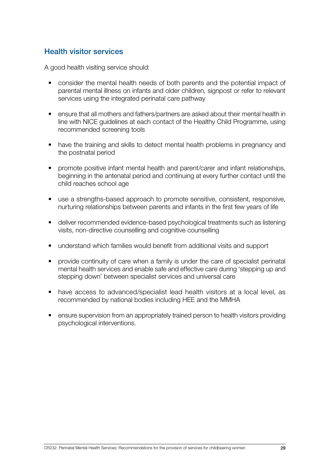### <span id="page-28-0"></span>Health visitor services

A good health visiting service should:

- consider the mental health needs of both parents and the potential impact of parental mental illness on infants and older children, signpost or refer to relevant services using the integrated perinatal care pathway
- ensure that all mothers and fathers/partners are asked about their mental health in line with NICE guidelines at each contact of the Healthy Child Programme, using recommended screening tools
- have the training and skills to detect mental health problems in pregnancy and the postnatal period
- promote positive infant mental health and parent/carer and infant relationships, beginning in the antenatal period and continuing at every further contact until the child reaches school age
- use a strengths-based approach to promote sensitive, consistent, responsive, nurturing relationships between parents and infants in the first few years of life
- deliver recommended evidence-based psychological treatments such as listening visits, non-directive counselling and cognitive counselling
- understand which families would benefit from additional visits and support
- provide continuity of care when a family is under the care of specialist perinatal mental health services and enable safe and effective care during 'stepping up and stepping down' between specialist services and universal care
- have access to advanced/specialist lead health visitors at a local level, as recommended by national bodies including HEE and the MMHA
- ensure supervision from an appropriately trained person to health visitors providing psychological interventions.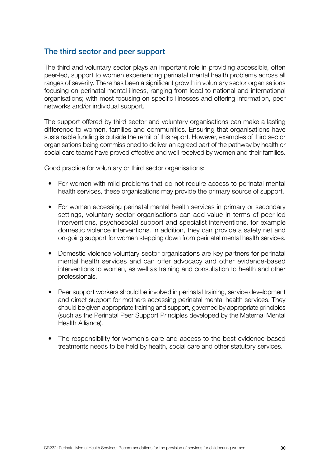#### <span id="page-29-0"></span>The third sector and peer support

The third and voluntary sector plays an important role in providing accessible, often peer-led, support to women experiencing perinatal mental health problems across all ranges of severity. There has been a significant growth in voluntary sector organisations focusing on perinatal mental illness, ranging from local to national and international organisations; with most focusing on specific illnesses and offering information, peer networks and/or individual support.

The support offered by third sector and voluntary organisations can make a lasting difference to women, families and communities. Ensuring that organisations have sustainable funding is outside the remit of this report. However, examples of third sector organisations being commissioned to deliver an agreed part of the pathway by health or social care teams have proved effective and well received by women and their families.

Good practice for voluntary or third sector organisations:

- For women with mild problems that do not require access to perinatal mental health services, these organisations may provide the primary source of support.
- For women accessing perinatal mental health services in primary or secondary settings, voluntary sector organisations can add value in terms of peer-led interventions, psychosocial support and specialist interventions, for example domestic violence interventions. In addition, they can provide a safety net and on-going support for women stepping down from perinatal mental health services.
- Domestic violence voluntary sector organisations are key partners for perinatal mental health services and can offer advocacy and other evidence-based interventions to women, as well as training and consultation to health and other professionals.
- Peer support workers should be involved in perinatal training, service development and direct support for mothers accessing perinatal mental health services. They should be given appropriate training and support, governed by appropriate principles (such as the Perinatal Peer Support Principles developed by the Maternal Mental Health Alliance).
- The responsibility for women's care and access to the best evidence-based treatments needs to be held by health, social care and other statutory services.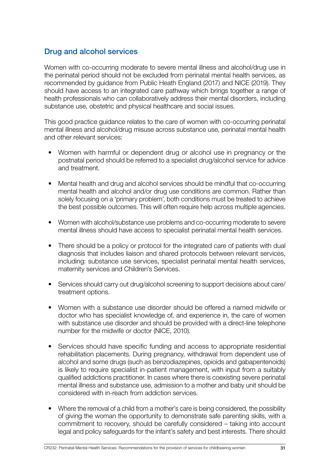### <span id="page-30-0"></span>Drug and alcohol services

Women with co-occurring moderate to severe mental illness and alcohol/drug use in the perinatal period should not be excluded from perinatal mental health services, as recommended by guidance from Public Heath England (2017) and NICE (2019). They should have access to an integrated care pathway which brings together a range of health professionals who can collaboratively address their mental disorders, including substance use, obstetric and physical healthcare and social issues.

This good practice guidance relates to the care of women with co-occurring perinatal mental illness and alcohol/drug misuse across substance use, perinatal mental health and other relevant services:

- Women with harmful or dependent drug or alcohol use in pregnancy or the postnatal period should be referred to a specialist drug/alcohol service for advice and treatment.
- Mental health and drug and alcohol services should be mindful that co-occurring mental health and alcohol and/or drug use conditions are common. Rather than solely focusing on a 'primary problem', both conditions must be treated to achieve the best possible outcomes. This will often require help across multiple agencies.
- Women with alcohol/substance use problems and co-occurring moderate to severe mental illness should have access to specialist perinatal mental health services.
- There should be a policy or protocol for the integrated care of patients with dual diagnosis that includes liaison and shared protocols between relevant services, including: substance use services, specialist perinatal mental health services, maternity services and Children's Services.
- Services should carry out drug/alcohol screening to support decisions about care/ treatment options.
- Women with a substance use disorder should be offered a named midwife or doctor who has specialist knowledge of, and experience in, the care of women with substance use disorder and should be provided with a direct-line telephone number for the midwife or doctor (NICE, 2010).
- Services should have specific funding and access to appropriate residential rehabilitation placements. During pregnancy, withdrawal from dependent use of alcohol and some drugs (such as benzodiazepines, opioids and gabapentenoids) is likely to require specialist in-patient management, with input from a suitably qualified addictions practitioner. In cases where there is coexisting severe perinatal mental illness and substance use, admission to a mother and baby unit should be considered with in-reach from addiction services.
- Where the removal of a child from a mother's care is being considered, the possibility of giving the woman the opportunity to demonstrate safe parenting skills, with a commitment to recovery, should be carefully considered – taking into account legal and policy safeguards for the infant's safety and best interests. There should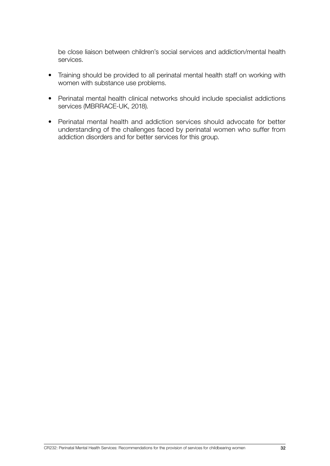be close liaison between children's social services and addiction/mental health services.

- Training should be provided to all perinatal mental health staff on working with women with substance use problems.
- Perinatal mental health clinical networks should include specialist addictions services (MBRRACE-UK, 2018).
- Perinatal mental health and addiction services should advocate for better understanding of the challenges faced by perinatal women who suffer from addiction disorders and for better services for this group.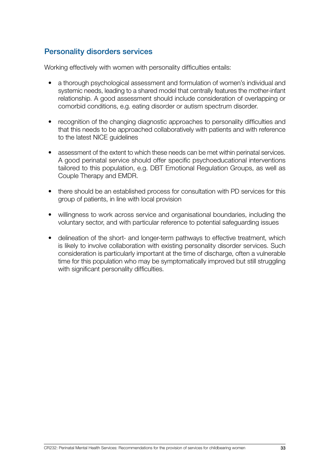### <span id="page-32-0"></span>Personality disorders services

Working effectively with women with personality difficulties entails:

- a thorough psychological assessment and formulation of women's individual and systemic needs, leading to a shared model that centrally features the mother-infant relationship. A good assessment should include consideration of overlapping or comorbid conditions, e.g. eating disorder or autism spectrum disorder.
- recognition of the changing diagnostic approaches to personality difficulties and that this needs to be approached collaboratively with patients and with reference to the latest NICE guidelines
- assessment of the extent to which these needs can be met within perinatal services. A good perinatal service should offer specific psychoeducational interventions tailored to this population, e.g. DBT Emotional Regulation Groups, as well as Couple Therapy and EMDR.
- there should be an established process for consultation with PD services for this group of patients, in line with local provision
- willingness to work across service and organisational boundaries, including the voluntary sector, and with particular reference to potential safeguarding issues
- delineation of the short- and longer-term pathways to effective treatment, which is likely to involve collaboration with existing personality disorder services. Such consideration is particularly important at the time of discharge, often a vulnerable time for this population who may be symptomatically improved but still struggling with significant personality difficulties.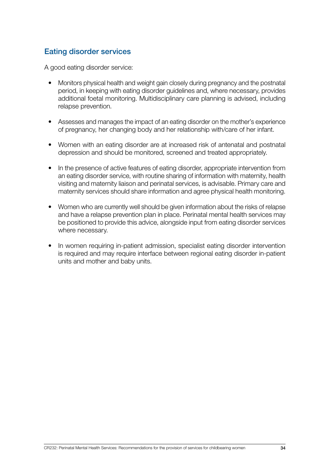### <span id="page-33-0"></span>Eating disorder services

A good eating disorder service:

- Monitors physical health and weight gain closely during pregnancy and the postnatal period, in keeping with eating disorder guidelines and, where necessary, provides additional foetal monitoring. Multidisciplinary care planning is advised, including relapse prevention.
- Assesses and manages the impact of an eating disorder on the mother's experience of pregnancy, her changing body and her relationship with/care of her infant.
- Women with an eating disorder are at increased risk of antenatal and postnatal depression and should be monitored, screened and treated appropriately.
- In the presence of active features of eating disorder, appropriate intervention from an eating disorder service, with routine sharing of information with maternity, health visiting and maternity liaison and perinatal services, is advisable. Primary care and maternity services should share information and agree physical health monitoring.
- Women who are currently well should be given information about the risks of relapse and have a relapse prevention plan in place. Perinatal mental health services may be positioned to provide this advice, alongside input from eating disorder services where necessary.
- In women requiring in-patient admission, specialist eating disorder intervention is required and may require interface between regional eating disorder in-patient units and mother and baby units.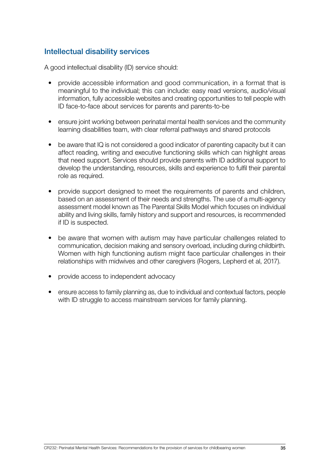### <span id="page-34-0"></span>Intellectual disability services

A good intellectual disability (ID) service should:

- provide accessible information and good communication, in a format that is meaningful to the individual; this can include: easy read versions, audio/visual information, fully accessible websites and creating opportunities to tell people with ID face-to-face about services for parents and parents-to-be
- ensure joint working between perinatal mental health services and the community learning disabilities team, with clear referral pathways and shared protocols
- be aware that IQ is not considered a good indicator of parenting capacity but it can affect reading, writing and executive functioning skills which can highlight areas that need support. Services should provide parents with ID additional support to develop the understanding, resources, skills and experience to fulfil their parental role as required.
- provide support designed to meet the requirements of parents and children, based on an assessment of their needs and strengths. The use of a multi-agency assessment model known as The Parental Skills Model which focuses on individual ability and living skills, family history and support and resources, is recommended if ID is suspected.
- be aware that women with autism may have particular challenges related to communication, decision making and sensory overload, including during childbirth. Women with high functioning autism might face particular challenges in their relationships with midwives and other caregivers (Rogers, Lepherd et al, 2017).
- provide access to independent advocacy
- ensure access to family planning as, due to individual and contextual factors, people with ID struggle to access mainstream services for family planning.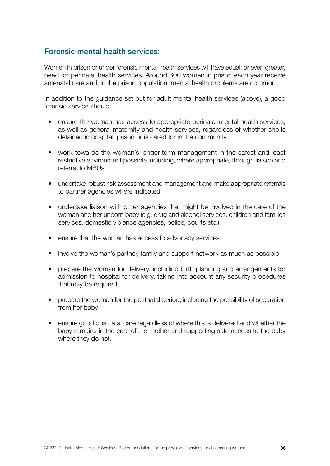### <span id="page-35-0"></span>Forensic mental health services:

Women in prison or under forensic mental health services will have equal, or even greater, need for perinatal health services. Around 600 women in prison each year receive antenatal care and, in the prison population, mental health problems are common.

In addition to the guidance set out for adult mental health services (above), a good forensic service should:

- ensure the woman has access to appropriate perinatal mental health services, as well as general maternity and health services, regardless of whether she is detained in hospital, prison or is cared for in the community
- work towards the woman's longer-term management in the safest and least restrictive environment possible including, where appropriate, through liaison and referral to MBUs
- undertake robust risk assessment and management and make appropriate referrals to partner agencies where indicated
- undertake liaison with other agencies that might be involved in the care of the woman and her unborn baby (e.g. drug and alcohol services, children and families services, domestic violence agencies, police, courts etc.)
- ensure that the woman has access to advocacy services
- involve the woman's partner, family and support network as much as possible
- prepare the woman for delivery, including birth planning and arrangements for admission to hospital for delivery, taking into account any security procedures that may be required
- prepare the woman for the postnatal period, including the possibility of separation from her baby
- ensure good postnatal care regardless of where this is delivered and whether the baby remains in the care of the mother and supporting safe access to the baby where they do not.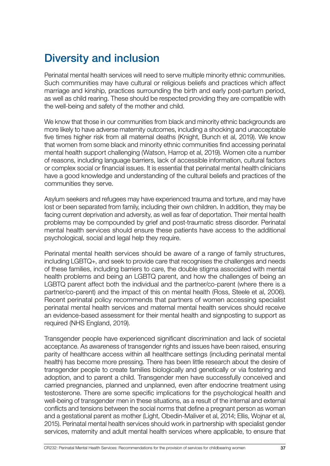# Diversity and inclusion

Perinatal mental health services will need to serve multiple minority ethnic communities. Such communities may have cultural or religious beliefs and practices which affect marriage and kinship, practices surrounding the birth and early post-partum period, as well as child rearing. These should be respected providing they are compatible with the well-being and safety of the mother and child.

We know that those in our communities from black and minority ethnic backgrounds are more likely to have adverse maternity outcomes, including a shocking and unacceptable five times higher risk from all maternal deaths (Knight, Bunch et al, 2019). We know that women from some black and minority ethnic communities find accessing perinatal mental health support challenging (Watson, Harrop et al, 2019). Women cite a number of reasons, including language barriers, lack of accessible information, cultural factors or complex social or financial issues. It is essential that perinatal mental health clinicians have a good knowledge and understanding of the cultural beliefs and practices of the communities they serve.

Asylum seekers and refugees may have experienced trauma and torture, and may have lost or been separated from family, including their own children. In addition, they may be facing current deprivation and adversity, as well as fear of deportation. Their mental health problems may be compounded by grief and post-traumatic stress disorder. Perinatal mental health services should ensure these patients have access to the additional psychological, social and legal help they require.

Perinatal mental health services should be aware of a range of family structures, including LGBTQ+, and seek to provide care that recognises the challenges and needs of these families, including barriers to care, the double stigma associated with mental health problems and being an LGBTQ parent, and how the challenges of being an LGBTQ parent affect both the individual and the partner/co-parent (where there is a partner/co-parent) and the impact of this on mental health (Ross, Steele et al, 2006). Recent perinatal policy recommends that partners of women accessing specialist perinatal mental health services and maternal mental health services should receive an evidence-based assessment for their mental health and signposting to support as required (NHS England, 2019).

Transgender people have experienced significant discrimination and lack of societal acceptance. As awareness of transgender rights and issues have been raised, ensuring parity of healthcare access within all healthcare settings (including perinatal mental health) has become more pressing. There has been little research about the desire of transgender people to create families biologically and genetically or via fostering and adoption, and to parent a child. Transgender men have successfully conceived and carried pregnancies, planned and unplanned, even after endocrine treatment using testosterone. There are some specific implications for the psychological health and well-being of transgender men in these situations, as a result of the internal and external conflicts and tensions between the social norms that define a pregnant person as woman and a gestational parent as mother (Light, Obedin-Maliver et al, 2014; Ellis, Wojnar et al, 2015). Perinatal mental health services should work in partnership with specialist gender services, maternity and adult mental health services where applicable, to ensure that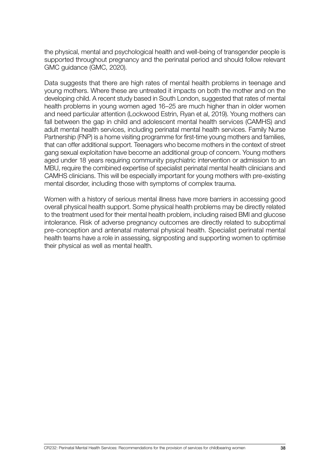the physical, mental and psychological health and well-being of transgender people is supported throughout pregnancy and the perinatal period and should follow relevant GMC guidance (GMC, 2020).

Data suggests that there are high rates of mental health problems in teenage and young mothers. Where these are untreated it impacts on both the mother and on the developing child. A recent study based in South London, suggested that rates of mental health problems in young women aged 16–25 are much higher than in older women and need particular attention (Lockwood Estrin, Ryan et al, 2019). Young mothers can fall between the gap in child and adolescent mental health services (CAMHS) and adult mental health services, including perinatal mental health services. Family Nurse Partnership (FNP) is a home visiting programme for first-time young mothers and families, that can offer additional support. Teenagers who become mothers in the context of street gang sexual exploitation have become an additional group of concern. Young mothers aged under 18 years requiring community psychiatric intervention or admission to an MBU, require the combined expertise of specialist perinatal mental health clinicians and CAMHS clinicians. This will be especially important for young mothers with pre-existing mental disorder, including those with symptoms of complex trauma.

Women with a history of serious mental illness have more barriers in accessing good overall physical health support. Some physical health problems may be directly related to the treatment used for their mental health problem, including raised BMI and glucose intolerance. Risk of adverse pregnancy outcomes are directly related to suboptimal pre-conception and antenatal maternal physical health. Specialist perinatal mental health teams have a role in assessing, signposting and supporting women to optimise their physical as well as mental health.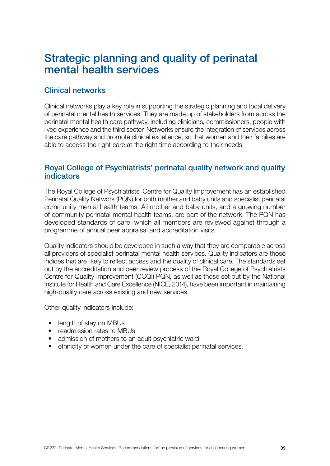# Strategic planning and quality of perinatal mental health services

## Clinical networks

Clinical networks play a key role in supporting the strategic planning and local delivery of perinatal mental health services. They are made up of stakeholders from across the perinatal mental health care pathway, including clinicians, commissioners, people with lived experience and the third sector. Networks ensure the integration of services across the care pathway and promote clinical excellence, so that women and their families are able to access the right care at the right time according to their needs.

### Royal College of Psychiatrists' perinatal quality network and quality indicators

The Royal College of Psychiatrists' Centre for Quality Improvement has an established Perinatal Quality Network (PQN) for both mother and baby units and specialist perinatal community mental health teams. All mother and baby units, and a growing number of community perinatal mental health teams, are part of the network. The PQN has developed standards of care, which all members are reviewed against through a programme of annual peer appraisal and accreditation visits.

Quality indicators should be developed in such a way that they are comparable across all providers of specialist perinatal mental health services. Quality indicators are those indices that are likely to reflect access and the quality of clinical care. The standards set out by the accreditation and peer review process of the Royal College of Psychiatrists Centre for Quality Improvement (CCQI) PQN, as well as those set out by the National Institute for Health and Care Excellence (NICE, 2014), have been important in maintaining high-quality care across existing and new services.

Other quality indicators include:

- length of stay on MBUs
- readmission rates to MBUs
- admission of mothers to an adult psychiatric ward
- ethnicity of women under the care of specialist perinatal services.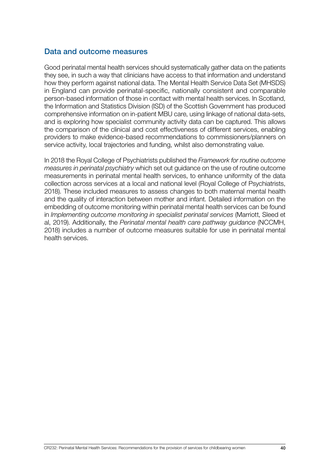### Data and outcome measures

Good perinatal mental health services should systematically gather data on the patients they see, in such a way that clinicians have access to that information and understand how they perform against national data. The Mental Health Service Data Set (MHSDS) in England can provide perinatal-specific, nationally consistent and comparable person-based information of those in contact with mental health services. In Scotland, the Information and Statistics Division (ISD) of the Scottish Government has produced comprehensive information on in-patient MBU care, using linkage of national data-sets, and is exploring how specialist community activity data can be captured. This allows the comparison of the clinical and cost effectiveness of different services, enabling providers to make evidence-based recommendations to commissioners/planners on service activity, local trajectories and funding, whilst also demonstrating value.

In 2018 the Royal College of Psychiatrists published the *Framework for routine outcome measures in perinatal psychiatry* which set out guidance on the use of routine outcome measurements in perinatal mental health services, to enhance uniformity of the data collection across services at a local and national level (Royal College of Psychiatrists, 2018). These included measures to assess changes to both maternal mental health and the quality of interaction between mother and infant. Detailed information on the embedding of outcome monitoring within perinatal mental health services can be found in *Implementing outcome monitoring in specialist perinatal services* (Marriott, Sleed et al, 2019). Additionally, the *Perinatal mental health care pathway guidance* (NCCMH, 2018) includes a number of outcome measures suitable for use in perinatal mental health services.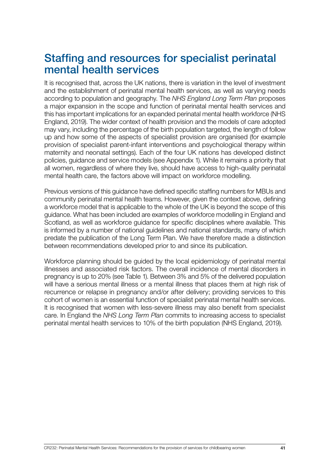# Staffing and resources for specialist perinatal mental health services

It is recognised that, across the UK nations, there is variation in the level of investment and the establishment of perinatal mental health services, as well as varying needs according to population and geography. The *NHS England Long Term Plan* proposes a major expansion in the scope and function of perinatal mental health services and this has important implications for an expanded perinatal mental health workforce (NHS England, 2019). The wider context of health provision and the models of care adopted may vary, including the percentage of the birth population targeted, the length of follow up and how some of the aspects of specialist provision are organised (for example provision of specialist parent-infant interventions and psychological therapy within maternity and neonatal settings). Each of the four UK nations has developed distinct policies, guidance and service models (see Appendix 1). While it remains a priority that all women, regardless of where they live, should have access to high-quality perinatal mental health care, the factors above will impact on workforce modelling.

Previous versions of this guidance have defined specific staffing numbers for MBUs and community perinatal mental health teams. However, given the context above, defining a workforce model that is applicable to the whole of the UK is beyond the scope of this guidance. What has been included are examples of workforce modelling in England and Scotland, as well as workforce guidance for specific disciplines where available. This is informed by a number of national guidelines and national standards, many of which predate the publication of the Long Term Plan. We have therefore made a distinction between recommendations developed prior to and since its publication.

Workforce planning should be guided by the local epidemiology of perinatal mental illnesses and associated risk factors. The overall incidence of mental disorders in pregnancy is up to 20% (see Table 1). Between 3% and 5% of the delivered population will have a serious mental illness or a mental illness that places them at high risk of recurrence or relapse in pregnancy and/or after delivery; providing services to this cohort of women is an essential function of specialist perinatal mental health services. It is recognised that women with less-severe illness may also benefit from specialist care. In England the *NHS Long Term Plan* commits to increasing access to specialist perinatal mental health services to 10% of the birth population (NHS England, 2019).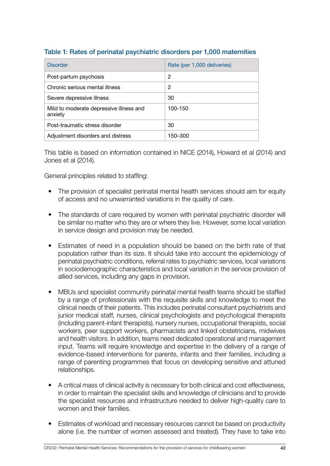| <b>Disorder</b>                                    | Rate (per 1,000 deliveries) |
|----------------------------------------------------|-----------------------------|
| Post-partum psychosis                              | 2                           |
| Chronic serious mental illness                     | 2                           |
| Severe depressive illness                          | 30                          |
| Mild to moderate depressive illness and<br>anxiety | 100-150                     |
| Post-traumatic stress disorder                     | 30                          |
| Adjustment disorders and distress                  | 150–300                     |

### Table 1: Rates of perinatal psychiatric disorders per 1,000 maternities

This table is based on information contained in NICE (2014), Howard et al (2014) and Jones et al (2014).

General principles related to staffing:

- The provision of specialist perinatal mental health services should aim for equity of access and no unwarranted variations in the quality of care.
- The standards of care required by women with perinatal psychiatric disorder will be similar no matter who they are or where they live. However, some local variation in service design and provision may be needed.
- Estimates of need in a population should be based on the birth rate of that population rather than its size. It should take into account the epidemiology of perinatal psychiatric conditions, referral rates to psychiatric services, local variations in sociodemographic characteristics and local variation in the service provision of allied services, including any gaps in provision.
- MBUs and specialist community perinatal mental health teams should be staffed by a range of professionals with the requisite skills and knowledge to meet the clinical needs of their patients. This includes perinatal consultant psychiatrists and junior medical staff, nurses, clinical psychologists and psychological therapists (including parent-infant therapists), nursery nurses, occupational therapists, social workers, peer support workers, pharmacists and linked obstetricians, midwives and health visitors. In addition, teams need dedicated operational and management input. Teams will require knowledge and expertise in the delivery of a range of evidence-based interventions for parents, infants and their families, including a range of parenting programmes that focus on developing sensitive and attuned relationships.
- A critical mass of clinical activity is necessary for both clinical and cost effectiveness, in order to maintain the specialist skills and knowledge of clinicians and to provide the specialist resources and infrastructure needed to deliver high-quality care to women and their families.
- Estimates of workload and necessary resources cannot be based on productivity alone (i.e. the number of women assessed and treated). They have to take into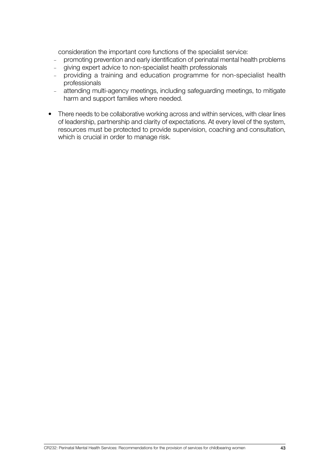consideration the important core functions of the specialist service:

- <sup>−</sup> promoting prevention and early identification of perinatal mental health problems
- <sup>−</sup> giving expert advice to non-specialist health professionals
- <sup>−</sup> providing a training and education programme for non-specialist health professionals
- <sup>−</sup> attending multi-agency meetings, including safeguarding meetings, to mitigate harm and support families where needed.
- There needs to be collaborative working across and within services, with clear lines of leadership, partnership and clarity of expectations. At every level of the system, resources must be protected to provide supervision, coaching and consultation, which is crucial in order to manage risk.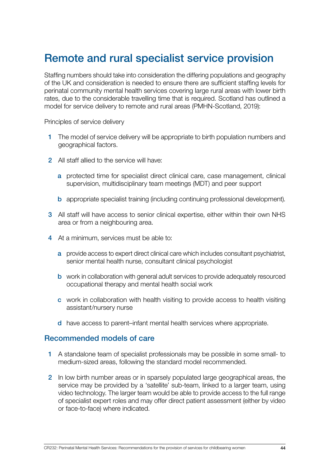# Remote and rural specialist service provision

Staffing numbers should take into consideration the differing populations and geography of the UK and consideration is needed to ensure there are sufficient staffing levels for perinatal community mental health services covering large rural areas with lower birth rates, due to the considerable travelling time that is required. Scotland has outlined a model for service delivery to remote and rural areas (PMHN-Scotland, 2019):

Principles of service delivery

- 1 The model of service delivery will be appropriate to birth population numbers and geographical factors.
- 2 All staff allied to the service will have:
	- a protected time for specialist direct clinical care, case management, clinical supervision, multidisciplinary team meetings (MDT) and peer support
	- b appropriate specialist training (including continuing professional development).
- 3 All staff will have access to senior clinical expertise, either within their own NHS area or from a neighbouring area.
- 4 At a minimum, services must be able to:
	- a provide access to expert direct clinical care which includes consultant psychiatrist, senior mental health nurse, consultant clinical psychologist
	- b work in collaboration with general adult services to provide adequately resourced occupational therapy and mental health social work
	- c work in collaboration with health visiting to provide access to health visiting assistant/nursery nurse
	- d have access to parent–infant mental health services where appropriate.

#### Recommended models of care

- 1 A standalone team of specialist professionals may be possible in some small- to medium-sized areas, following the standard model recommended.
- 2 In low birth number areas or in sparsely populated large geographical areas, the service may be provided by a 'satellite' sub-team, linked to a larger team, using video technology. The larger team would be able to provide access to the full range of specialist expert roles and may offer direct patient assessment (either by video or face-to-face) where indicated.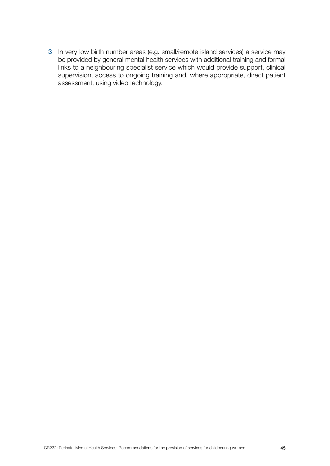3 In very low birth number areas (e.g. small/remote island services) a service may be provided by general mental health services with additional training and formal links to a neighbouring specialist service which would provide support, clinical supervision, access to ongoing training and, where appropriate, direct patient assessment, using video technology.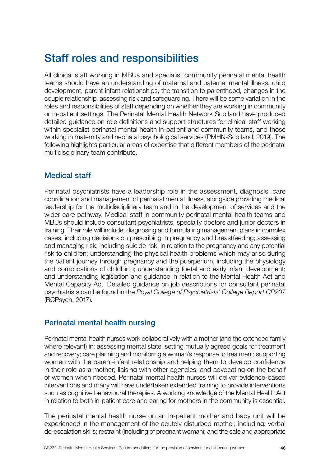# Staff roles and responsibilities

All clinical staff working in MBUs and specialist community perinatal mental health teams should have an understanding of maternal and paternal mental illness, child development, parent-infant relationships, the transition to parenthood, changes in the couple relationship, assessing risk and safeguarding. There will be some variation in the roles and responsibilities of staff depending on whether they are working in community or in-patient settings. The Perinatal Mental Health Network Scotland have produced detailed guidance on role definitions and support structures for clinical staff working within specialist perinatal mental health in-patient and community teams, and those working in maternity and neonatal psychological services (PMHN-Scotland, 2019). The following highlights particular areas of expertise that different members of the perinatal multidisciplinary team contribute.

# Medical staff

Perinatal psychiatrists have a leadership role in the assessment, diagnosis, care coordination and management of perinatal mental illness, alongside providing medical leadership for the multidisciplinary team and in the development of services and the wider care pathway. Medical staff in community perinatal mental health teams and MBUs should include consultant psychiatrists, specialty doctors and junior doctors in training. Their role will include: diagnosing and formulating management plans in complex cases, including decisions on prescribing in pregnancy and breastfeeding; assessing and managing risk, including suicide risk, in relation to the pregnancy and any potential risk to children; understanding the physical health problems which may arise during the patient journey through pregnancy and the puerperium, including the physiology and complications of childbirth; understanding foetal and early infant development; and understanding legislation and guidance in relation to the Mental Health Act and Mental Capacity Act. Detailed guidance on job descriptions for consultant perinatal psychiatrists can be found in the *Royal College of Psychiatrists' College Report CR207* (RCPsych, 2017).

# Perinatal mental health nursing

Perinatal mental health nurses work collaboratively with a mother (and the extended family where relevant) in: assessing mental state; setting mutually agreed goals for treatment and recovery; care planning and monitoring a woman's response to treatment; supporting women with the parent-infant relationship and helping them to develop confidence in their role as a mother; liaising with other agencies; and advocating on the behalf of women when needed. Perinatal mental health nurses will deliver evidence-based interventions and many will have undertaken extended training to provide interventions such as cognitive behavioural therapies. A working knowledge of the Mental Health Act in relation to both in-patient care and caring for mothers in the community is essential.

The perinatal mental health nurse on an in-patient mother and baby unit will be experienced in the management of the acutely disturbed mother, including: verbal de-escalation skills; restraint (including of pregnant woman); and the safe and appropriate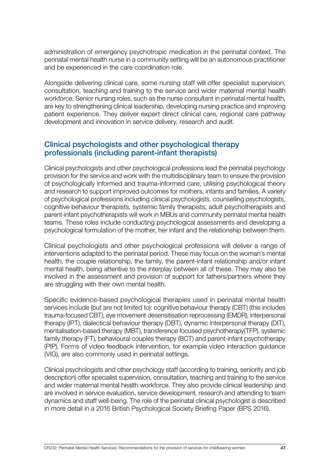administration of emergency psychotropic medication in the perinatal context. The perinatal mental health nurse in a community setting will be an autonomous practitioner and be experienced in the care coordination role.

Alongside delivering clinical care, some nursing staff will offer specialist supervision, consultation, teaching and training to the service and wider maternal mental health workforce. Senior nursing roles, such as the nurse consultant in perinatal mental health, are key to strengthening clinical leadership, developing nursing practice and improving patient experience. They deliver expert direct clinical care, regional care pathway development and innovation in service delivery, research and audit.

### Clinical psychologists and other psychological therapy professionals (including parent-infant therapists)

Clinical psychologists and other psychological professions lead the perinatal psychology provision for the service and work with the multidisciplinary team to ensure the provision of psychologically informed and trauma-informed care, utilising psychological theory and research to support improved outcomes for mothers, infants and families. A variety of psychological professions including clinical psychologists, counselling psychologists, cognitive behaviour therapists, systemic family therapists, adult psychotherapists and parent-infant psychotherapists will work in MBUs and community perinatal mental health teams. These roles include conducting psychological assessments and developing a psychological formulation of the mother, her infant and the relationship between them.

Clinical psychologists and other psychological professions will deliver a range of interventions adapted to the perinatal period. These may focus on the woman's mental health, the couple relationship, the family, the parent-infant relationship and/or infant mental health, being attentive to the interplay between all of these. They may also be involved in the assessment and provision of support for fathers/partners where they are struggling with their own mental health.

Specific evidence-based psychological therapies used in perinatal mental health services include (but are not limited to): cognitive behaviour therapy (CBT) (this includes trauma-focused CBT), eye movement desensitisation reprocessing (EMDR), interpersonal therapy (IPT), dialectical behaviour therapy (DBT), dynamic interpersonal therapy (DIT), mentalisation-based therapy (MBT), transference focused psychotherapy(TFP), systemic family therapy (FT), behavioural couples therapy (BCT) and parent-infant psychotherapy (PIP). Forms of video feedback intervention, for example video interaction guidance (VIG), are also commonly used in perinatal settings.

Clinical psychologists and other psychology staff (according to training, seniority and job description) offer specialist supervision, consultation, teaching and training to the service and wider maternal mental health workforce. They also provide clinical leadership and are involved in service evaluation, service development, research and attending to team dynamics and staff well-being. The role of the perinatal clinical psychologist is described in more detail in a 2016 British Psychological Society Briefing Paper (BPS 2016).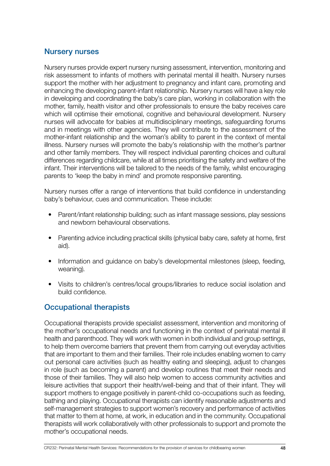### Nursery nurses

Nursery nurses provide expert nursery nursing assessment, intervention, monitoring and risk assessment to infants of mothers with perinatal mental ill health. Nursery nurses support the mother with her adjustment to pregnancy and infant care, promoting and enhancing the developing parent-infant relationship. Nursery nurses will have a key role in developing and coordinating the baby's care plan, working in collaboration with the mother, family, health visitor and other professionals to ensure the baby receives care which will optimise their emotional, cognitive and behavioural development. Nursery nurses will advocate for babies at multidisciplinary meetings, safeguarding forums and in meetings with other agencies. They will contribute to the assessment of the mother-infant relationship and the woman's ability to parent in the context of mental illness. Nursery nurses will promote the baby's relationship with the mother's partner and other family members. They will respect individual parenting choices and cultural differences regarding childcare, while at all times prioritising the safety and welfare of the infant. Their interventions will be tailored to the needs of the family, whilst encouraging parents to 'keep the baby in mind' and promote responsive parenting.

Nursery nurses offer a range of interventions that build confidence in understanding baby's behaviour, cues and communication. These include:

- Parent/infant relationship building; such as infant massage sessions, play sessions and newborn behavioural observations.
- Parenting advice including practical skills (physical baby care, safety at home, first aid).
- Information and guidance on baby's developmental milestones (sleep, feeding, weaning).
- Visits to children's centres/local groups/libraries to reduce social isolation and build confidence.

## Occupational therapists

Occupational therapists provide specialist assessment, intervention and monitoring of the mother's occupational needs and functioning in the context of perinatal mental ill health and parenthood. They will work with women in both individual and group settings, to help them overcome barriers that prevent them from carrying out everyday activities that are important to them and their families. Their role includes enabling women to carry out personal care activities (such as healthy eating and sleeping), adjust to changes in role (such as becoming a parent) and develop routines that meet their needs and those of their families. They will also help women to access community activities and leisure activities that support their health/well-being and that of their infant. They will support mothers to engage positively in parent-child co-occupations such as feeding, bathing and playing. Occupational therapists can identify reasonable adjustments and self-management strategies to support women's recovery and performance of activities that matter to them at home, at work, in education and in the community. Occupational therapists will work collaboratively with other professionals to support and promote the mother's occupational needs.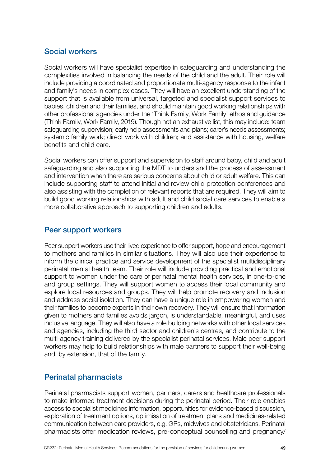### Social workers

Social workers will have specialist expertise in safeguarding and understanding the complexities involved in balancing the needs of the child and the adult. Their role will include providing a coordinated and proportionate multi-agency response to the infant and family's needs in complex cases. They will have an excellent understanding of the support that is available from universal, targeted and specialist support services to babies, children and their families, and should maintain good working relationships with other professional agencies under the 'Think Family, Work Family' ethos and guidance (Think Family, Work Family, 2019). Though not an exhaustive list, this may include: team safeguarding supervision; early help assessments and plans; carer's needs assessments; systemic family work; direct work with children; and assistance with housing, welfare benefits and child care.

Social workers can offer support and supervision to staff around baby, child and adult safeguarding and also supporting the MDT to understand the process of assessment and intervention when there are serious concerns about child or adult welfare. This can include supporting staff to attend initial and review child protection conferences and also assisting with the completion of relevant reports that are required. They will aim to build good working relationships with adult and child social care services to enable a more collaborative approach to supporting children and adults.

### Peer support workers

Peer support workers use their lived experience to offer support, hope and encouragement to mothers and families in similar situations. They will also use their experience to inform the clinical practice and service development of the specialist multidisciplinary perinatal mental health team. Their role will include providing practical and emotional support to women under the care of perinatal mental health services, in one-to-one and group settings. They will support women to access their local community and explore local resources and groups. They will help promote recovery and inclusion and address social isolation. They can have a unique role in empowering women and their families to become experts in their own recovery. They will ensure that information given to mothers and families avoids jargon, is understandable, meaningful, and uses inclusive language. They will also have a role building networks with other local services and agencies, including the third sector and children's centres, and contribute to the multi-agency training delivered by the specialist perinatal services. Male peer support workers may help to build relationships with male partners to support their well-being and, by extension, that of the family.

## Perinatal pharmacists

Perinatal pharmacists support women, partners, carers and healthcare professionals to make informed treatment decisions during the perinatal period. Their role enables access to specialist medicines information, opportunities for evidence-based discussion, exploration of treatment options, optimisation of treatment plans and medicines-related communication between care providers, e.g. GPs, midwives and obstetricians. Perinatal pharmacists offer medication reviews, pre-conceptual counselling and pregnancy/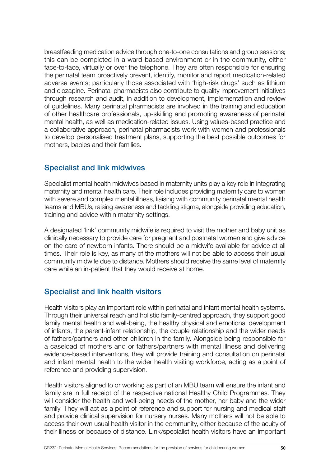breastfeeding medication advice through one-to-one consultations and group sessions; this can be completed in a ward-based environment or in the community, either face-to-face, virtually or over the telephone. They are often responsible for ensuring the perinatal team proactively prevent, identify, monitor and report medication-related adverse events; particularly those associated with 'high-risk drugs' such as lithium and clozapine. Perinatal pharmacists also contribute to quality improvement initiatives through research and audit, in addition to development, implementation and review of guidelines. Many perinatal pharmacists are involved in the training and education of other healthcare professionals, up-skilling and promoting awareness of perinatal mental health, as well as medication-related issues. Using values-based practice and a collaborative approach, perinatal pharmacists work with women and professionals to develop personalised treatment plans, supporting the best possible outcomes for mothers, babies and their families.

### Specialist and link midwives

Specialist mental health midwives based in maternity units play a key role in integrating maternity and mental health care. Their role includes providing maternity care to women with severe and complex mental illness, liaising with community perinatal mental health teams and MBUs, raising awareness and tackling stigma, alongside providing education, training and advice within maternity settings.

A designated 'link' community midwife is required to visit the mother and baby unit as clinically necessary to provide care for pregnant and postnatal women and give advice on the care of newborn infants. There should be a midwife available for advice at all times. Their role is key, as many of the mothers will not be able to access their usual community midwife due to distance. Mothers should receive the same level of maternity care while an in-patient that they would receive at home.

## Specialist and link health visitors

Health visitors play an important role within perinatal and infant mental health systems. Through their universal reach and holistic family-centred approach, they support good family mental health and well-being, the healthy physical and emotional development of infants, the parent-infant relationship, the couple relationship and the wider needs of fathers/partners and other children in the family. Alongside being responsible for a caseload of mothers and or fathers/partners with mental illness and delivering evidence-based interventions, they will provide training and consultation on perinatal and infant mental health to the wider health visiting workforce, acting as a point of reference and providing supervision.

Health visitors aligned to or working as part of an MBU team will ensure the infant and family are in full receipt of the respective national Healthy Child Programmes. They will consider the health and well-being needs of the mother, her baby and the wider family. They will act as a point of reference and support for nursing and medical staff and provide clinical supervision for nursery nurses. Many mothers will not be able to access their own usual health visitor in the community, either because of the acuity of their illness or because of distance. Link/specialist health visitors have an important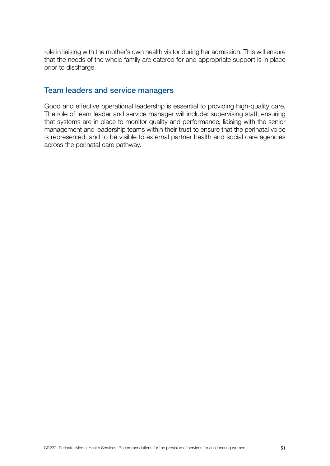role in liaising with the mother's own health visitor during her admission. This will ensure that the needs of the whole family are catered for and appropriate support is in place prior to discharge.

# Team leaders and service managers

Good and effective operational leadership is essential to providing high-quality care. The role of team leader and service manager will include: supervising staff; ensuring that systems are in place to monitor quality and performance; liaising with the senior management and leadership teams within their trust to ensure that the perinatal voice is represented; and to be visible to external partner health and social care agencies across the perinatal care pathway.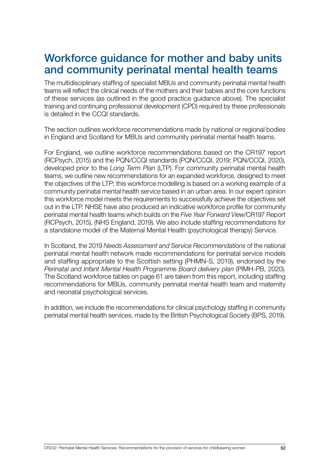# Workforce guidance for mother and baby units and community perinatal mental health teams

The multidisciplinary staffing of specialist MBUs and community perinatal mental health teams will reflect the clinical needs of the mothers and their babies and the core functions of these services (as outlined in the good practice guidance above). The specialist training and continuing professional development (CPD) required by these professionals is detailed in the CCQI standards.

The section outlines workforce recommendations made by national or regional bodies in England and Scotland for MBUs and community perinatal mental health teams.

For England, we outline workforce recommendations based on the CR197 report (RCPsych, 2015) and the PQN/CCQI standards (PQN/CCQI, 2019; PQN/CCQI, 2020), developed prior to the *Long Term Plan* (LTP). For community perinatal mental health teams, we outline new recommendations for an expanded workforce, designed to meet the objectives of the LTP; this workforce modelling is based on a working example of a community perinatal mental health service based in an urban area. In our expert opinion this workforce model meets the requirements to successfully achieve the objectives set out in the LTP. NHSE have also produced an indicative workforce profile for community perinatal mental health teams which builds on the *Five Year Forward View*/CR197 Report (RCPsych, 2015), (NHS England, 2019). We also include staffing recommendations for a standalone model of the Maternal Mental Health (psychological therapy) Service.

In Scotland, the 2019 *Needs Assessment and Service Recommendations* of the national perinatal mental health network made recommendations for perinatal service models and staffing appropriate to the Scottish setting (PHMN-S, 2019), endorsed by the *Perinatal and Infant Mental Health Programme Board delivery plan* (PIMH-PB, 2020). The Scotland workforce tables on page 61 are taken from this report, including staffing recommendations for MBUs, community perinatal mental health team and maternity and neonatal psychological services.

In addition, we include the recommendations for clinical psychology staffing in community perinatal mental health services, made by the British Psychological Society (BPS, 2019).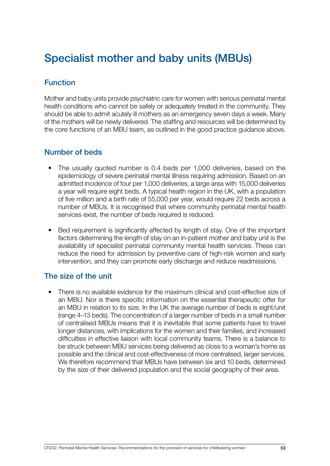# Specialist mother and baby units (MBUs)

# Function

Mother and baby units provide psychiatric care for women with serious perinatal mental health conditions who cannot be safely or adequately treated in the community. They should be able to admit acutely ill mothers as an emergency seven days a week. Many of the mothers will be newly delivered. The staffing and resources will be determined by the core functions of an MBU team, as outlined in the good practice guidance above.

### Number of beds

- The usually quoted number is 0.4 beds per 1,000 deliveries, based on the epidemiology of severe perinatal mental illness requiring admission. Based on an admitted incidence of four per 1,000 deliveries, a large area with 15,000 deliveries a year will require eight beds. A typical health region in the UK, with a population of five million and a birth rate of 55,000 per year, would require 22 beds across a number of MBUs. It is recognised that where community perinatal mental health services exist, the number of beds required is reduced.
- Bed requirement is significantly affected by length of stay. One of the important factors determining the length of stay on an in-patient mother and baby unit is the availability of specialist perinatal community mental health services. These can reduce the need for admission by preventive care of high-risk women and early intervention, and they can promote early discharge and reduce readmissions.

## The size of the unit

• There is no available evidence for the maximum clinical and cost-effective size of an MBU. Nor is there specific information on the essential therapeutic offer for an MBU in relation to its size. In the UK the average number of beds is eight/unit (range 4–13 beds). The concentration of a larger number of beds in a small number of centralised MBUs means that it is inevitable that some patients have to travel longer distances, with implications for the women and their families, and increased difficulties in effective liaison with local community teams. There is a balance to be struck between MBU services being delivered as close to a woman's home as possible and the clinical and cost-effectiveness of more centralised, larger services. We therefore recommend that MBUs have between six and 10 beds, determined by the size of their delivered population and the social geography of their area.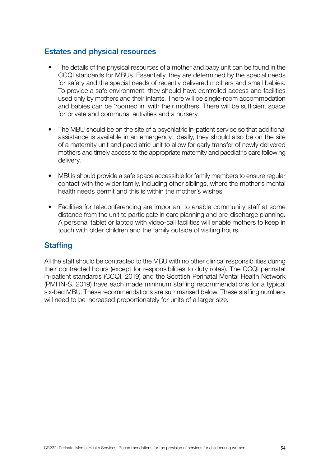### Estates and physical resources

- The details of the physical resources of a mother and baby unit can be found in the CCQI standards for MBUs. Essentially, they are determined by the special needs for safety and the special needs of recently delivered mothers and small babies. To provide a safe environment, they should have controlled access and facilities used only by mothers and their infants. There will be single-room accommodation and babies can be 'roomed in' with their mothers. There will be sufficient space for private and communal activities and a nursery.
- The MBU should be on the site of a psychiatric in-patient service so that additional assistance is available in an emergency. Ideally, they should also be on the site of a maternity unit and paediatric unit to allow for early transfer of newly delivered mothers and timely access to the appropriate maternity and paediatric care following delivery.
- MBUs should provide a safe space accessible for family members to ensure regular contact with the wider family, including other siblings, where the mother's mental health needs permit and this is within the mother's wishes.
- Facilities for teleconferencing are important to enable community staff at some distance from the unit to participate in care planning and pre-discharge planning. A personal tablet or laptop with video-call facilities will enable mothers to keep in touch with older children and the family outside of visiting hours.

# **Staffing**

All the staff should be contracted to the MBU with no other clinical responsibilities during their contracted hours (except for responsibilities to duty rotas). The CCQI perinatal in-patient standards (CCQI, 2019) and the Scottish Perinatal Mental Health Network (PMHN-S, 2019) have each made minimum staffing recommendations for a typical six-bed MBU. These recommendations are summarised below. These staffing numbers will need to be increased proportionately for units of a larger size.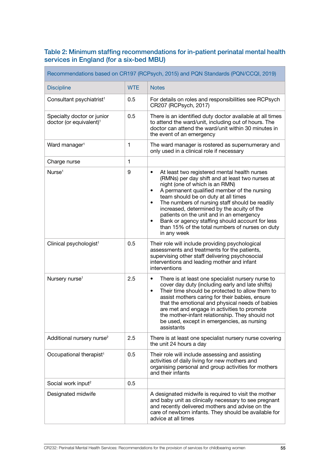#### Table 2: Minimum staffing recommendations for in-patient perinatal mental health services in England (for a six-bed MBU)

 $\blacksquare$ 

| Recommendations based on CR197 (RCPsych, 2015) and PQN Standards (PQN/CCQI, 2019) |              |                                                                                                                                                                                                                                                                                                                                                                                                                                                                                                                      |  |
|-----------------------------------------------------------------------------------|--------------|----------------------------------------------------------------------------------------------------------------------------------------------------------------------------------------------------------------------------------------------------------------------------------------------------------------------------------------------------------------------------------------------------------------------------------------------------------------------------------------------------------------------|--|
| <b>Discipline</b>                                                                 | <b>WTE</b>   | <b>Notes</b>                                                                                                                                                                                                                                                                                                                                                                                                                                                                                                         |  |
| Consultant psychiatrist <sup>1</sup>                                              | 0.5          | For details on roles and responsibilities see RCPsych<br>CR207 (RCPsych, 2017)                                                                                                                                                                                                                                                                                                                                                                                                                                       |  |
| Specialty doctor or junior<br>doctor (or equivalent) <sup>1</sup>                 | 0.5          | There is an identified duty doctor available at all times<br>to attend the ward/unit, including out of hours. The<br>doctor can attend the ward/unit within 30 minutes in<br>the event of an emergency                                                                                                                                                                                                                                                                                                               |  |
| Ward manager <sup>1</sup>                                                         | 1            | The ward manager is rostered as supernumerary and<br>only used in a clinical role if necessary                                                                                                                                                                                                                                                                                                                                                                                                                       |  |
| Charge nurse                                                                      | $\mathbf{1}$ |                                                                                                                                                                                                                                                                                                                                                                                                                                                                                                                      |  |
| Nurse <sup>1</sup>                                                                | 9            | At least two registered mental health nurses<br>٠<br>(RMNs) per day shift and at least two nurses at<br>night (one of which is an RMN)<br>A permanent qualified member of the nursing<br>$\bullet$<br>team should be on duty at all times<br>The numbers of nursing staff should be readily<br>٠<br>increased, determined by the acuity of the<br>patients on the unit and in an emergency<br>Bank or agency staffing should account for less<br>٠<br>than 15% of the total numbers of nurses on duty<br>in any week |  |
| Clinical psychologist <sup>1</sup>                                                | 0.5          | Their role will include providing psychological<br>assessments and treatments for the patients,<br>supervising other staff delivering psychosocial<br>interventions and leading mother and infant<br>interventions                                                                                                                                                                                                                                                                                                   |  |
| Nursery nurse <sup>1</sup>                                                        | 2.5          | There is at least one specialist nursery nurse to<br>$\bullet$<br>cover day duty (including early and late shifts)<br>Their time should be protected to allow them to<br>$\bullet$<br>assist mothers caring for their babies, ensure<br>that the emotional and physical needs of babies<br>are met and engage in activities to promote<br>the mother-infant relationship. They should not<br>be used, except in emergencies, as nursing<br>assistants                                                                |  |
| Additional nursery nurse <sup>2</sup>                                             | 2.5          | There is at least one specialist nursery nurse covering<br>the unit 24 hours a day                                                                                                                                                                                                                                                                                                                                                                                                                                   |  |
| Occupational therapist <sup>1</sup>                                               | 0.5          | Their role will include assessing and assisting<br>activities of daily living for new mothers and<br>organising personal and group activities for mothers<br>and their infants                                                                                                                                                                                                                                                                                                                                       |  |
| Social work input <sup>2</sup>                                                    | 0.5          |                                                                                                                                                                                                                                                                                                                                                                                                                                                                                                                      |  |
| Designated midwife                                                                |              | A designated midwife is required to visit the mother<br>and baby unit as clinically necessary to see pregnant<br>and recently delivered mothers and advise on the<br>care of newborn infants. They should be available for<br>advice at all times                                                                                                                                                                                                                                                                    |  |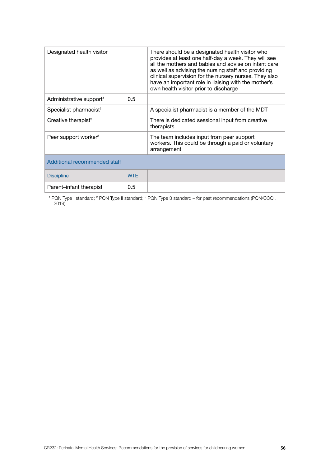| Designated health visitor           |            | There should be a designated health visitor who<br>provides at least one half-day a week. They will see<br>all the mothers and babies and advise on infant care<br>as well as advising the nursing staff and providing<br>clinical supervision for the nursery nurses. They also<br>have an important role in liaising with the mother's<br>own health visitor prior to discharge |
|-------------------------------------|------------|-----------------------------------------------------------------------------------------------------------------------------------------------------------------------------------------------------------------------------------------------------------------------------------------------------------------------------------------------------------------------------------|
| Administrative support <sup>1</sup> | 0.5        |                                                                                                                                                                                                                                                                                                                                                                                   |
| Specialist pharmacist <sup>1</sup>  |            | A specialist pharmacist is a member of the MDT                                                                                                                                                                                                                                                                                                                                    |
| Creative therapist <sup>3</sup>     |            | There is dedicated sessional input from creative<br>therapists                                                                                                                                                                                                                                                                                                                    |
| Peer support worker <sup>3</sup>    |            | The team includes input from peer support<br>workers. This could be through a paid or voluntary<br>arrangement                                                                                                                                                                                                                                                                    |
| Additional recommended staff        |            |                                                                                                                                                                                                                                                                                                                                                                                   |
| <b>Discipline</b>                   | <b>WTF</b> |                                                                                                                                                                                                                                                                                                                                                                                   |
| Parent-infant therapist             | 0.5        |                                                                                                                                                                                                                                                                                                                                                                                   |

<sup>1</sup> PQN Type I standard; <sup>2</sup> PQN Type II standard; <sup>3</sup> PQN Type 3 standard – for past recommendations (PQN/CCQI, 2019)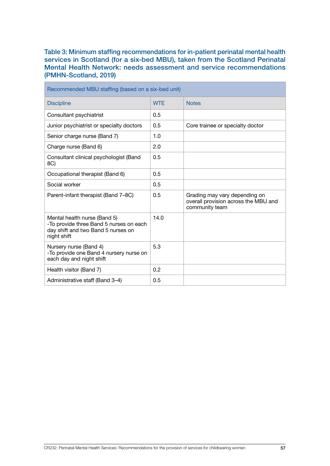Table 3: Minimum staffing recommendations for in-patient perinatal mental health services in Scotland (for a six-bed MBU), taken from the Scotland Perinatal Mental Health Network: needs assessment and service recommendations (PMHN-Scotland, 2019)

| Recommended MBU staffing (based on a six-bed unit)                                                                           |                  |                                                                                         |  |  |
|------------------------------------------------------------------------------------------------------------------------------|------------------|-----------------------------------------------------------------------------------------|--|--|
| <b>Discipline</b>                                                                                                            | <b>WTE</b>       | <b>Notes</b>                                                                            |  |  |
| Consultant psychiatrist                                                                                                      | 0.5              |                                                                                         |  |  |
| Junior psychiatrist or specialty doctors                                                                                     | 0.5              | Core trainee or specialty doctor                                                        |  |  |
| Senior charge nurse (Band 7)                                                                                                 | 1.0              |                                                                                         |  |  |
| Charge nurse (Band 6)                                                                                                        | 2.0              |                                                                                         |  |  |
| Consultant clinical psychologist (Band<br>8C)                                                                                | 0.5              |                                                                                         |  |  |
| Occupational therapist (Band 6)                                                                                              | 0.5              |                                                                                         |  |  |
| Social worker                                                                                                                | 0.5              |                                                                                         |  |  |
| Parent-infant therapist (Band 7-8C)                                                                                          | 0.5              | Grading may vary depending on<br>overall provision across the MBU and<br>community team |  |  |
| Mental health nurse (Band 5)<br>-To provide three Band 5 nurses on each<br>day shift and two Band 5 nurses on<br>night shift | 14.0             |                                                                                         |  |  |
| Nursery nurse (Band 4)<br>-To provide one Band 4 nursery nurse on<br>each day and night shift                                | 5.3              |                                                                                         |  |  |
| Health visitor (Band 7)                                                                                                      | 0.2 <sub>2</sub> |                                                                                         |  |  |
| Administrative staff (Band 3-4)                                                                                              | 0.5              |                                                                                         |  |  |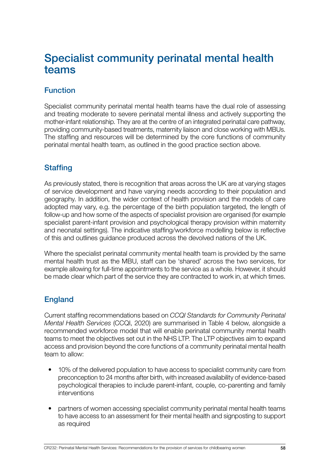# Specialist community perinatal mental health teams

# Function

Specialist community perinatal mental health teams have the dual role of assessing and treating moderate to severe perinatal mental illness and actively supporting the mother-infant relationship. They are at the centre of an integrated perinatal care pathway, providing community-based treatments, maternity liaison and close working with MBUs. The staffing and resources will be determined by the core functions of community perinatal mental health team, as outlined in the good practice section above.

# **Staffing**

As previously stated, there is recognition that areas across the UK are at varying stages of service development and have varying needs according to their population and geography. In addition, the wider context of health provision and the models of care adopted may vary, e.g. the percentage of the birth population targeted, the length of follow-up and how some of the aspects of specialist provision are organised (for example specialist parent-infant provision and psychological therapy provision within maternity and neonatal settings). The indicative staffing/workforce modelling below is reflective of this and outlines guidance produced across the devolved nations of the UK.

Where the specialist perinatal community mental health team is provided by the same mental health trust as the MBU, staff can be 'shared' across the two services, for example allowing for full-time appointments to the service as a whole. However, it should be made clear which part of the service they are contracted to work in, at which times.

## **England**

Current staffing recommendations based on *CCQI Standards for Community Perinatal Mental Health Services* (CCQI, 2020) are summarised in Table 4 below, alongside a recommended workforce model that will enable perinatal community mental health teams to meet the objectives set out in the NHS LTP. The LTP objectives aim to expand access and provision beyond the core functions of a community perinatal mental health team to allow:

- 10% of the delivered population to have access to specialist community care from preconception to 24 months after birth, with increased availability of evidence-based psychological therapies to include parent-infant, couple, co-parenting and family interventions
- partners of women accessing specialist community perinatal mental health teams to have access to an assessment for their mental health and signposting to support as required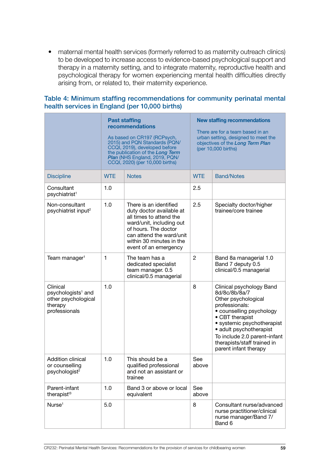• maternal mental health services (formerly referred to as maternity outreach clinics) to be developed to increase access to evidence-based psychological support and therapy in a maternity setting, and to integrate maternity, reproductive health and psychological therapy for women experiencing mental health difficulties directly arising from, or related to, their maternity experience.

|                                                                                               | <b>Past staffing</b><br>recommendations<br>As based on CR197 (RCPsych,<br>2015) and PQN Standards (PQN/<br>CCQI, 2019), developed before<br>the publication of the Long Term<br>Plan (NHS England, 2019, PQN/<br>CCQI, 2020) (per 10,000 births) |                                                                                                                                                                                                                    | <b>New staffing recommendations</b><br>There are for a team based in an<br>urban setting, designed to meet the<br>objectives of the Long Term Plan<br>(per 10,000 births) |                                                                                                                                                                                                                                                                                    |
|-----------------------------------------------------------------------------------------------|--------------------------------------------------------------------------------------------------------------------------------------------------------------------------------------------------------------------------------------------------|--------------------------------------------------------------------------------------------------------------------------------------------------------------------------------------------------------------------|---------------------------------------------------------------------------------------------------------------------------------------------------------------------------|------------------------------------------------------------------------------------------------------------------------------------------------------------------------------------------------------------------------------------------------------------------------------------|
| <b>Discipline</b>                                                                             | <b>WTE</b>                                                                                                                                                                                                                                       | <b>Notes</b>                                                                                                                                                                                                       | <b>WTE</b>                                                                                                                                                                | <b>Band/Notes</b>                                                                                                                                                                                                                                                                  |
| Consultant<br>psychiatrist <sup>1</sup>                                                       | 1.0                                                                                                                                                                                                                                              |                                                                                                                                                                                                                    | 2.5                                                                                                                                                                       |                                                                                                                                                                                                                                                                                    |
| Non-consultant<br>psychiatrist input <sup>2</sup>                                             | 1.0                                                                                                                                                                                                                                              | There is an identified<br>duty doctor available at<br>all times to attend the<br>ward/unit, including out<br>of hours. The doctor<br>can attend the ward/unit<br>within 30 minutes in the<br>event of an emergency | 2.5                                                                                                                                                                       | Specialty doctor/higher<br>trainee/core trainee                                                                                                                                                                                                                                    |
| Team manager <sup>1</sup>                                                                     | $\mathbf{1}$                                                                                                                                                                                                                                     | The team has a<br>dedicated specialist<br>team manager. 0.5<br>clinical/0.5 managerial                                                                                                                             | $\overline{2}$                                                                                                                                                            | Band 8a managerial 1.0<br>Band 7 deputy 0.5<br>clinical/0.5 managerial                                                                                                                                                                                                             |
| Clinical<br>psychologists <sup>1</sup> and<br>other psychological<br>therapy<br>professionals | 1.0                                                                                                                                                                                                                                              |                                                                                                                                                                                                                    | 8                                                                                                                                                                         | Clinical psychology Band<br>8d/8c/8b/8a/7<br>Other psychological<br>professionals:<br>• counselling psychology<br>• CBT therapist<br>• systemic psychotherapist<br>• adult psychotherapist<br>To include 2.0 parent-infant<br>therapists/staff trained in<br>parent infant therapy |
| <b>Addition clinical</b><br>or counselling<br>psychologist <sup>2</sup>                       | 1.0                                                                                                                                                                                                                                              | This should be a<br>qualified professional<br>and not an assistant or<br>trainee                                                                                                                                   | See<br>above                                                                                                                                                              |                                                                                                                                                                                                                                                                                    |
| Parent-infant<br>therapist <sup>t3</sup>                                                      | 1.0                                                                                                                                                                                                                                              | Band 3 or above or local<br>equivalent                                                                                                                                                                             | See<br>above                                                                                                                                                              |                                                                                                                                                                                                                                                                                    |
| Nurse <sup>1</sup>                                                                            | 5.0                                                                                                                                                                                                                                              |                                                                                                                                                                                                                    | 8                                                                                                                                                                         | Consultant nurse/advanced<br>nurse practitioner/clinical<br>nurse manager/Band 7/<br>Band 6                                                                                                                                                                                        |

#### Table 4: Minimum staffing recommendations for community perinatal mental health services in England (per 10,000 births)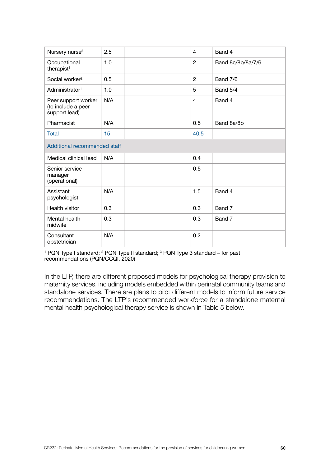| Nursery nurse <sup>2</sup>                                 | 2.5 |  | 4              | Band 4            |
|------------------------------------------------------------|-----|--|----------------|-------------------|
| Occupational<br>therapist <sup>1</sup>                     | 1.0 |  | $\overline{c}$ | Band 8c/8b/8a/7/6 |
| Social worker <sup>2</sup>                                 | 0.5 |  | $\overline{2}$ | Band 7/6          |
| Administrator <sup>1</sup>                                 | 1.0 |  | 5              | Band 5/4          |
| Peer support worker<br>(to include a peer<br>support lead) | N/A |  | $\overline{4}$ | Band 4            |
| Pharmacist                                                 | N/A |  | 0.5            | Band 8a/8b        |
| Total                                                      | 15  |  | 40.5           |                   |
| Additional recommended staff                               |     |  |                |                   |
| Medical clinical lead                                      | N/A |  | 0.4            |                   |
| Senior service<br>manager<br>(operational)                 |     |  | 0.5            |                   |
| Assistant<br>psychologist                                  | N/A |  | 1.5            | Band 4            |
| Health visitor                                             | 0.3 |  | 0.3            | Band 7            |
| Mental health<br>midwife                                   | 0.3 |  | 0.3            | Band 7            |
| Consultant<br>obstetrician                                 | N/A |  | 0.2            |                   |

<sup>1</sup> PQN Type I standard; <sup>2</sup> PQN Type II standard; <sup>3</sup> PQN Type 3 standard – for past recommendations (PQN/CCQI, 2020)

In the LTP, there are different proposed models for psychological therapy provision to maternity services, including models embedded within perinatal community teams and standalone services. There are plans to pilot different models to inform future service recommendations. The LTP's recommended workforce for a standalone maternal mental health psychological therapy service is shown in Table 5 below.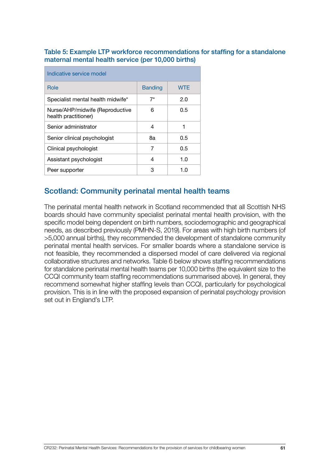Table 5: Example LTP workforce recommendations for staffing for a standalone maternal mental health service (per 10,000 births)

| Indicative service model                                |                |            |  |  |
|---------------------------------------------------------|----------------|------------|--|--|
| Role                                                    | <b>Banding</b> | <b>WTE</b> |  |  |
| Specialist mental health midwife*                       | $7^{\star}$    | 2.0        |  |  |
| Nurse/AHP/midwife (Reproductive<br>health practitioner) | 6              | 0.5        |  |  |
| Senior administrator                                    | 4              | 1          |  |  |
| Senior clinical psychologist                            | 8а             | 0.5        |  |  |
| Clinical psychologist                                   | 7              | 0.5        |  |  |
| Assistant psychologist                                  | 4              | 1.0        |  |  |
| Peer supporter                                          | з              | 1.0        |  |  |

## Scotland: Community perinatal mental health teams

The perinatal mental health network in Scotland recommended that all Scottish NHS boards should have community specialist perinatal mental health provision, with the specific model being dependent on birth numbers, sociodemographic and geographical needs, as described previously (PMHN-S, 2019). For areas with high birth numbers (of >5,000 annual births), they recommended the development of standalone community perinatal mental health services. For smaller boards where a standalone service is not feasible, they recommended a dispersed model of care delivered via regional collaborative structures and networks. Table 6 below shows staffing recommendations for standalone perinatal mental health teams per 10,000 births (the equivalent size to the CCQI community team staffing recommendations summarised above). In general, they recommend somewhat higher staffing levels than CCQI, particularly for psychological provision. This is in line with the proposed expansion of perinatal psychology provision set out in England's LTP.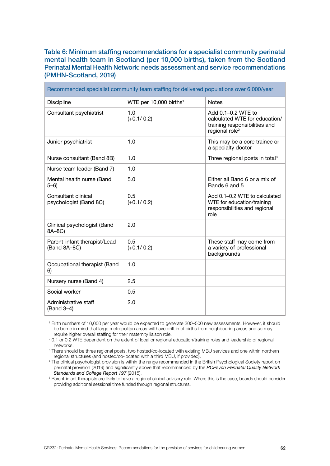#### Table 6: Minimum staffing recommendations for a specialist community perinatal mental health team in Scotland (per 10,000 births), taken from the Scotland Perinatal Mental Health Network: needs assessment and service recommendations (PMHN-Scotland, 2019)

| Recommended specialist community team staffing for delivered populations over 6,000/year |                                    |                                                                                                                    |  |  |
|------------------------------------------------------------------------------------------|------------------------------------|--------------------------------------------------------------------------------------------------------------------|--|--|
| <b>Discipline</b>                                                                        | WTE per 10,000 births <sup>1</sup> | <b>Notes</b>                                                                                                       |  |  |
| Consultant psychiatrist                                                                  | 1.0<br>$(+0.1/0.2)$                | Add 0.1–0.2 WTE to<br>calculated WTE for education/<br>training responsibilities and<br>regional role <sup>2</sup> |  |  |
| Junior psychiatrist                                                                      | 1.0                                | This may be a core trainee or<br>a specialty doctor                                                                |  |  |
| Nurse consultant (Band 8B)                                                               | 1.0                                | Three regional posts in total <sup>3</sup>                                                                         |  |  |
| Nurse team leader (Band 7)                                                               | 1.0                                |                                                                                                                    |  |  |
| Mental health nurse (Band<br>$5 - 6$ )                                                   | 5.0                                | Either all Band 6 or a mix of<br>Bands 6 and 5                                                                     |  |  |
| Consultant clinical<br>psychologist (Band 8C)                                            | 0.5<br>$(+0.1/0.2)$                | Add 0.1-0.2 WTE to calculated<br>WTE for education/training<br>responsibilities and regional<br>role               |  |  |
| Clinical psychologist (Band<br>8A-8C)                                                    | 2.0                                |                                                                                                                    |  |  |
| Parent-infant therapist/Lead<br>(Band 8A-8C)                                             | 0.5<br>$(+0.1/0.2)$                | These staff may come from<br>a variety of professional<br>backgrounds                                              |  |  |
| Occupational therapist (Band<br>6)                                                       | 1.0                                |                                                                                                                    |  |  |
| Nursery nurse (Band 4)                                                                   | 2.5                                |                                                                                                                    |  |  |
| Social worker                                                                            | 0.5                                |                                                                                                                    |  |  |
| Administrative staff<br>(Band 3-4)                                                       | 2.0                                |                                                                                                                    |  |  |

1 Birth numbers of 10,000 per year would be expected to generate 300–500 new assessments. However, it should be borne in mind that large metropolitan areas will have drift in of births from neighbouring areas and so may require higher overall staffing for their maternity liaison role.

2 0.1 or 0.2 WTE dependent on the extent of local or regional education/training roles and leadership of regional networks.

<sup>3</sup> There should be three regional posts, two hosted/co-located with existing MBU services and one within northern regional structures (and hosted/co-located with a third MBU, if provided).

4 The clinical psychologist provision is within the range recommended in the British Psychological Society report on perinatal provision (2019) and significantly above that recommended by the *RCPsych Perinatal Quality Network Standards and College Report 197* (2015).

<sup>5</sup> Parent-infant therapists are likely to have a regional clinical advisory role. Where this is the case, boards should consider providing additional sessional time funded through regional structures.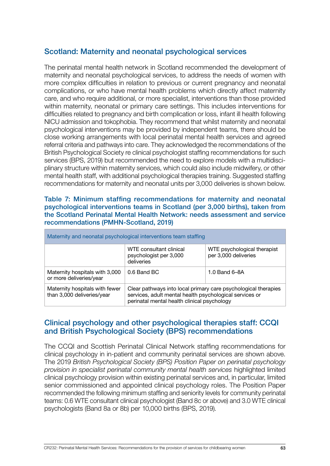## Scotland: Maternity and neonatal psychological services

The perinatal mental health network in Scotland recommended the development of maternity and neonatal psychological services, to address the needs of women with more complex difficulties in relation to previous or current pregnancy and neonatal complications, or who have mental health problems which directly affect maternity care, and who require additional, or more specialist, interventions than those provided within maternity, neonatal or primary care settings. This includes interventions for difficulties related to pregnancy and birth complication or loss, infant ill health following NICU admission and tokophobia. They recommend that whilst maternity and neonatal psychological interventions may be provided by independent teams, there should be close working arrangements with local perinatal mental health services and agreed referral criteria and pathways into care. They acknowledged the recommendations of the British Psychological Society re clinical psychologist staffing recommendations for such services (BPS, 2019) but recommended the need to explore models with a multidisciplinary structure within maternity services, which could also include midwifery, or other mental health staff, with additional psychological therapies training. Suggested staffing recommendations for maternity and neonatal units per 3,000 deliveries is shown below.

#### Table 7: Minimum staffing recommendations for maternity and neonatal psychological interventions teams in Scotland (per 3,000 births), taken from the Scotland Perinatal Mental Health Network: needs assessment and service recommendations (PMHN-Scotland, 2019)

| Maternity and neonatal psychological interventions team staffing |                                                                                                                                                                          |                                                     |  |  |
|------------------------------------------------------------------|--------------------------------------------------------------------------------------------------------------------------------------------------------------------------|-----------------------------------------------------|--|--|
|                                                                  | WTE consultant clinical<br>psychologist per 3,000<br>deliveries                                                                                                          | WTE psychological therapist<br>per 3,000 deliveries |  |  |
| Maternity hospitals with 3,000<br>or more deliveries/year        | 0.6 Band BC                                                                                                                                                              | 1.0 Band 6-8A                                       |  |  |
| Maternity hospitals with fewer<br>than 3,000 deliveries/year     | Clear pathways into local primary care psychological therapies<br>services, adult mental health psychological services or<br>perinatal mental health clinical psychology |                                                     |  |  |

### Clinical psychology and other psychological therapies staff: CCQI and British Psychological Society (BPS) recommendations

The CCQI and Scottish Perinatal Clinical Network staffing recommendations for clinical psychology in in-patient and community perinatal services are shown above. The 2019 *British Psychological Society (BPS) Position Paper on perinatal psychology provision in specialist perinatal community mental health services* highlighted limited clinical psychology provision within existing perinatal services and, in particular, limited senior commissioned and appointed clinical psychology roles. The Position Paper recommended the following minimum staffing and seniority levels for community perinatal teams: 0.6 WTE consultant clinical psychologist (Band 8c or above) and 3.0 WTE clinical psychologists (Band 8a or 8b) per 10,000 births (BPS, 2019).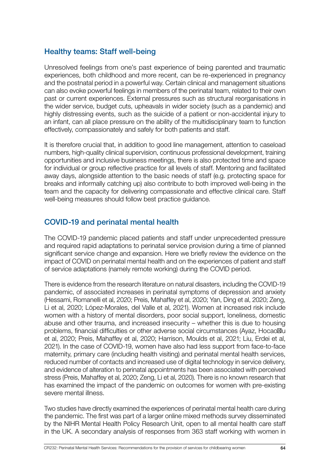## Healthy teams: Staff well-being

Unresolved feelings from one's past experience of being parented and traumatic experiences, both childhood and more recent, can be re-experienced in pregnancy and the postnatal period in a powerful way. Certain clinical and management situations can also evoke powerful feelings in members of the perinatal team, related to their own past or current experiences. External pressures such as structural reorganisations in the wider service, budget cuts, upheavals in wider society (such as a pandemic) and highly distressing events, such as the suicide of a patient or non-accidental injury to an infant, can all place pressure on the ability of the multidisciplinary team to function effectively, compassionately and safely for both patients and staff.

It is therefore crucial that, in addition to good line management, attention to caseload numbers, high-quality clinical supervision, continuous professional development, training opportunities and inclusive business meetings, there is also protected time and space for individual or group reflective practice for all levels of staff. Mentoring and facilitated away days, alongside attention to the basic needs of staff (e.g. protecting space for breaks and informally catching up) also contribute to both improved well-being in the team and the capacity for delivering compassionate and effective clinical care. Staff well-being measures should follow best practice guidance.

# COVID-19 and perinatal mental health

The COVID-19 pandemic placed patients and staff under unprecedented pressure and required rapid adaptations to perinatal service provision during a time of planned significant service change and expansion. Here we briefly review the evidence on the impact of COVID on perinatal mental health and on the experiences of patient and staff of service adaptations (namely remote working) during the COVID period.

There is evidence from the research literature on natural disasters, including the COVID-19 pandemic, of associated increases in perinatal symptoms of depression and anxiety (Hessami, Romanelli et al, 2020; Preis, Mahaffey et al, 2020; Yan, Ding et al, 2020; Zeng, Li et al, 2020; López-Morales, del Valle et al, 2021). Women at increased risk include women with a history of mental disorders, poor social support, loneliness, domestic abuse and other trauma, and increased insecurity – whether this is due to housing problems, financial difficulties or other adverse social circumstances (Ayaz, Hocaoğlu et al, 2020; Preis, Mahaffey et al, 2020; Harrison, Moulds et al, 2021; Liu, Erdei et al, 2021). In the case of COVID-19, women have also had less support from face-to-face maternity, primary care (including health visiting) and perinatal mental health services, reduced number of contacts and increased use of digital technology in service delivery, and evidence of alteration to perinatal appointments has been associated with perceived stress (Preis, Mahaffey et al, 2020; Zeng, Li et al, 2020). There is no known research that has examined the impact of the pandemic on outcomes for women with pre-existing severe mental illness.

Two studies have directly examined the experiences of perinatal mental health care during the pandemic. The first was part of a larger online mixed methods survey disseminated by the NIHR Mental Health Policy Research Unit, open to all mental health care staff in the UK. A secondary analysis of responses from 363 staff working with women in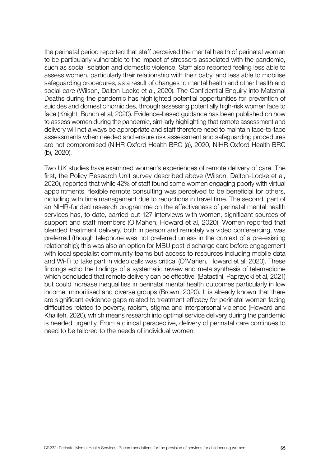the perinatal period reported that staff perceived the mental health of perinatal women to be particularly vulnerable to the impact of stressors associated with the pandemic, such as social isolation and domestic violence. Staff also reported feeling less able to assess women, particularly their relationship with their baby, and less able to mobilise safeguarding procedures, as a result of changes to mental health and other health and social care (Wilson, Dalton-Locke et al, 2020). The Confidential Enquiry into Maternal Deaths during the pandemic has highlighted potential opportunities for prevention of suicides and domestic homicides, through assessing potentially high-risk women face to face (Knight, Bunch et al, 2020). Evidence-based guidance has been published on how to assess women during the pandemic, similarly highlighting that remote assessment and delivery will not always be appropriate and staff therefore need to maintain face-to-face assessments when needed and ensure risk assessment and safeguarding procedures are not compromised (NIHR Oxford Health BRC (a), 2020, NIHR Oxford Health BRC (b), 2020).

Two UK studies have examined women's experiences of remote delivery of care. The first, the Policy Research Unit survey described above (Wilson, Dalton-Locke et al, 2020), reported that while 42% of staff found some women engaging poorly with virtual appointments, flexible remote consulting was perceived to be beneficial for others, including with time management due to reductions in travel time. The second, part of an NIHR-funded research programme on the effectiveness of perinatal mental health services has, to date, carried out 127 interviews with women, significant sources of support and staff members (O'Mahen, Howard et al, 2020). Women reported that blended treatment delivery, both in person and remotely via video conferencing, was preferred (though telephone was not preferred unless in the context of a pre-existing relationship); this was also an option for MBU post-discharge care before engagement with local specialist community teams but access to resources including mobile data and Wi-Fi to take part in video calls was critical (O'Mahen, Howard et al, 2020). These findings echo the findings of a systematic review and meta synthesis of telemedicine which concluded that remote delivery can be effective, (Batastini, Paprzycki et al, 2021) but could increase inequalities in perinatal mental health outcomes particularly in low income, minoritised and diverse groups (Brown, 2020). It is already known that there are significant evidence gaps related to treatment efficacy for perinatal women facing difficulties related to poverty, racism, stigma and interpersonal violence (Howard and Khalifeh, 2020), which means research into optimal service delivery during the pandemic is needed urgently. From a clinical perspective, delivery of perinatal care continues to need to be tailored to the needs of individual women.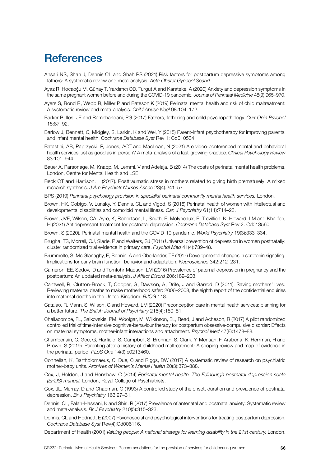# **References**

- Ansari NS, Shah J, Dennis CL and Shah PS (2021) Risk factors for postpartum depressive symptoms among fathers: A systematic review and meta-analysis. *Acta Obstet Gynecol Scand.*
- Ayaz R, Hocaoğu M, Günay T, Yardımcı OD, Turgut A and Karateke, A (2020) Anxiety and depression symptoms in the same pregnant women before and during the COVID-19 pandemic. *Journal of Perinatal Medicine* 48(9):965–970.
- Ayers S, Bond R, Webb R, Miller P and Bateson K (2019) Perinatal mental health and risk of child maltreatment: A systematic review and meta-analysis. *Child Abuse Negl* 98:104–172.
- Barker B, Iles, JE and Ramchandani, PG (2017) Fathers, fathering and child psychopathology. *Curr Opin Psychol*  15:87–92.
- Barlow J, Bennett, C, Midgley, S, Larkin, K and Wei, Y (2015) Parent-infant psychotherapy for improving parental and infant mental health. *Cochrane Database Syst* Rev 1: Cd010534.
- Batastini, AB, Paprzycki, P, Jones, ACT and MacLean, N (2021) Are video-conferenced mental and behavioral health services just as good as in-person? A meta-analysis of a fast-growing practice. *Clinical Psychology Review*  83:101–944.
- Bauer A, Parsonage, M, Knapp, M, Lemmi, V and Adelaja, B (2014) The costs of perinatal mental health problems. London, Centre for Mental Health and LSE.
- Beck CT and Harrison, L (2017). Posttraumatic stress in mothers related to giving birth prematurely: A mixed research synthesis. *J Am Psychiatr Nurses Assoc* 23(4):241–57
- BPS (2019) *Perinatal psychology provision in specialist perinatal community mental health services.* London.
- Brown, HK, Cobigo, V, Lunsky, Y, Dennis, CL and Vigod, S (2016) Perinatal health of women with intellectual and developmental disabilities and comorbid mental illness. *Can J Psychiatry* 61(11):714–23.
- Brown, JVE, Wilson, CA, Ayre, K, Robertson, L, South, E, Molyneaux, E, Trevillion, K, Howard, LM and Khalifeh, H (2021) Antidepressant treatment for postnatal depression. *Cochrane Database Syst* Rev 2: Cd013560.
- Brown, S (2020). Perinatal mental health and the COVID-19 pandemic. *World Psychiatry* 19(3):333–334.
- Brugha, TS, Morrell, CJ, Slade, P and Walters, SJ (2011) Universal prevention of depression in women postnatally: cluster randomized trial evidence in primary care. *Psychol Med* 41(4):739–48.
- Brummelte, S, Mc Glanaghy, E, Bonnin, A and Oberlander, TF (2017) Developmental changes in serotonin signaling: Implications for early brain function, behavior and adaptation. *Neuroscience* 342:212–231.
- Cameron, EE, Sedov, ID and Tomfohr-Madsen, LM (2016) Prevalence of paternal depression in pregnancy and the postpartum: An updated meta-analysis. *J Affect Disord* 206:189–203.
- Cantwell, R, Clutton-Brock, T, Cooper, G, Dawson, A, Drife, J and Garrod, D (2011). Saving mothers' lives: Reviewing maternal deaths to make motherhood safer: 2006–2008, the eighth report of the confidential enquiries into maternal deaths in the United Kingdom. *BJOG* 118.
- Catalao, R, Mann, S, Wilson, C and Howard, LM (2020) Preconception care in mental health services: planning for a better future. *The British Journal of Psychiatry* 216(4):180–81.
- Challacombe, FL, Salkovskis, PM, Woolgar, M, Wilkinson, EL, Read, J and Acheson, R (2017) A pilot randomized controlled trial of time-intensive cognitive-behaviour therapy for postpartum obsessive-compulsive disorder: Effects on maternal symptoms, mother-infant interactions and attachment. *Psychol Med* 47(8):1478–88.
- Chamberlain, C, Gee, G, Harfield, S, Campbell, S, Brennan, S, Clark, Y, Mensah, F, Arabena, K, Herrman, H and Brown, S (2019). Parenting after a history of childhood maltreatment: A scoping review and map of evidence in the perinatal period. *PLoS One* 14(3):e0213460.
- Connellan, K, Bartholomaeus, C, Due, C and Riggs, DW (2017) A systematic review of research on psychiatric mother-baby units. *Archives of Women's Mental Health* 20(3):373–388.
- Cox, J, Holden, J and Henshaw, C (2014) *Perinatal mental health: The Edinburgh postnatal depression scale (EPDS) manual.* London, Royal College of Psychiatrists.
- Cox, JL, Murray, D and Chapman, G (1993) A controlled study of the onset, duration and prevalence of postnatal depression. *Br J Psychiatry* 163:27–31.
- Dennis, CL, Falah-Hassani, K and Shiri, R (2017) Prevalence of antenatal and postnatal anxiety: Systematic review and meta-analysis. *Br J Psychiatry* 210(5):315–323.
- Dennis, CL and Hodnett, E (2007) Psychosocial and psychological interventions for treating postpartum depression. *Cochrane Database Syst* Rev(4):Cd006116.
- Department of Health (2001) *Valuing people: A national strategy for learning disability in the 21st century.* London.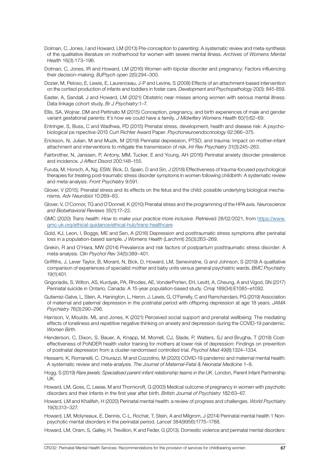- Dolman, C, Jones, I and Howard, LM (2013) Pre-conception to parenting: A systematic review and meta-synthesis of the qualitative literature on motherhood for women with severe mental illness. *Archives of Womens Mental Health* 16(3):173–196.
- Dolman, C, Jones, IR and Howard, LM (2016) Women with bipolar disorder and pregnancy: Factors influencing their decision-making. *BJPsych open* 2(5):294–300.
- Dozier, M, Peloso, E, Lewis, E, Laurenceau, J-P and Levine, S (2008) Effects of an attachment-based intervention on the cortisol production of infants and toddlers in foster care. *Development and Psychopathology* 20(3): 845-859.
- Easter, A, Sandall, J and Howard, LM (2021) Obstetric near misses among women with serious mental illness: Data linkage cohort study. *Br J Psychiatry*:1–7.
- Ellis, SA, Wojnar, DM and Pettinato M (2015) Conception, pregnancy, and birth experiences of male and gender variant gestational parents: It's how we could have a family. *J Midwifery Womens Health* 60(1):62–69.
- Entringer, S, Buss, C and Wadhwa, PD (2015) Prenatal stress, development, health and disease risk: A psychobiological pe rspective-2015 Curt Richter Award Paper. *Psychoneuroendocrinology* 62:366–375.
- Erickson, N, Julian, M and Muzik, M (2019) Perinatal depression, PTSD, and trauma: Impact on mother-infant attachment and interventions to mitigate the transmission of risk. *Int Rev Psychiatry* 31(3):245–263.
- Fairbrother, N, Janssen, P, Antony, MM, Tucker, E and Young, AH (2016) Perinatal anxiety disorder prevalence and incidence. *J Affect Disord* 200:148–155.
- Furuta, M, Horsch, A, Ng, ESW, Bick, D, Spain, D and Sin, J (2018) Effectiveness of trauma-focused psychological therapies for treating post-traumatic stress disorder symptoms in women following childbirth: A systematic review and meta-analysis. *Front Psychiatry* 9:591.
- Glover, V (2015). Prenatal stress and its effects on the fetus and the child: possible underlying biological mechanisms. *Adv Neurobiol* 10:269–83.
- Glover, V, O'Connor, TG and O'Donnell, K (2010) Prenatal stress and the programming of the HPA axis. *Neuroscience and Biobehavioral Reviews* 35(1):17–22.
- GMC (2020) *Trans health: How to make your practice more inclusive.* Retrieved 28/02/2021, from [https://www.](https://www.gmc-uk.org/ethical-guidance/ethical-hub/trans-healthcare ) [gmc-uk.org/ethical-guidance/ethical-hub/trans-healthcare](https://www.gmc-uk.org/ethical-guidance/ethical-hub/trans-healthcare )
- Gold, KJ, Leon, I, Boggs, ME and Sen, A (2016) Depression and posttraumatic stress symptoms after perinatal loss in a population-based sample. *J Womens Health* (Larchmt) 25(3):263–269.
- Grekin, R and O'Hara, MW (2014) Prevalence and risk factors of postpartum posttraumatic stress disorder: A meta-analysis. *Clin Psychol Rev* 34(5):389–401.
- Griffiths, J, Lever Taylor, B, Morant, N, Bick, D, Howard, LM, Seneviratne, G and Johnson, S (2019) A qualitative comparison of experiences of specialist mother and baby units versus general psychiatric wards. *BMC Psychiatry*  19(1):401.
- Grigoriadis, S, Wilton, AS, Kurdyak, PA, Rhodes, AE, VonderPorten, EH, Levitt, A, Cheung, A and Vigod, SN (2017) Perinatal suicide in Ontario, Canada: A 15-year population-based study. *Cmaj* 189(34):E1085–e1092.
- Gutierrez-Galve, L, Stein, A, Hanington, L, Heron, J, Lewis, G, O'Farrelly, C and Ramchandani, PG (2019) Association of maternal and paternal depression in the postnatal period with offspring depression at age 18 years. *JAMA Psychiatry* 76(3):290–296.
- Harrison, V, Moulds. ML and Jones, K (2021) Perceived social support and prenatal wellbeing: The mediating effects of loneliness and repetitive negative thinking on anxiety and depression during the COVID-19 pandemic. *Women Birth*.
- Henderson, C, Dixon, S, Bauer, A, Knapp, M, Morrell, CJ, Slade, P, Walters, SJ and Brugha, T (2019) Costeffectiveness of PoNDER health visitor training for mothers at lower risk of depression: Findings on prevention of postnatal depression from a cluster-randomised controlled trial. *Psychol Med* 49(8):1324–1334.
- Hessami, K, Romanelli, C, Chiurazzi, M and Cozzolino, M (2020) COVID-19 pandemic and maternal mental health: A systematic review and meta-analysis. *The Journal of Maternal-Fetal & Neonatal Medicine* 1–8.
- Hogg, S (2019) *Rare jewels: Specialised parent-infant relationship teams in the UK*. London, Parent Infant Partnership UK.
- Howard, LM, Goss, C, Leese, M and Thornicroft, G (2003) Medical outcome of pregnancy in women with psychotic disorders and their infants in the first year after birth. *British Journal of Psychiatry* 182:63–67.
- Howard, LM and Khalifeh, H (2020) Perinatal mental health: a review of progress and challenges. *World Psychiatry*  19(3):313–327.
- Howard, LM, Molyneaux, E, Dennis, C-L, Rochat, T, Stein, A and Milgrom, J (2014) Perinatal mental health 1 Nonpsychotic mental disorders in the perinatal period. *Lancet* 384(9956):1775–1788.
- Howard, LM, Oram, S, Galley, H, Trevillion, K and Feder, G (2013). Domestic violence and perinatal mental disorders: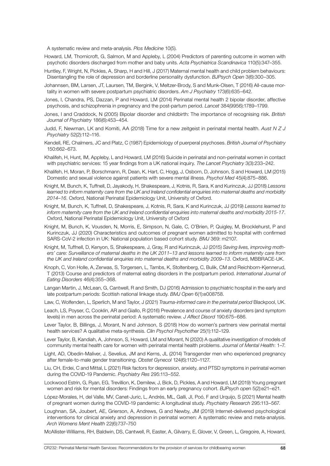A systematic review and meta-analysis. *Plos Medicine* 10(5).

- Howard, LM, Thornicroft, G, Salmon, M and Appleby, L (2004) Predictors of parenting outcome in women with psychotic disorders discharged from mother and baby units. *Acta Psychiatrica Scandinavica* 110(5):347–355.
- Huntley, F, Wright, N, Pickles, A, Sharp, H and Hill, J (2017) Maternal mental health and child problem behaviours: Disentangling the role of depression and borderline personality dysfunction. *BJPsych Open* 3(6):300–305.
- Johannsen, BM, Larsen, JT, Laursen, TM, Bergink, V, Meltzer-Brody, S and Munk-Olsen, T (2016) All-cause mortality in women with severe postpartum psychiatric disorders. *Am J Psychiatry* 173(6):635–642.
- Jones, I, Chandra, PS, Dazzan, P and Howard, LM (2014) Perinatal mental health 2 bipolar disorder, affective psychosis, and schizophrenia in pregnancy and the post-partum period. *Lancet* 384(9956):1789–1799.
- Jones, I and Craddock, N (2005) Bipolar disorder and childbirth: The importance of recognising risk. *British Journal of Psychiatry* 186(6):453–454.
- Judd, F, Newman, LK and Komiti, AA (2018) Time for a new zeitgeist in perinatal mental health. *Aust N Z J Psychiatry* 52(2):112–116.
- Kendell, RE, Chalmers, JC and Platz, C (1987) Epidemiology of puerperal psychoses. *British Journal of Psychiatry*  150:662–673.
- Khalifeh, H, Hunt, IM, Appleby, L and Howard, LM (2016) Suicide in perinatal and non-perinatal women in contact with psychiatric services: 15 year findings from a UK national inquiry. *The Lancet Psychiatry* 3(3):233–242.
- Khalifeh, H, Moran, P, Borschmann, R, Dean, K, Hart, C, Hogg, J, Osborn, D, Johnson, S and Howard, LM (2015) Domestic and sexual violence against patients with severe mental illness. *Psychol Med* 45(4):875–886.
- Knight, M, Bunch, K, Tuffnell, D, Jayakody, H, Shakespeare, J, Kotnis, R, Sara, K and Kurinczuk, JJ (2018) *Lessons*  learned to inform maternity care from the UK and Ireland confidential enquiries into maternal deaths and morbidity *2014–16*. Oxford, National Perinatal Epidemiology Unit, University of Oxford.
- Knight, M, Bunch, K, Tuffnell, D, Shakespeare, J, Kotnis, R, Sara, K and Kurinczuk, JJ (2019) *Lessons learned to inform maternity care from the UK and Ireland confidential enquiries into maternal deaths and morbidity 2015-17*. Oxford, National Perinatal Epidemiology Unit, University of Oxford
- Knight, M, Bunch, K, Vousden, N, Morris, E, Simpson, N, Gale, C, O'Brien, P, Quigley, M, Brocklehurst, P and Kurinczuk, JJ (2020) Characteristics and outcomes of pregnant women admitted to hospital with confirmed SARS-CoV-2 infection in UK: National population based cohort study. *BMJ* 369: m2107.
- Knight, M, Tuffnell, D, Kenyon, S, Shakespeare, J, Gray, R and Kurinczuk, JJ (2015) *Saving lives, improving mothers' care: Surveillance of maternal deaths in the UK 2011–13 and lessons learned to inform maternity care from the UK and Ireland confidential enquiries into maternal deaths and morbidity 2009–13*. Oxford, MBBRACE-UK.
- Knoph, C, Von Holle, A, Zerwas, S, Torgersen, L, Tambs, K, Stoltenberg, C, Bulik, CM and Reichborn-Kjennerud, T (2013) Course and predictors of maternal eating disorders in the postpartum period. *International Journal of Eating Disorders* 46(4):355–368.
- Langan Martin, J, McLean, G, Cantwell, R and Smith, DJ (2016) Admission to psychiatric hospital in the early and late postpartum periods: Scottish national linkage study. *BMJ Open* 6(1):e008758.
- Law, C, Wolfenden, L, Sperlich, M and Taylor, J (2021) *Trauma-informed care in the perinatal period* Blackpool, UK.
- Leach, LS, Poyser, C, Cooklin, AR and Giallo, R (2016) Prevalence and course of anxiety disorders (and symptom levels) in men across the perinatal period: A systematic review. *J Affect Disord* 190:675–686.
- Lever Taylor, B, Billings, J, Morant, N and Johnson, S (2018) How do women's partners view perinatal mental health services? A qualitative meta-synthesis. *Clin Psychol Psychother* 25(1):112–129.
- Lever Taylor, B, Kandiah, A, Johnson, S, Howard, LM and Morant, N (2020) A qualitative investigation of models of community mental health care for women with perinatal mental health problems. *Journal of Mental Health*: 1–7.
- Light, AD, Obedin-Maliver, J, Sevelius, JM and Kerns, JL (2014) Transgender men who experienced pregnancy after female-to-male gender transitioning. *Obstet Gynecol* 124(6):1120–1127.
- Liu, CH, Erdei, C and Mittal, L (2021) Risk factors for depression, anxiety, and PTSD symptoms in perinatal women during the COVID-19 Pandemic. *Psychiatry Res* 295:113–552.
- Lockwood Estrin, G, Ryan, EG, Trevillion, K, Demilew, J, Bick, D, Pickles, A and Howard, LM (2019) Young pregnant women and risk for mental disorders: Findings from an early pregnancy cohort. *BJPsych ope*n 5(2):e21–e21.
- López-Morales, H, del Valle, MV, Canet-Juric, L, Andrés, ML, Galli, JI, Poó, F and Urquijo, S (2021) Mental health of pregnant women during the COVID-19 pandemic: A longitudinal study. *Psychiatry Research* 295:113–567.
- Loughnan, SA, Joubert, AE, Grierson, A, Andrews, G and Newby, JM (2019) Internet-delivered psychological interventions for clinical anxiety and depression in perinatal women: A systematic review and meta-analysis. *Arch Womens Ment Health* 22(6):737–750

McAllister-Williams, RH, Baldwin, DS, Cantwell, R, Easter, A, Gilvarry, E, Glover, V, Green, L, Gregoire, A, Howard,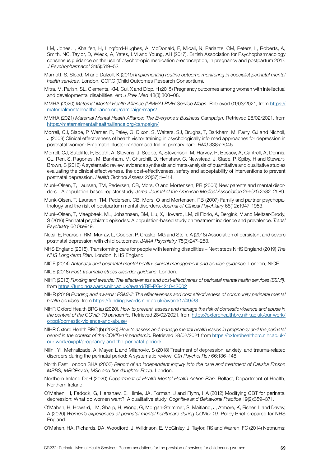LM, Jones, I, Khalifeh, H, Lingford-Hughes, A, McDonald, E, Micali, N, Pariante, CM, Peters, L, Roberts, A, Smith, NC, Taylor, D, Wieck, A, Yates, LM and Young, AH (2017). British Association for Psychopharmacology consensus guidance on the use of psychotropic medication preconception, in pregnancy and postpartum 2017. *J Psychopharmacol* 31(5):519–52.

- Marriott, S, Sleed, M and Dalzell, K (2019) *Implementing routine outcome monitoring in specialist perinatal mental health services.* London, CORC (Child Outcomes Research Consortium).
- Mitra, M, Parish, SL, Clements, KM, Cui, X and Diop, H (2015) Pregnancy outcomes among women with intellectual and developmental disabilities. *Am J Prev Med* 48(3):300–08.
- MMHA (2020) *Maternal Mental Health Alliance (MMHA) PMH Service Maps*. Retrieved 01/03/2021, from [https://](https://maternalmentalhealthalliance.org/campaign/maps/ ) [maternalmentalhealthalliance.org/campaign/maps/](https://maternalmentalhealthalliance.org/campaign/maps/ )
- MMHA (2021) *Maternal Mental Health Alliance: The Everyone's Business Campaign.* Retrieved 28/02/2021, from [https://maternalmentalhealthalliance.org/campaign/](https://maternalmentalhealthalliance.org/campaign/ )
- Morrell, CJ, Slade, P, Warner, R, Paley, G, Dixon, S, Walters, SJ, Brugha, T, Barkham, M, Parry, GJ and Nicholl, J (2009) Clinical effectiveness of health visitor training in psychologically informed approaches for depression in postnatal women: Pragmatic cluster randomised trial in primary care. *BMJ* 338:a3045.
- Morrell, CJ, Sutcliffe, P, Booth, A, Stevens, J, Scope, A, Stevenson, M, Harvey, R, Bessey, A, Cantrell, A, Dennis, CL, Ren, S, Ragonesi, M, Barkham, M, Churchill, D, Henshaw, C, Newstead, J, Slade, P, Spiby, H and Stewart-Brown, S (2016) A systematic review, evidence synthesis and meta-analysis of quantitative and qualitative studies evaluating the clinical effectiveness, the cost-effectiveness, safety and acceptability of interventions to prevent postnatal depression. *Health Technol Assess* 20(37):1–414.
- Munk-Olsen, T, Laursen, TM, Pedersen, CB, Mors, O and Mortensen, PB (2006) New parents and mental disorders – A population-based register study. *Jama-Journal of the American Medical Association* 296(21):2582–2589.
- Munk-Olsen, T, Laursen, TM, Pedersen, CB, Mors, O and Mortensen, PB (2007) Family and partner psychopathology and the risk of postpartum mental disorders. *Journal of Clinical Psychiatry* 68(12):1947–1953.
- Munk-Olsen, T, Maegbaek, ML, Johannsen, BM, Liu, X, Howard, LM, di Florio, A, Bergink, V and Meltzer-Brody, S (2016) Perinatal psychiatric episodes: A population-based study on treatment incidence and prevalence. *Transl Psychiatry* 6(10):e919.
- Netsi, E, Pearson, RM, Murray, L, Cooper, P, Craske, MG and Stein, A (2018) Association of persistent and severe postnatal depression with child outcomes. *JAMA Psychiatry* 75(3):247–253.
- NHS England (2015). Transforming care for people with learning disabilities Next steps NHS England (2019) *The NHS Long-term Plan*. London, NHS England.
- NICE (2014) *Antenatal and postnatal mental health: clinical management and service guidance*. London, NICE
- NICE (2018) *Post-traumatic stress disorder guideline*. London.
- NIHR (2013) *Funding and awards: The effectiveness and cost-effectivenes of perinatal mental health servIces (ESMI)*. from [https://fundingawards.nihr.ac.uk/award/RP-PG-1210-12002](https://fundingawards.nihr.ac.uk/award/RP-PG-1210-12002 )
- NIHR (2019) *Funding and awards: ESMI-II: The effectiveness and cost effectiveness of community perinatal mental health servIces.* from [https://fundingawards.nihr.ac.uk/award/17/49/38](https://fundingawards.nihr.ac.uk/award/17/49/38 )
- NIHR Oxford Health BRC (a) (2020). *How to prevent, assess and manage the risk of domestic violence and abuse in the context of the COVID-19 pandemic.* Retrieved 28/02/2021, from [https://oxfordhealthbrc.nihr.ac.uk/our-work/](https://oxfordhealthbrc.nihr.ac.uk/our-work/oxppl/domestic-violence-and-abuse/ ) [oxppl/domestic-violence-and-abuse/](https://oxfordhealthbrc.nihr.ac.uk/our-work/oxppl/domestic-violence-and-abuse/ )
- NIHR Oxford Health BRC (b) (2020) *How to assess and manage mental health issues in pregnancy and the perinatal period in the context of the COVID-19 pandemic.* Retrieved 28/02/2021 from [https://oxfordhealthbrc.nihr.ac.uk/](https://oxfordhealthbrc.nihr.ac.uk/our-work/oxppl/pregnancy-and-the-perinatal-period/ ) [our-work/oxppl/pregnancy-and-the-perinatal-period/](https://oxfordhealthbrc.nihr.ac.uk/our-work/oxppl/pregnancy-and-the-perinatal-period/ )
- Nillni, YI, Mehralizade, A, Mayer, L and Milanovic, S (2018) Treatment of depression, anxiety, and trauma-related disorders during the perinatal period: A systematic review. *Clin Psychol Rev* 66:136–148.
- North East London SHA (2003) *Report of an independent inquiry into the care and treatment of Daksha Emson MBBS, MRCPsych, MSc and her daughter Freya.* London.
- Northern Ireland DoH (2020) *Department of Health Mental Health Action Plan*. Belfast, Department of Health, Northern Ireland.
- O'Mahen, H, Fedock, G, Henshaw, E, Himle, JA, Forman, J and Flynn, HA (2012) Modifying CBT for perinatal depression: What do women want?: A qualitative study. *Cognitive and Behavioral Practice* 19(2):359–371.
- O'Mahen, H, Howard, LM, Sharp, H, Wong, G, Morgan-Strimmer, S, Maitland, J, Atmore, K, Fisher, L and Davey, A (2020) *Women's experiences of perinatal mental healthcare during COVID-19.* Policy Brief prepared for NHS England.
- O'Mahen, HA, Richards, DA, Woodford, J, Wilkinson, E, McGinley, J, Taylor, RS and Warren, FC (2014) Netmums: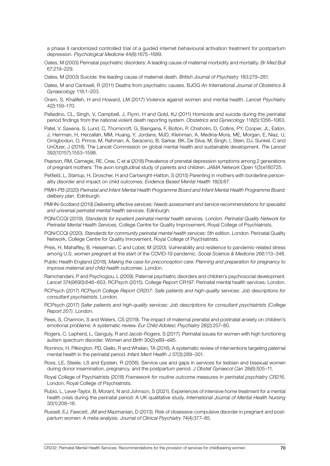a phase II randomized controlled trial of a guided internet behavioural activation treatment for postpartum depression. *Psychological Medicine* 44(8):1675–1689.

Oates, M (2003) Perinatal psychiatric disorders: A leading cause of maternal morbidity and mortality. *Br Med Bull*  67:219–229.

Oates, M (2003) Suicide: the leading cause of maternal death. *British Journal of Psychiatry* 183:279–281.

- Oates, M and Cantwell, R (2011) Deaths from psychiatric causes. BJOG *An International Journal of Obstetrics & Gynaecology* 118:1–203.
- Oram, S, Khalifeh, H and Howard, LM (2017) Violence against women and mental health. *Lancet Psychiatry*  4(2):159–170.
- Palladino, CL, Singh, V, Campbell, J, Flynn, H and Gold, KJ (2011) Homicide and suicide during the perinatal period findings from the national violent death reporting system. *Obstetrics and Gynecology* 118(5):1056–1063.
- Patel, V, Saxena, S, Lund, C, Thornicroft, G, Baingana, F, Bolton, P, Chisholm, D, Collins, PY, Cooper, JL, Eaton, J, Herrman, H, Herzallah, MM, Huang, Y, Jordans, MJD, Kleinman, A, Medina-Mora, ME, Morgan, E, Niaz, U, Omigbodun, O, Prince, M, Rahman, A, Saraceno, B, Sarkar, BK, De Silva, M, Singh, I, Stein, DJ, Sunkel, C and UnÜtzer, J (2018). The Lancet Commission on global mental health and sustainable development. *The Lancet*  392(10157):1553–1598.
- Pearson, RM, Carnegie, RE, Cree, C et al (2018) Prevalence of prenatal depression symptoms among 2 generations of pregnant mothers: The avon longitudinal study of parents and children. *JAMA Network Open* 1(3):e180725.
- Petfield, L, Startup, H, Droscher, H and Cartwright-Hatton, S (2015) Parenting in mothers with borderline personality disorder and impact on child outcomes. *Evidence Based Mental Health* 18(3):67.
- PIMH-PB (2020) *Perinatal and Infant Mental Health Programme Board and Infant Mental Health Programme Board: delibery plan*. Edinburgh.
- PMHN-Scotland (2019) *Delivering effective services: Needs assessment and service recommendations for specialist and universal perinatal mental health services.* Edinburgh.
- PQN/CCQI (2019). *Standards for inpatient perinatal mental health services. London. Perinatal Quality Network for Perinatal Mental Health Services,* College Centre for Quality Improvement, Royal College of Psychiatrists.
- PQN/CCQI (2020). *Standards for community perinatal mental health services: 5th edition. London. Perinatal Quality* Network, College Centre for Quality Imrovement, Royal College of Psychiatrists.
- Preis, H, Mahaffey, B, Heiselman, C and Lobel, M (2020). Vulnerability and resilience to pandemic-related stress among U.S. women pregnant at the start of the COVID-19 pandemic. *Social Science & Medicine* 266:113–348.
- Public Health England (2018). *Making the case for preconception care: Planning and preparation for pregnancy to improve maternal and child health outcomes.* London.
- Ramchandani, P and Psychogiou, L (2009). Paternal psychiatric disorders and children's psychosocial development. *Lancet* 374(9690):646–653. RCPsych (2015). College Report CR197: Perinatal mental health services. London.
- RCPsych (2017) *RCPsych College Report CR207: Safe patients and high-quality services: Job descriptions for consultant psychiatrists.* London.
- RCPsych (2017) *Safer patients and high-quality services: Job descriptions for consultant psychiatrists (College Report 207)*. London.
- Rees, S, Channon, S and Waters, CS (2019). The impact of maternal prenatal and postnatal anxiety on children's emotional problems: A systematic review. *Eur Child Adolesc Psychiatry* 28(2):257–80.
- Rogers, C, Lepherd, L, Ganguly, R and Jacob-Rogers, S (2017). Perinatal issues for women with high functioning autism spectrum disorder. *Women and Birth* 30(2):e89–e95.
- Rominov, H, Pilkington, PD, Giallo, R and Whelan, TA (2016). A systematic review of interventions targeting paternal mental health in the perinatal period. *Infant Ment Health* J 37(3):289–301.
- Ross, LE, Steele, LS and Epstein, R (2006). Service use and gaps in services for lesbian and bisexual women during donor insemination, pregnancy, and the postpartum period. *J Obstet Gynaecol Can* 28(6):505–11.
- Royal College of Psychiatrists (2018) *Framework for routine outcome measures in perinatal psychiatry CR216.*  London, Royal College of Psychiatrists.
- Rubio, L, Lever-Taylor, B, Morant, N and Johnson, S (2021). Experiences of intensive home treatment for a mental health crisis during the perinatal period: A UK qualitative study. *International Journal of Mental Health Nursing*  30(1):208–18.
- Russell, EJ, Fawcett, JM and Mazmanian, D (2013). Risk of obsessive-compulsive disorder in pregnant and postpartum women: A meta-analysis. *Journal of Clinical Psychiatry* 74(4):377–85.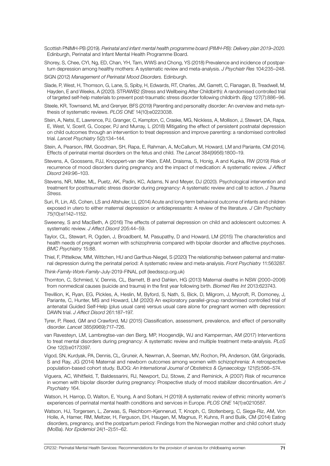- Scottish PNIMH-PB (2019). *Perinatal and infant mental health programme board (PIMH-PB): Delivery plan 2019–2020.* Edinburgh, Perinatal and Infant Mental Health Programme Board.
- Shorey, S, Chee, CYI, Ng, ED, Chan, YH, Tam, WWS and Chong, YS (2018) Prevalence and incidence of postpartum depression among healthy mothers: A systematic review and meta-analysis. *J Psychiatr Res* 104:235–248.
- SIGN (2012) *Management of Perinatal Mood Disorders.* Edinburgh.
- Slade, P, West, H, Thomson, G, Lane, S, Spiby, H, Edwards, RT, Charles, JM, Garrett, C, Flanagan, B, Treadwell, M, Hayden, E and Weeks, A (2020). STRAWB2 (Stress and Wellbeing After Childbirth): A randomised controlled trial of targeted self-help materials to prevent post-traumatic stress disorder following childbirth. *Bjog* 127(7):886–96.
- Steele, KR, Townsend, ML and Grenyer, BFS (2019) Parenting and personality disorder: An overview and meta-synthesis of systematic reviews. *PLOS ONE* 14(10):e0223038.
- Stein, A, Netsi, E, Lawrence, PJ, Granger, C, Kempton, C, Craske, MG, Nickless, A, Mollison, J, Stewart, DA, Rapa, E, West, V, Scerif, G, Cooper, PJ and Murray, L (2018) Mitigating the effect of persistent postnatal depression on child outcomes through an intervention to treat depression and improve parenting: a randomised controlled trial. *Lancet Psychiatry* 5(2):134–144.
- Stein, A, Pearson, RM, Goodman, SH, Rapa, E, Rahman, A, McCallum, M, Howard, LM and Pariante, CM (2014). Effects of perinatal mental disorders on the fetus and child. *The Lancet* 384(9956):1800–19.
- Stevens, A, Goossens, PJJ, Knoppert-van der Klein, EAM, Draisma, S, Honig, A and Kupka, RW (2019) Risk of recurrence of mood disorders during pregnancy and the impact of medication: A systematic review. *J Affect Disord* 249:96–103.
- Stevens, NR, Miller, ML, Puetz, AK, Padin, KC, Adams, N and Meyer, DJ (2020). Psychological intervention and treatment for posttraumatic stress disorder during pregnancy: A systematic review and call to action. *J Trauma Stress.*
- Suri, R, Lin, AS, Cohen, LS and Altshuler, LL (2014) Acute and long-term behavioral outcome of infants and children exposed in utero to either maternal depression or antidepressants: A review of the literature. *J Clin Psychiatry*  75(10):e1142–1152.
- Sweeney, S and MacBeth, A (2016) The effects of paternal depression on child and adolescent outcomes: A systematic review. *J Affect Disord* 205:44–59.
- Taylor, CL, Stewart, R, Ogden, J, Broadbent, M, Pasupathy, D and Howard, LM (2015) The characteristics and health needs of pregnant women with schizophrenia compared with bipolar disorder and affective psychoses. *BMC Psychiatry* 15:88.
- Thiel, F, Pittelkow, MM, Wittchen, HU and Garthus-Niegel, S (2020) The relationship between paternal and maternal depression during the perinatal period: A systematic review and meta-analysis. *Front Psychiatry* 11:563287.
- *Think-Family-Work-Family*-July-2019-FINAL pdf (leedsscp.org.uk)
- Thornton, C, Schmied, V, Dennis, CL, Barnett, B and Dahlen, HG (2013) Maternal deaths in NSW (2000–2006) from nonmedical causes (suicide and trauma) in the first year following birth. *Biomed Res Int* 2013:623743.
- Trevillion, K, Ryan, EG, Pickles, A, Heslin, M, Byford, S, Nath, S, Bick, D, Milgrom, J, Mycroft, R, Domoney, J, Pariante, C, Hunter, MS and Howard, LM (2020) An exploratory parallel-group randomised controlled trial of antenatal Guided Self-Help (plus usual care) versus usual care alone for pregnant women with depression: DAWN trial. *J Affect Disord* 261:187–197.
- Tyrer, P, Reed, GM and Crawford, MJ (2015) Classification, assessment, prevalence, and effect of personality disorder. *Lancet* 385(9969):717–726.
- van Ravesteyn, LM, Lambregtse-van den Berg, MP, Hoogendijk, WJ and Kamperman, AM (2017) Interventions to treat mental disorders during pregnancy: A systematic review and multiple treatment meta-analysis. *PLoS One* 12(3):e0173397.
- Vigod, SN, Kurdyak, PA, Dennis, CL, Gruneir, A, Newman, A, Seeman, MV, Rochon, PA, Anderson, GM, Grigoriadis, S and Ray, JG (2014) Maternal and newborn outcomes among women with schizophrenia: A retrospective population-based cohort study. BJOG: *An International Journal of Obstetrics & Gynaecology* 121(5):566–574.
- Viguera, AC, Whitfield, T, Baldessarini, RJ, Newport, DJ, Stowe, Z and Reminick, A (2007) Risk of recurrence in women with bipolar disorder during pregnancy: Prospective study of mood stabilizer discontinuation. *Am J Psychiatry* 164.
- Watson, H, Harrop, D, Walton, E, Young, A and Soltani, H (2019) A systematic review of ethnic minority women's experiences of perinatal mental health conditions and services in Europe. *PLOS ONE* 14(1):e0210587.
- Watson, HJ, Torgersen, L, Zerwas, S, Reichborn-Kjennerud, T, Knoph, C, Stoltenberg, C, Siega-Riz, AM, Von Holle, A, Hamer, RM, Meltzer, H, Ferguson, EH, Haugen, M, Magnus, P, Kuhns, R and Bulik, CM (2014) Eating disorders, pregnancy, and the postpartum period: Findings from the Norwegian mother and child cohort study (MoBa). *Nor Epidemiol* 24(1–2):51–62.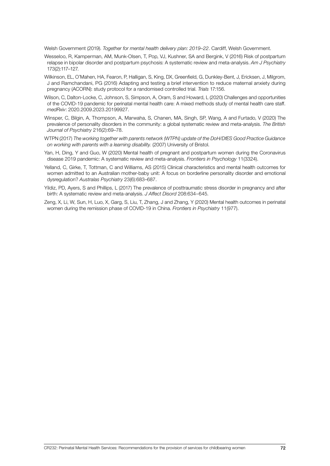Welsh Government (2019). *Together for mental health delivery plan: 2019–22*. Cardiff, Welsh Government.

- Wesseloo, R, Kamperman, AM, Munk-Olsen, T, Pop, VJ, Kushner, SA and Bergink, V (2016) Risk of postpartum relapse in bipolar disorder and postpartum psychosis: A systematic review and meta-analysis. *Am J Psychiatry*  173(2):117–127.
- Wilkinson, EL, O'Mahen, HA, Fearon, P, Halligan, S, King, DX, Greenfield, G, Dunkley-Bent, J, Ericksen, J, Milgrom, J and Ramchandani, PG (2016) Adapting and testing a brief intervention to reduce maternal anxiety during pregnancy (ACORN): study protocol for a randomised controlled trial. *Trials* 17:156.
- Wilson, C, Dalton-Locke, C, Johnson, S, Simpson, A, Oram, S and Howard, L (2020) Challenges and opportunities of the COVID-19 pandemic for perinatal mental health care: A mixed methods study of mental health care staff. *medRxiv*: 2020.2009.2023.20199927.
- Winsper, C, Bilgin, A, Thompson, A, Marwaha, S, Chanen, MA, Singh, SP, Wang, A and Furtado, V (2020) The prevalence of personality disorders in the community: a global systematic review and meta-analysis. *The British Journal of Psychiatry* 216(2):69–78.
- WTPN (2017) *The working together with parents network (WTPN) update of the DoH/DfES Good Practice Guidance on working with parents with a learning disability.* (2007) University of Bristol.
- Yan, H, Ding, Y and Guo, W (2020) Mental health of pregnant and postpartum women during the Coronavirus disease 2019 pandemic: A systematic review and meta-analysis. *Frontiers in Psychology* 11(3324).
- Yelland, C, Girke, T, Tottman, C and Williams, AS (2015) Clinical characteristics and mental health outcomes for women admitted to an Australian mother-baby unit: A focus on borderline personality disorder and emotional dysregulation? *Australas Psychiatry* 23(6):683–687.
- Yildiz, PD, Ayers, S and Phillips, L (2017) The prevalence of posttraumatic stress disorder in pregnancy and after birth: A systematic review and meta-analysis. *J Affect Disord* 208:634–645.
- Zeng, X, Li, W, Sun, H, Luo, X, Garg, S, Liu, T, Zhang, J and Zhang, Y (2020) Mental health outcomes in perinatal women during the remission phase of COVID-19 in China. *Frontiers in Psychiatry* 11(977).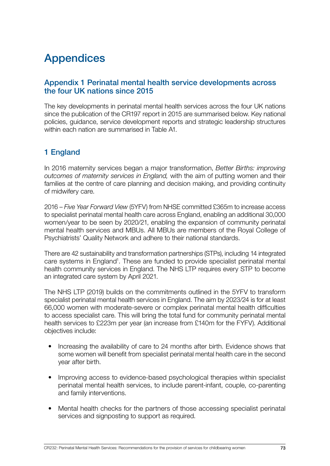# Appendices

## Appendix 1 Perinatal mental health service developments across the four UK nations since 2015

The key developments in perinatal mental health services across the four UK nations since the publication of the CR197 report in 2015 are summarised below. Key national policies, guidance, service development reports and strategic leadership structures within each nation are summarised in Table A1.

## 1 England

In 2016 maternity services began a major transformation, *Better Births: improving outcomes of maternity services in England,* with the aim of putting women and their families at the centre of care planning and decision making, and providing continuity of midwifery care.

2016 – *Five Year Forward View* (5YFV) from NHSE committed £365m to increase access to specialist perinatal mental health care across England, enabling an additional 30,000 women/year to be seen by 2020/21, enabling the expansion of community perinatal mental health services and MBUs. All MBUs are members of the Royal College of Psychiatrists' Quality Network and adhere to their national standards.

There are 42 sustainability and transformation partnerships (STPs), including 14 integrated care systems in England<sup>1</sup>. These are funded to provide specialist perinatal mental health community services in England. The NHS LTP requires every STP to become an integrated care system by April 2021.

The NHS LTP (2019) builds on the commitments outlined in the 5YFV to transform specialist perinatal mental health services in England. The aim by 2023/24 is for at least 66,000 women with moderate-severe or complex perinatal mental health difficulties to access specialist care. This will bring the total fund for community perinatal mental health services to £223m per year (an increase from £140m for the FYFV). Additional objectives include:

- Increasing the availability of care to 24 months after birth. Evidence shows that some women will benefit from specialist perinatal mental health care in the second year after birth.
- Improving access to evidence-based psychological therapies within specialist perinatal mental health services, to include parent-infant, couple, co-parenting and family interventions.
- Mental health checks for the partners of those accessing specialist perinatal services and signposting to support as required.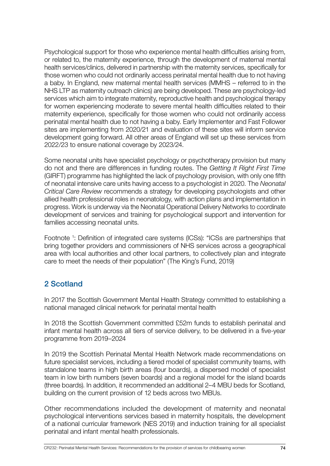Psychological support for those who experience mental health difficulties arising from, or related to, the maternity experience, through the development of maternal mental health services/clinics, delivered in partnership with the maternity services, specifically for those women who could not ordinarily access perinatal mental health due to not having a baby. In England, new maternal mental health services (MMHS – referred to in the NHS LTP as maternity outreach clinics) are being developed. These are psychology-led services which aim to integrate maternity, reproductive health and psychological therapy for women experiencing moderate to severe mental health difficulties related to their maternity experience, specifically for those women who could not ordinarily access perinatal mental health due to not having a baby. Early Implementer and Fast Follower sites are implementing from 2020/21 and evaluation of these sites will inform service development going forward. All other areas of England will set up these services from 2022/23 to ensure national coverage by 2023/24.

Some neonatal units have specialist psychology or psychotherapy provision but many do not and there are differences in funding routes. The *Getting It Right First Time*  (GIRFT) programme has highlighted the lack of psychology provision, with only one fifth of neonatal intensive care units having access to a psychologist in 2020. The *Neonatal Critical Care Review* recommends a strategy for developing psychologists and other allied health professional roles in neonatology, with action plans and implementation in progress. Work is underway via the Neonatal Operational Delivery Networks to coordinate development of services and training for psychological support and intervention for families accessing neonatal units.

Footnote <sup>1</sup>: Definition of integrated care systems (ICSs): "ICSs are partnerships that bring together providers and commissioners of NHS services across a geographical area with local authorities and other local partners, to collectively plan and integrate care to meet the needs of their population" (The King's Fund, 2019)

## 2 Scotland

In 2017 the Scottish Government Mental Health Strategy committed to establishing a national managed clinical network for perinatal mental health

In 2018 the Scottish Government committed £52m funds to establish perinatal and infant mental health across all tiers of service delivery, to be delivered in a five-year programme from 2019–2024

In 2019 the Scottish Perinatal Mental Health Network made recommendations on future specialist services, including a tiered model of specialist community teams, with standalone teams in high birth areas (four boards), a dispersed model of specialist team in low birth numbers (seven boards) and a regional model for the island boards (three boards). In addition, it recommended an additional 2–4 MBU beds for Scotland, building on the current provision of 12 beds across two MBUs.

Other recommendations included the development of maternity and neonatal psychological interventions services based in maternity hospitals, the development of a national curricular framework (NES 2019) and induction training for all specialist perinatal and infant mental health professionals.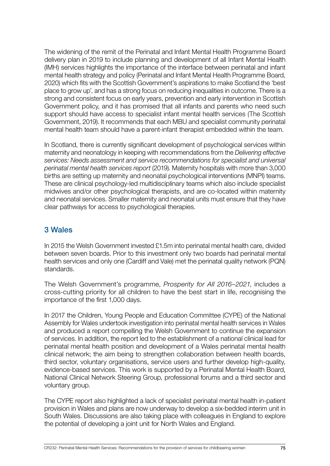The widening of the remit of the Perinatal and Infant Mental Health Programme Board delivery plan in 2019 to include planning and development of all Infant Mental Health (IMH) services highlights the importance of the interface between perinatal and infant mental health strategy and policy (Perinatal and Infant Mental Health Programme Board, 2020) which fits with the Scottish Government's aspirations to make Scotland the 'best place to grow up', and has a strong focus on reducing inequalities in outcome. There is a strong and consistent focus on early years, prevention and early intervention in Scottish Government policy, and it has promised that all infants and parents who need such support should have access to specialist infant mental health services (The Scottish Government, 2019). It recommends that each MBU and specialist community perinatal mental health team should have a parent-infant therapist embedded within the team.

In Scotland, there is currently significant development of psychological services within maternity and neonatology in keeping with recommendations from the *Delivering effective services: Needs assessment and service recommendations for specialist and universal perinatal mental health services report* (2019). Maternity hospitals with more than 3,000 births are setting up maternity and neonatal psychological interventions (MNPI) teams. These are clinical psychology-led multidisciplinary teams which also include specialist midwives and/or other psychological therapists, and are co-located within maternity and neonatal services. Smaller maternity and neonatal units must ensure that they have clear pathways for access to psychological therapies.

## 3 Wales

In 2015 the Welsh Government invested £1.5m into perinatal mental health care, divided between seven boards. Prior to this investment only two boards had perinatal mental health services and only one (Cardiff and Vale) met the perinatal quality network (PQN) standards.

The Welsh Government's programme, *Prosperity for All 2016–2021*, includes a cross-cutting priority for all children to have the best start in life, recognising the importance of the first 1,000 days.

In 2017 the Children, Young People and Education Committee (CYPE) of the National Assembly for Wales undertook investigation into perinatal mental health services in Wales and produced a report compelling the Welsh Government to continue the expansion of services. In addition, the report led to the establishment of a national clinical lead for perinatal mental health position and development of a Wales perinatal mental health clinical network; the aim being to strengthen collaboration between health boards, third sector, voluntary organisations, service users and further develop high-quality, evidence-based services. This work is supported by a Perinatal Mental Health Board, National Clinical Network Steering Group, professional forums and a third sector and voluntary group.

The CYPE report also highlighted a lack of specialist perinatal mental health in-patient provision in Wales and plans are now underway to develop a six-bedded interim unit in South Wales. Discussions are also taking place with colleagues in England to explore the potential of developing a joint unit for North Wales and England.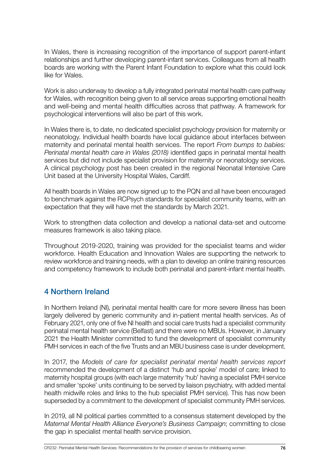In Wales, there is increasing recognition of the importance of support parent-infant relationships and further developing parent-infant services. Colleagues from all health boards are working with the Parent Infant Foundation to explore what this could look like for Wales.

Work is also underway to develop a fully integrated perinatal mental health care pathway for Wales, with recognition being given to all service areas supporting emotional health and well-being and mental health difficulties across that pathway. A framework for psychological interventions will also be part of this work.

In Wales there is, to date, no dedicated specialist psychology provision for maternity or neonatology. Individual health boards have local guidance about interfaces between maternity and perinatal mental health services. The report *From bumps to babies: Perinatal mental health care in Wales (2018)* identified gaps in perinatal mental health services but did not include specialist provision for maternity or neonatology services. A clinical psychology post has been created in the regional Neonatal Intensive Care Unit based at the University Hospital Wales, Cardiff.

All health boards in Wales are now signed up to the PQN and all have been encouraged to benchmark against the RCPsych standards for specialist community teams, with an expectation that they will have met the standards by March 2021.

Work to strengthen data collection and develop a national data-set and outcome measures framework is also taking place.

Throughout 2019-2020, training was provided for the specialist teams and wider workforce. Health Education and Innovation Wales are supporting the network to review workforce and training needs, with a plan to develop an online training resources and competency framework to include both perinatal and parent-infant mental health.

## 4 Northern Ireland

In Northern Ireland (NI), perinatal mental health care for more severe illness has been largely delivered by generic community and in-patient mental health services. As of February 2021, only one of five NI health and social care trusts had a specialist community perinatal mental health service (Belfast) and there were no MBUs. However, in January 2021 the Health Minister committed to fund the development of specialist community PMH services in each of the five Trusts and an MBU business case is under development.

In 2017, the *Models of care for specialist perinatal mental health services report*  recommended the development of a distinct 'hub and spoke' model of care; linked to maternity hospital groups (with each large maternity 'hub' having a specialist PMH service and smaller 'spoke' units continuing to be served by liaison psychiatry, with added mental health midwife roles and links to the hub specialist PMH service). This has now been superseded by a commitment to the development of specialist community PMH services.

In 2019, all NI political parties committed to a consensus statement developed by the *Maternal Mental Health Alliance Everyone's Business Campaign*; committing to close the gap in specialist mental health service provision.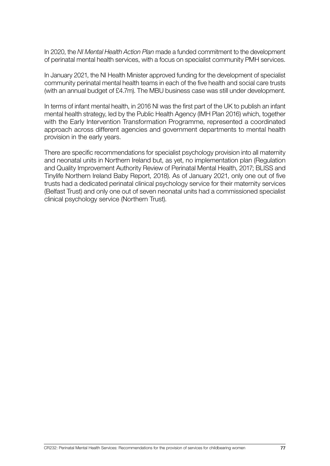In 2020, the *NI Mental Health Action Plan* made a funded commitment to the development of perinatal mental health services, with a focus on specialist community PMH services.

In January 2021, the NI Health Minister approved funding for the development of specialist community perinatal mental health teams in each of the five health and social care trusts (with an annual budget of £4.7m). The MBU business case was still under development.

In terms of infant mental health, in 2016 NI was the first part of the UK to publish an infant mental health strategy, led by the Public Health Agency (IMH Plan 2016) which, together with the Early Intervention Transformation Programme, represented a coordinated approach across different agencies and government departments to mental health provision in the early years.

There are specific recommendations for specialist psychology provision into all maternity and neonatal units in Northern Ireland but, as yet, no implementation plan (Regulation and Quality Improvement Authority Review of Perinatal Mental Health, 2017; BLISS and Tinylife Northern Ireland Baby Report, 2018). As of January 2021, only one out of five trusts had a dedicated perinatal clinical psychology service for their maternity services (Belfast Trust) and only one out of seven neonatal units had a commissioned specialist clinical psychology service (Northern Trust).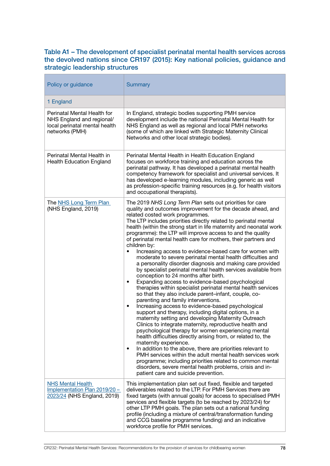#### Table A1 – The development of specialist perinatal mental health services across the devolved nations since CR197 (2015): Key national policies, guidance and strategic leadership structures

| Policy or guidance                                                                                          | <b>Summary</b>                                                                                                                                                                                                                                                                                                                                                                                                                                                                                                                                                                                                                                                                                                                                                                                                                                                                                                                                                                                                                                                                                                                                                                                                                                                                                                                                                                                                                                                                                                                                                                                                                                                                                          |
|-------------------------------------------------------------------------------------------------------------|---------------------------------------------------------------------------------------------------------------------------------------------------------------------------------------------------------------------------------------------------------------------------------------------------------------------------------------------------------------------------------------------------------------------------------------------------------------------------------------------------------------------------------------------------------------------------------------------------------------------------------------------------------------------------------------------------------------------------------------------------------------------------------------------------------------------------------------------------------------------------------------------------------------------------------------------------------------------------------------------------------------------------------------------------------------------------------------------------------------------------------------------------------------------------------------------------------------------------------------------------------------------------------------------------------------------------------------------------------------------------------------------------------------------------------------------------------------------------------------------------------------------------------------------------------------------------------------------------------------------------------------------------------------------------------------------------------|
| 1 England                                                                                                   |                                                                                                                                                                                                                                                                                                                                                                                                                                                                                                                                                                                                                                                                                                                                                                                                                                                                                                                                                                                                                                                                                                                                                                                                                                                                                                                                                                                                                                                                                                                                                                                                                                                                                                         |
| Perinatal Mental Health for<br>NHS England and regional/<br>local perinatal mental health<br>networks (PMH) | In England, strategic bodies supporting PMH service<br>development include the national Perinatal Mental Health for<br>NHS England as well as regional and local PMH networks<br>(some of which are linked with Strategic Maternity Clinical<br>Networks and other local strategic bodies).                                                                                                                                                                                                                                                                                                                                                                                                                                                                                                                                                                                                                                                                                                                                                                                                                                                                                                                                                                                                                                                                                                                                                                                                                                                                                                                                                                                                             |
| Perinatal Mental Health in<br><b>Health Education England</b>                                               | Perinatal Mental Health in Health Education England<br>focuses on workforce training and education across the<br>perinatal pathway. It has developed a perinatal mental health<br>competency framework for specialist and universal services. It<br>has developed e-learning modules, including generic as well<br>as profession-specific training resources (e.g. for health visitors<br>and occupational therapists).                                                                                                                                                                                                                                                                                                                                                                                                                                                                                                                                                                                                                                                                                                                                                                                                                                                                                                                                                                                                                                                                                                                                                                                                                                                                                 |
| The NHS Long Term Plan<br>(NHS England, 2019)                                                               | The 2019 NHS Long Term Plan sets out priorities for care<br>quality and outcomes improvement for the decade ahead, and<br>related costed work programmes.<br>The LTP includes priorities directly related to perinatal mental<br>health (within the strong start in life maternity and neonatal work<br>programme): the LTP will improve access to and the quality<br>of perinatal mental health care for mothers, their partners and<br>children by:<br>Increasing access to evidence-based care for women with<br>$\bullet$<br>moderate to severe perinatal mental health difficulties and<br>a personality disorder diagnosis and making care provided<br>by specialist perinatal mental health services available from<br>conception to 24 months after birth.<br>Expanding access to evidence-based psychological<br>$\bullet$<br>therapies within specialist perinatal mental health services<br>so that they also include parent-infant, couple, co-<br>parenting and family interventions.<br>Increasing access to evidence-based psychological<br>$\bullet$<br>support and therapy, including digital options, in a<br>maternity setting and developing Maternity Outreach<br>Clinics to integrate maternity, reproductive health and<br>psychological therapy for women experiencing mental<br>health difficulties directly arising from, or related to, the<br>maternity experience.<br>In addition to the above, there are priorities relevant to<br>$\bullet$<br>PMH services within the adult mental health services work<br>programme; including priorities related to common mental<br>disorders, severe mental health problems, crisis and in-<br>patient care and suicide prevention. |
| <b>NHS Mental Health</b><br>Implementation Plan 2019/20 -<br>2023/24 (NHS England, 2019)                    | This implementation plan set out fixed, flexible and targeted<br>deliverables related to the LTP. For PMH Services there are<br>fixed targets (with annual goals) for access to specialised PMH<br>services and flexible targets (to be reached by 2023/24) for<br>other LTP PMH goals. The plan sets out a national funding<br>profile (including a mixture of central/transformation funding<br>and CCG baseline programme funding) and an indicative<br>workforce profile for PMH services.                                                                                                                                                                                                                                                                                                                                                                                                                                                                                                                                                                                                                                                                                                                                                                                                                                                                                                                                                                                                                                                                                                                                                                                                          |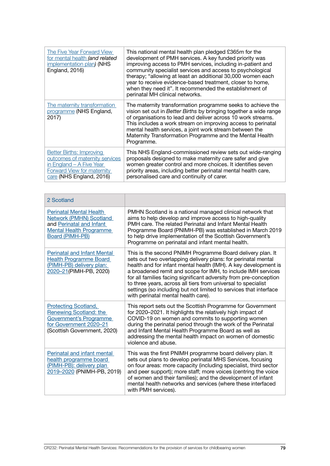| The Five Year Forward View<br>for mental health (and related<br>implementation plan) (NHS<br><b>England, 2016)</b>                                      | This national mental health plan pledged £365m for the<br>development of PMH services. A key funded priority was<br>improving access to PMH services, including in-patient and<br>community specialist services and access to psychological<br>therapy; "allowing at least an additional 30,000 women each<br>year to receive evidence-based treatment, closer to home,<br>when they need it". It recommended the establishment of<br>perinatal MH clinical networks. |
|---------------------------------------------------------------------------------------------------------------------------------------------------------|-----------------------------------------------------------------------------------------------------------------------------------------------------------------------------------------------------------------------------------------------------------------------------------------------------------------------------------------------------------------------------------------------------------------------------------------------------------------------|
| The maternity transformation<br>programme (NHS England,<br>2017)                                                                                        | The maternity transformation programme seeks to achieve the<br>vision set out in Better Births by bringing together a wide range<br>of organisations to lead and deliver across 10 work streams.<br>This includes a work stream on improving access to perinatal<br>mental health services, a joint work stream between the<br>Maternity Transformation Programme and the Mental Health<br>Programme.                                                                 |
| <b>Better Births: Improving</b><br>outcomes of maternity services<br>in England - A Five Year<br>Forward View for maternity<br>care (NHS England, 2016) | This NHS England-commissioned review sets out wide-ranging<br>proposals designed to make maternity care safer and give<br>women greater control and more choices. It identifies seven<br>priority areas, including better perinatal mental health care,<br>personalised care and continuity of carer.                                                                                                                                                                 |

| 2 Scotland                                                                                                                                      |                                                                                                                                                                                                                                                                                                                                                                                                                                                                                                                  |
|-------------------------------------------------------------------------------------------------------------------------------------------------|------------------------------------------------------------------------------------------------------------------------------------------------------------------------------------------------------------------------------------------------------------------------------------------------------------------------------------------------------------------------------------------------------------------------------------------------------------------------------------------------------------------|
| <b>Perinatal Mental Health</b><br>Network (PMHN) Scotland<br>and Perinatal and Infant<br>Mental Health Programme<br>Board (PIMH-PB)             | PMHN Scotland is a national managed clinical network that<br>aims to help develop and improve access to high-quality<br>PMH care. The related Perinatal and Infant Mental Health<br>Programme Board (PNIMH-PB) was established in March 2019<br>to help drive implementation of the Scottish Government's<br>Programme on perinatal and infant mental health.                                                                                                                                                    |
| <b>Perinatal and Infant Mental</b><br><b>Health Programme Board</b><br>(PIMH-PB) delivery plan:<br>2020-21(PIMH-PB, 2020)                       | This is the second PNIMH Programme Board delivery plan. It<br>sets out two overlapping delivery plans: for perinatal mental<br>health and for infant mental health (IMH). A key development is<br>a broadened remit and scope for IMH, to include IMH services<br>for all families facing significant adversity from pre-conception<br>to three years, across all tiers from universal to specialist<br>settings (so including but not limited to services that interface<br>with perinatal mental health care). |
| <b>Protecting Scotland,</b><br><b>Renewing Scotland: the</b><br>Government's Programme<br>for Government 2020-21<br>(Scottish Government, 2020) | This report sets out the Scottish Programme for Government<br>for 2020-2021. It highlights the relatively high impact of<br>COVID-19 on women and commits to supporting women<br>during the perinatal period through the work of the Perinatal<br>and Infant Mental Health Programme Board as well as<br>addressing the mental health impact on women of domestic<br>violence and abuse.                                                                                                                         |
| Perinatal and infant mental<br>health programme board<br>(PIMH-PB): delivery plan<br>2019-2020 (PNIMH-PB, 2019)                                 | This was the first PNIMH programme board delivery plan. It<br>sets out plans to develop perinatal MHS Services, focusing<br>on four areas: more capacity (including specialist, third sector<br>and peer support); more staff; more voices (centring the voice<br>of women and their families); and the development of infant<br>mental health networks and services (where these interfaced<br>with PMH services).                                                                                              |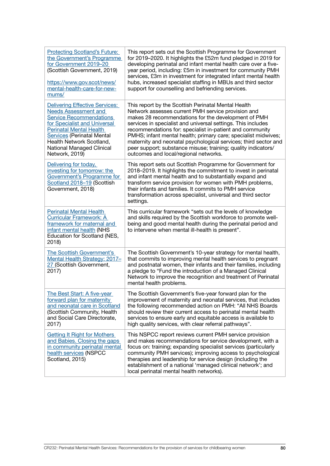| <b>Protecting Scotland's Future:</b><br>the Government's Programme<br>for Government 2019-20<br>(Scottish Government, 2019)<br>https://www.gov.scot/news/<br>mental-health-care-for-new-<br>mums/                                                                                 | This report sets out the Scottish Programme for Government<br>for 2019-2020. It highlights the £52m fund pledged in 2019 for<br>developing perinatal and infant mental health care over a five-<br>year period, including: £5m in investment for community PMH<br>services, £3m in investment for integrated infant mental health<br>hubs, increased specialist staffing in MBUs and third sector<br>support for counselling and befriending services.                                                                                      |
|-----------------------------------------------------------------------------------------------------------------------------------------------------------------------------------------------------------------------------------------------------------------------------------|---------------------------------------------------------------------------------------------------------------------------------------------------------------------------------------------------------------------------------------------------------------------------------------------------------------------------------------------------------------------------------------------------------------------------------------------------------------------------------------------------------------------------------------------|
| Delivering Effective Services:<br><b>Needs Assessment and</b><br><b>Service Recommendations</b><br>for Specialist and Universal<br><b>Perinatal Mental Health</b><br><b>Services</b> (Perinatal Mental<br>Health Network Scotland,<br>National Managed Clinical<br>Network, 2019) | This report by the Scottish Perinatal Mental Health<br>Network assesses current PMH service provision and<br>makes 28 recommendations for the development of PMH<br>services in specialist and universal settings. This includes<br>recommendations for: specialist in-patient and community<br>PMHS; infant mental health; primary care; specialist midwives;<br>maternity and neonatal psychological services; third sector and<br>peer support; substance misuse; training; quality indicators/<br>outcomes and local/regional networks. |
| Delivering for today,<br>investing for tomorrow: the<br>Government's Programme for<br>Scotland 2018-19 (Scottish<br>Government, 2018)                                                                                                                                             | This report sets out Scottish Programme for Government for<br>2018-2019. It highlights the commitment to invest in perinatal<br>and infant mental health and to substantially expand and<br>transform service provision for women with PMH problems,<br>their infants and families. It commits to PMH service<br>transformation across specialist, universal and third sector<br>settings.                                                                                                                                                  |
| <b>Perinatal Mental Health</b><br><b>Curricular Framework: A</b><br>framework for maternal and<br>infant mental health (NHS<br>Education for Scotland (NES,<br>2018)                                                                                                              | This curricular framework "sets out the levels of knowledge<br>and skills required by the Scottish workforce to promote well-<br>being and good mental health during the perinatal period and<br>to intervene when mental ill-health is present".                                                                                                                                                                                                                                                                                           |
| The Scottish Government's<br>Mental Health Strategy: 2017-<br>27 (Scottish Government,<br>2017)                                                                                                                                                                                   | The Scottish Government's 10-year strategy for mental health,<br>that commits to improving mental health services to pregnant<br>and postnatal women, their infants and their families, including<br>a pledge to "Fund the introduction of a Managed Clinical<br>Network to improve the recognition and treatment of Perinatal<br>mental health problems.                                                                                                                                                                                   |
| The Best Start: A five-year<br>forward plan for maternity<br>and neonatal care in Scotland<br>(Scottish Community, Health<br>and Social Care Directorate,<br>2017)                                                                                                                | The Scottish Government's five-year forward plan for the<br>improvement of maternity and neonatal services, that includes<br>the following recommended action on PMH: "All NHS Boards<br>should review their current access to perinatal mental health<br>services to ensure early and equitable access is available to<br>high quality services, with clear referral pathways".                                                                                                                                                            |
| <b>Getting It Right for Mothers</b><br>and Babies. Closing the gaps<br>in community perinatal mental<br>health services (NSPCC<br>Scotland, 2015)                                                                                                                                 | This NSPCC report reviews current PMH service provision<br>and makes recommendations for service development, with a<br>focus on: training; expanding specialist services (particularly<br>community PMH services); improving access to psychological<br>therapies and leadership for service design (including the<br>establishment of a national 'managed clinical network'; and<br>local perinatal mental health networks).                                                                                                              |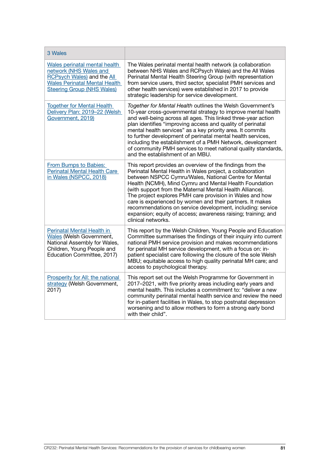| 3 Wales                                                                                                                                                            |                                                                                                                                                                                                                                                                                                                                                                                                                                                                                                                                                                                     |
|--------------------------------------------------------------------------------------------------------------------------------------------------------------------|-------------------------------------------------------------------------------------------------------------------------------------------------------------------------------------------------------------------------------------------------------------------------------------------------------------------------------------------------------------------------------------------------------------------------------------------------------------------------------------------------------------------------------------------------------------------------------------|
| Wales perinatal mental health<br>network (NHS Wales and<br>RCPsych Wales) and the All<br><b>Wales Perinatal Mental Health</b><br><b>Steering Group (NHS Wales)</b> | The Wales perinatal mental health network (a collaboration<br>between NHS Wales and RCPsych Wales) and the All Wales<br>Perinatal Mental Health Steering Group (with representation<br>from service users, third sector, specialist PMH services and<br>other health services) were established in 2017 to provide<br>strategic leadership for service development.                                                                                                                                                                                                                 |
| <b>Together for Mental Health</b><br>Delivery Plan: 2019-22 (Welsh<br>Government, 2019)                                                                            | Together for Mental Health outlines the Welsh Government's<br>10-year cross-governmental strategy to improve mental health<br>and well-being across all ages. This linked three-year action<br>plan identifies "improving access and quality of perinatal<br>mental health services" as a key priority area. It commits<br>to further development of perinatal mental health services,<br>including the establishment of a PMH Network, development<br>of community PMH services to meet national quality standards,<br>and the establishment of an MBU.                            |
| From Bumps to Babies:<br>Perinatal Mental Health Care<br>in Wales (NSPCC, 2018)                                                                                    | This report provides an overview of the findings from the<br>Perinatal Mental Health in Wales project, a collaboration<br>between NSPCC Cymru/Wales, National Centre for Mental<br>Health (NCMH), Mind Cymru and Mental Health Foundation<br>(with support from the Maternal Mental Health Alliance).<br>The project explores PMH care provision in Wales and how<br>care is experienced by women and their partners. It makes<br>recommendations on service development, including: service<br>expansion; equity of access; awareness raising; training; and<br>clinical networks. |
| Perinatal Mental Health in<br><b>Wales</b> (Welsh Government,<br>National Assembly for Wales,<br>Children, Young People and<br>Education Committee, 2017)          | This report by the Welsh Children, Young People and Education<br>Committee summarises the findings of their inquiry into current<br>national PMH service provision and makes recommendations<br>for perinatal MH service development, with a focus on: in-<br>patient specialist care following the closure of the sole Welsh<br>MBU; equitable access to high quality perinatal MH care; and<br>access to psychological therapy.                                                                                                                                                   |
| Prosperity for All: the national<br>strategy (Welsh Government,<br>2017)                                                                                           | This report set out the Welsh Programme for Government in<br>2017-2021, with five priority areas including early years and<br>mental health. This includes a commitment to: "deliver a new<br>community perinatal mental health service and review the need<br>for in-patient facilities in Wales, to stop postnatal depression<br>worsening and to allow mothers to form a strong early bond<br>with their child".                                                                                                                                                                 |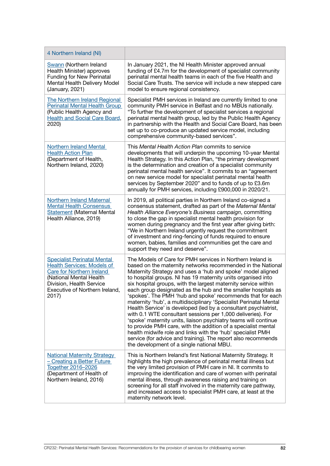| 4 Northern Ireland (NI)                                                                                                                                                                                |                                                                                                                                                                                                                                                                                                                                                                                                                                                                                                                                                                                                                                                                                                                                                                                                                                                                                                                                                                                   |
|--------------------------------------------------------------------------------------------------------------------------------------------------------------------------------------------------------|-----------------------------------------------------------------------------------------------------------------------------------------------------------------------------------------------------------------------------------------------------------------------------------------------------------------------------------------------------------------------------------------------------------------------------------------------------------------------------------------------------------------------------------------------------------------------------------------------------------------------------------------------------------------------------------------------------------------------------------------------------------------------------------------------------------------------------------------------------------------------------------------------------------------------------------------------------------------------------------|
| <b>Swann</b> (Northern Ireland<br>Health Minister) approves<br><b>Funding for New Perinatal</b><br>Mental Health Delivery Model<br>(January, 2021)                                                     | In January 2021, the NI Health Minister approved annual<br>funding of £4.7m for the development of specialist community<br>perinatal mental health teams in each of the five Health and<br>Social Care Trusts. The service will include a new stepped care<br>model to ensure regional consistency.                                                                                                                                                                                                                                                                                                                                                                                                                                                                                                                                                                                                                                                                               |
| <b>The Northern Ireland Regional</b><br><b>Perinatal Mental Health Group</b><br>(Public Health Agency and<br>Health and Social Care Board,<br>2020)                                                    | Specialist PMH services in Ireland are currently limited to one<br>community PMH service in Belfast and no MBUs nationally.<br>"To further the development of specialist services a regional<br>perinatal mental health group, led by the Public Health Agency<br>in partnership with the Health and Social Care Board, has been<br>set up to co-produce an updated service model, including<br>comprehensive community-based services".                                                                                                                                                                                                                                                                                                                                                                                                                                                                                                                                          |
| <b>Northern Ireland Mental</b><br><b>Health Action Plan</b><br>(Department of Health,<br>Northern Ireland, 2020)                                                                                       | This Mental Health Action Plan commits to service<br>developments that will underpin the upcoming 10-year Mental<br>Health Strategy. In this Action Plan, "the primary development<br>is the determination and creation of a specialist community<br>perinatal mental health service". It commits to an "agreement<br>on new service model for specialist perinatal mental health<br>services by September 2020" and to funds of up to £3.6m<br>annually for PMH services, including £900,000 in 2020/21.                                                                                                                                                                                                                                                                                                                                                                                                                                                                         |
| <b>Northern Ireland Maternal</b><br><b>Mental Health Consensus</b><br><b>Statement (Maternal Mental</b><br>Health Alliance, 2019)                                                                      | In 2019, all political parties in Northern Ireland co-signed a<br>consensus statement, drafted as part of the Maternal Mental<br>Health Alliance Everyone's Business campaign, committing<br>to close the gap in specialist mental health provision for<br>women during pregnancy and the first year after giving birth:<br>"We in Northern Ireland urgently request the commitment<br>of investment and ring-fencing of funds required to ensure<br>women, babies, families and communities get the care and<br>support they need and deserve".                                                                                                                                                                                                                                                                                                                                                                                                                                  |
| <b>Specialist Perinatal Mental</b><br><b>Health Services: Models of</b><br>Care for Northern Ireland<br>(National Mental Health<br>Division, Health Service<br>Executive of Northern Ireland,<br>2017) | The Models of Care for PMH services in Northern Ireland is<br>based on the maternity networks recommended in the National<br>Maternity Strategy and uses a 'hub and spoke' model aligned<br>to hospital groups. NI has 19 maternity units organised into<br>six hospital groups, with the largest maternity service within<br>each group designated as the hub and the smaller hospitals as<br>'spokes'. The PMH 'hub and spoke' recommends that for each<br>maternity 'hub', a multidisciplinary 'Specialist Perinatal Mental<br>Health Service' is developed (led by a consultant psychiatrist,<br>with 0.1 WTE consultant sessions per 1,000 deliveries). For<br>'spoke' maternity units, liaison psychiatry teams will continue<br>to provide PMH care, with the addition of a specialist mental<br>health midwife role and links with the 'hub' specialist PMH<br>service (for advice and training). The report also recommends<br>the development of a single national MBU. |
| <b>National Maternity Strategy</b><br>- Creating a Better Future<br>Together 2016-2026<br>(Department of Health of<br>Northern Ireland, 2016)                                                          | This is Northern Ireland's first National Maternity Strategy. It<br>highlights the high prevalence of perinatal mental illness but<br>the very limited provision of PMH care in NI. It commits to<br>improving the identification and care of women with perinatal<br>mental illness, through awareness raising and training on<br>screening for all staff involved in the maternity care pathway,<br>and increased access to specialist PMH care, at least at the<br>maternity network level.                                                                                                                                                                                                                                                                                                                                                                                                                                                                                    |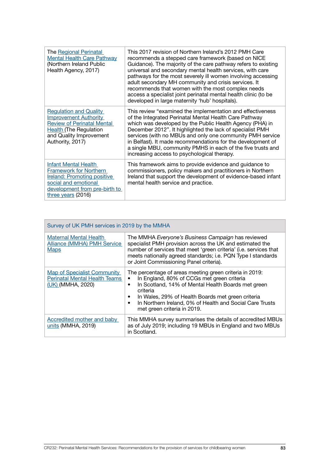| <b>The Regional Perinatal</b><br><b>Mental Health Care Pathway</b><br>(Northern Ireland Public<br>Health Agency, 2017)                                                             | This 2017 revision of Northern Ireland's 2012 PMH Care<br>recommends a stepped care framework (based on NICE<br>Guidance). The majority of the care pathway refers to existing<br>universal and secondary mental health services, with care<br>pathways for the most severely ill women involving accessing<br>adult secondary MH community and crisis services. It<br>recommends that women with the most complex needs<br>access a specialist joint perinatal mental health clinic (to be<br>developed in large maternity 'hub' hospitals). |
|------------------------------------------------------------------------------------------------------------------------------------------------------------------------------------|-----------------------------------------------------------------------------------------------------------------------------------------------------------------------------------------------------------------------------------------------------------------------------------------------------------------------------------------------------------------------------------------------------------------------------------------------------------------------------------------------------------------------------------------------|
| <b>Regulation and Quality</b><br><b>Improvement Authority</b><br><b>Review of Perinatal Mental</b><br><b>Health (The Regulation</b><br>and Quality Improvement<br>Authority, 2017) | This review "examined the implementation and effectiveness<br>of the Integrated Perinatal Mental Health Care Pathway<br>which was developed by the Public Health Agency (PHA) in<br>December 2012". It highlighted the lack of specialist PMH<br>services (with no MBUs and only one community PMH service<br>in Belfast). It made recommendations for the development of<br>a single MBU, community PMHS in each of the five trusts and<br>increasing access to psychological therapy.                                                       |
| Infant Mental Health<br><b>Framework for Northern</b><br><b>Ireland: Promoting positive</b><br>social and emotional<br>development from pre-birth to<br>three years (2016)         | This framework aims to provide evidence and guidance to<br>commissioners, policy makers and practitioners in Northern<br>Ireland that support the development of evidence-based infant<br>mental health service and practice.                                                                                                                                                                                                                                                                                                                 |

| Survey of UK PMH services in 2019 by the MMHA                                                   |                                                                                                                                                                                                                                                                                                                                                                     |
|-------------------------------------------------------------------------------------------------|---------------------------------------------------------------------------------------------------------------------------------------------------------------------------------------------------------------------------------------------------------------------------------------------------------------------------------------------------------------------|
| <b>Maternal Mental Health</b><br><b>Alliance (MMHA) PMH Service</b><br><b>Maps</b>              | The MMHA Everyone's Business Campaign has reviewed<br>specialist PMH provision across the UK and estimated the<br>number of services that meet 'green criteria' (i.e. services that<br>meets nationally agreed standards; i.e. PQN Type I standards<br>or Joint Commissioning Panel criteria).                                                                      |
| <b>Map of Specialist Community</b><br><b>Perinatal Mental Health Teams</b><br>(UK) (MMHA, 2020) | The percentage of areas meeting green criteria in 2019:<br>In England, 80% of CCGs met green criteria<br>$\bullet$<br>In Scotland, 14% of Mental Health Boards met green<br>٠<br>criteria<br>In Wales, 29% of Health Boards met green criteria<br>$\bullet$<br>In Northern Ireland, 0% of Health and Social Care Trusts<br>$\bullet$<br>met green criteria in 2019. |
| Accredited mother and baby<br>units (MMHA, 2019)                                                | This MMHA survey summarises the details of accredited MBUs<br>as of July 2019; including 19 MBUs in England and two MBUs<br>in Scotland.                                                                                                                                                                                                                            |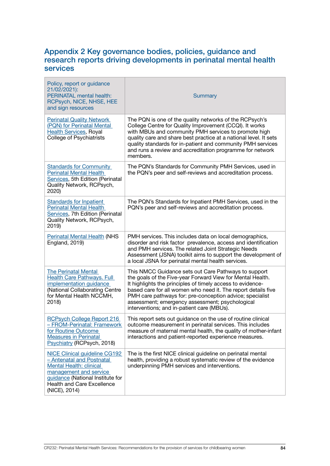### Appendix 2 Key governance bodies, policies, guidance and research reports driving developments in perinatal mental health services

| Policy, report or guidance<br>21/02/2021):<br>PERINATAL mental health:<br>RCPsych, NICE, NHSE, HEE<br>and sign resources                                                                                         | <b>Summary</b>                                                                                                                                                                                                                                                                                                                                                                                                 |
|------------------------------------------------------------------------------------------------------------------------------------------------------------------------------------------------------------------|----------------------------------------------------------------------------------------------------------------------------------------------------------------------------------------------------------------------------------------------------------------------------------------------------------------------------------------------------------------------------------------------------------------|
| <b>Perinatal Quality Network</b><br>(PQN) for Perinatal Mental<br><b>Health Services, Royal</b><br><b>College of Psychiatrists</b>                                                                               | The PQN is one of the quality networks of the RCPsych's<br>College Centre for Quality Improvement (CCQI). It works<br>with MBUs and community PMH services to promote high<br>quality care and share best practice at a national level. It sets<br>quality standards for in-patient and community PMH services<br>and runs a review and accreditation programme for network<br>members.                        |
| <b>Standards for Community</b><br><b>Perinatal Mental Health</b><br>Services, 5th Edition (Perinatal<br>Quality Network, RCPsych,<br>2020)                                                                       | The PQN's Standards for Community PMH Services, used in<br>the PQN's peer and self-reviews and accreditation process.                                                                                                                                                                                                                                                                                          |
| <b>Standards for Inpatient</b><br><b>Perinatal Mental Health</b><br>Services, 7th Edition (Perinatal<br>Quality Network, RCPsych,<br>2019)                                                                       | The PQN's Standards for Inpatient PMH Services, used in the<br>PQN's peer and self-reviews and accreditation process.                                                                                                                                                                                                                                                                                          |
| <b>Perinatal Mental Health (NHS</b><br><b>England, 2019)</b>                                                                                                                                                     | PMH services. This includes data on local demographics,<br>disorder and risk factor prevalence, access and identification<br>and PMH services. The related Joint Strategic Needs<br>Assessment (JSNA) toolkit aims to support the development of<br>a local JSNA for perinatal mental health services.                                                                                                         |
| <b>The Perinatal Mental</b><br><b>Health Care Pathways. Full</b><br>implementation guidance<br>(National Collaborating Centre<br>for Mental Health NCCMH,<br>2018)                                               | This NMCC Guidance sets out Care Pathways to support<br>the goals of the Five-year Forward View for Mental Health.<br>It highlights the principles of timely access to evidence-<br>based care for all women who need it. The report details five<br>PMH care pathways for: pre-conception advice; specialist<br>assessment; emergency assessment; psychological<br>interventions; and in-patient care (MBUs). |
| <b>RCPsych College Report 216</b><br>- FROM-Perinatal: Framework<br>for Routine Outcome<br><b>Measures in Perinatal</b><br>Psychiatry (RCPsych, 2018)                                                            | This report sets out guidance on the use of routine clinical<br>outcome measurement in perinatal services. This includes<br>measure of maternal mental health, the quality of mother-infant<br>interactions and patient-reported experience measures.                                                                                                                                                          |
| <b>NICE Clinical guideline CG192</b><br>- Antenatal and Postnatal<br><b>Mental Health: clinical</b><br>management and service<br>guidance (National Institute for<br>Health and Care Excellence<br>(NICE), 2014) | The is the first NICE clinical guideline on perinatal mental<br>health, providing a robust systematic review of the evidence<br>underpinning PMH services and interventions.                                                                                                                                                                                                                                   |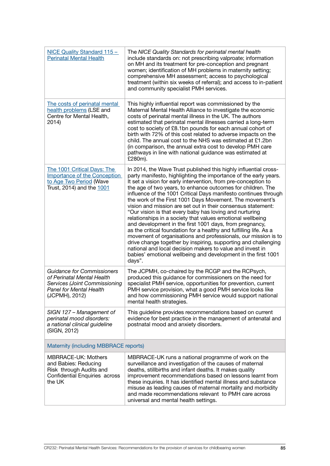| NICE Quality Standard 115 -<br><b>Perinatal Mental Health</b>                                                                                               | The NICE Quality Standards for perinatal mental health<br>include standards on: not prescribing valproate; information<br>on MH and its treatment for pre-conception and pregnant<br>women; identification of MH problems in maternity setting;<br>comprehensive MH assessment; access to psychological<br>treatment (within six weeks of referral); and access to in-patient<br>and community specialist PMH services.                                                                                                                                                                                                                                                                                                                                                                                                                                                                                                                                                                                    |
|-------------------------------------------------------------------------------------------------------------------------------------------------------------|------------------------------------------------------------------------------------------------------------------------------------------------------------------------------------------------------------------------------------------------------------------------------------------------------------------------------------------------------------------------------------------------------------------------------------------------------------------------------------------------------------------------------------------------------------------------------------------------------------------------------------------------------------------------------------------------------------------------------------------------------------------------------------------------------------------------------------------------------------------------------------------------------------------------------------------------------------------------------------------------------------|
| The costs of perinatal mental<br>health problems (LSE and<br>Centre for Mental Health,<br>2014)                                                             | This highly influential report was commissioned by the<br>Maternal Mental Health Alliance to investigate the economic<br>costs of perinatal mental illness in the UK. The authors<br>estimated that perinatal mental illnesses carried a long-term<br>cost to society of £8.1bn pounds for each annual cohort of<br>birth with 72% of this cost related to adverse impacts on the<br>child. The annual cost to the NHS was estimated at £1.2bn<br>(in comparison, the annual extra cost to develop PMH care<br>pathways in line with national guidance was estimated at<br>£280m).                                                                                                                                                                                                                                                                                                                                                                                                                         |
| The 1001 Critical Days: The<br>Importance of the Conception<br>to Age Two Period (Wave<br>Trust, 2014) and the 1001                                         | In 2014, the Wave Trust published this highly influential cross-<br>party manifesto, highlighting the importance of the early years.<br>It set a vision for early intervention, from pre-conception to<br>the age of two years, to enhance outcomes for children. The<br>influence of the 1001 Critical Days manifesto continues through<br>the work of the First 1001 Days Movement. The movement's<br>vision and mission are set out in their consensus statement:<br>"Our vision is that every baby has loving and nurturing<br>relationships in a society that values emotional wellbeing<br>and development in the first 1001 days, from pregnancy,<br>as the critical foundation for a healthy and fulfilling life. As a<br>movement of organisations and professionals, our mission is to<br>drive change together by inspiring, supporting and challenging<br>national and local decision makers to value and invest in<br>babies' emotional wellbeing and development in the first 1001<br>days". |
| <b>Guidance for Commissioners</b><br>of Perinatal Mental Health<br><b>Services (Joint Commissioning</b><br><b>Panel for Mental Health</b><br>(JCPMH), 2012) | The JCPMH, co-chaired by the RCGP and the RCPsych,<br>produced this guidance for commissioners on the need for<br>specialist PMH service, opportunities for prevention, current<br>PMH service provision, what a good PMH service looks like<br>and how commissioning PMH service would support national<br>mental health strategies.                                                                                                                                                                                                                                                                                                                                                                                                                                                                                                                                                                                                                                                                      |
| SIGN 127 - Management of<br>perinatal mood disorders:<br>a national clinical guideline<br>(SIGN, 2012)                                                      | This guideline provides recommendations based on current<br>evidence for best practice in the management of antenatal and<br>postnatal mood and anxiety disorders.                                                                                                                                                                                                                                                                                                                                                                                                                                                                                                                                                                                                                                                                                                                                                                                                                                         |
| Maternity (including MBBRACE reports)                                                                                                                       |                                                                                                                                                                                                                                                                                                                                                                                                                                                                                                                                                                                                                                                                                                                                                                                                                                                                                                                                                                                                            |
| <b>MBRRACE-UK: Mothers</b><br>and Babies: Reducing<br>Risk through Audits and<br>Confidential Enquiries across<br>the UK                                    | MBRRACE-UK runs a national programme of work on the<br>surveillance and investigation of the causes of maternal<br>deaths, stillbirths and infant deaths. It makes quality<br>improvement recommendations based on lessons learnt from<br>these inquiries. It has identified mental illness and substance<br>misuse as leading causes of maternal mortality and morbidity<br>and made recommendations relevant to PMH care across<br>universal and mental health settings.                                                                                                                                                                                                                                                                                                                                                                                                                                                                                                                                 |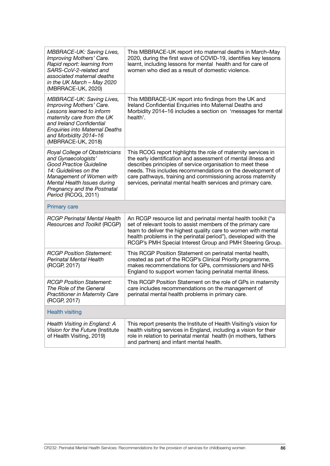| MBBRACE-UK: Saving Lives,<br>Improving Mothers' Care.<br>Rapid report: learning from<br>SARS-CoV-2-related and<br>associated maternal deaths<br>in the UK March $-$ May 2020<br>(MBRRACE-UK, 2020)                                   | This MBBRACE-UK report into maternal deaths in March-May<br>2020, during the first wave of COVID-19, identifies key lessons<br>learnt, including lessons for mental health and for care of<br>women who died as a result of domestic violence.                                                                                                                                           |
|--------------------------------------------------------------------------------------------------------------------------------------------------------------------------------------------------------------------------------------|------------------------------------------------------------------------------------------------------------------------------------------------------------------------------------------------------------------------------------------------------------------------------------------------------------------------------------------------------------------------------------------|
| MBBRACE-UK: Saving Lives,<br>Improving Mothers' Care.<br>Lessons learned to inform<br>maternity care from the UK<br>and Ireland Confidential<br><b>Enquiries into Maternal Deaths</b><br>and Morbidity 2014-16<br>(MBRRACE-UK, 2018) | This MBBRACE-UK report into findings from the UK and<br>Ireland Confidential Enquiries into Maternal Deaths and<br>Morbidity 2014-16 includes a section on 'messages for mental<br>health'.                                                                                                                                                                                              |
| Royal College of Obstetricians<br>and Gynaecologists'<br>Good Practice Guideline<br>14: Guidelines on the<br>Management of Women with<br>Mental Health Issues during<br>Pregnancy and the Postnatal<br>Period (RCOG, 2011)           | This RCOG report highlights the role of maternity services in<br>the early identification and assessment of mental illness and<br>describes principles of service organisation to meet these<br>needs. This includes recommendations on the development of<br>care pathways, training and commissioning across maternity<br>services, perinatal mental health services and primary care. |
| <b>Primary care</b>                                                                                                                                                                                                                  |                                                                                                                                                                                                                                                                                                                                                                                          |
| <b>RCGP Perinatal Mental Health</b><br>Resources and Toolkit (RCGP)                                                                                                                                                                  | An RCGP resource list and perinatal mental health toolkit ("a<br>set of relevant tools to assist members of the primary care<br>team to deliver the highest quality care to women with mental<br>health problems in the perinatal period"), developed with the<br>RCGP's PMH Special Interest Group and PMH Steering Group.                                                              |
| <b>RCGP Position Statement:</b><br><b>Perinatal Mental Health</b><br>(RCGP, 2017)                                                                                                                                                    | This RCGP Position Statement on perinatal mental health,<br>created as part of the RCGP's Clinical Priority programme,<br>makes recommendations for GPs, commissioners and NHS<br>England to support women facing perinatal mental illness.                                                                                                                                              |
| <b>RCGP Position Statement:</b><br>The Role of the General<br><b>Practitioner in Maternity Care</b><br>(RCGP, 2017)                                                                                                                  | This RCGP Position Statement on the role of GPs in maternity<br>care includes recommendations on the management of<br>perinatal mental health problems in primary care.                                                                                                                                                                                                                  |
| <b>Health visiting</b>                                                                                                                                                                                                               |                                                                                                                                                                                                                                                                                                                                                                                          |
| Health Visiting in England: A<br>Vision for the Future (Institute<br>of Health Visiting, 2019)                                                                                                                                       | This report presents the Institute of Health Visiting's vision for<br>health visiting services in England, including a vision for their<br>role in relation to perinatal mental health (in mothers, fathers<br>and partners) and infant mental health.                                                                                                                                   |
|                                                                                                                                                                                                                                      |                                                                                                                                                                                                                                                                                                                                                                                          |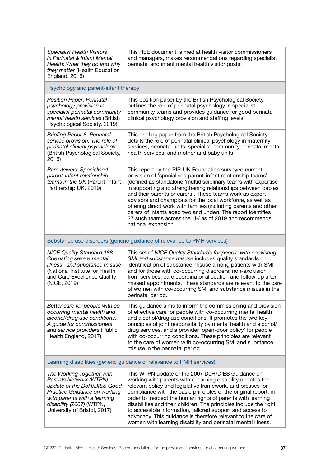| <b>Specialist Health Visitors</b><br>in Perinatal & Infant Mental<br>Health: What they do and why<br>they matter (Health Education<br>England, 2016)                                                           | This HEE document, aimed at health visitor commissioners<br>and managers, makes recommendations regarding specialist<br>perinatal and infant mental health visitor posts.                                                                                                                                                                                                                                                                                                                                                                                                                           |  |
|----------------------------------------------------------------------------------------------------------------------------------------------------------------------------------------------------------------|-----------------------------------------------------------------------------------------------------------------------------------------------------------------------------------------------------------------------------------------------------------------------------------------------------------------------------------------------------------------------------------------------------------------------------------------------------------------------------------------------------------------------------------------------------------------------------------------------------|--|
| Psychology and parent-infant therapy                                                                                                                                                                           |                                                                                                                                                                                                                                                                                                                                                                                                                                                                                                                                                                                                     |  |
| Position Paper: Perinatal<br>psychology provision in<br>specialist perinatal community<br>mental health services (British<br>Psychological Society, 2019)                                                      | This position paper by the British Psychological Society<br>outlines the role of perinatal psychology in specialist<br>community teams and provides guidance for good perinatal<br>clinical psychology provision and staffing levels.                                                                                                                                                                                                                                                                                                                                                               |  |
| <b>Briefing Paper 8. Perinatal</b><br>service provision: The role of<br>perinatal clinical psychology<br>(British Psychological Society,<br>2016)                                                              | This briefing paper from the British Psychological Society<br>details the role of perinatal clinical psychology in maternity<br>services, neonatal units, specialist community perinatal mental<br>health services, and mother and baby units.                                                                                                                                                                                                                                                                                                                                                      |  |
| Rare Jewels: Specialised<br>parent-infant relationship<br>teams in the UK (Parent-Infant<br>Partnership UK, 2019)                                                                                              | This report by the PIP-UK Foundation surveyed current<br>provision of 'specialised parent-infant relationship teams'<br>(defined as standalone 'multidisciplinary teams with expertise<br>in supporting and strengthening relationships between babies<br>and their parents or carers'. These teams work as expert<br>advisors and champions for the local workforce, as well as<br>offering direct work with families (including parents and other<br>carers of infants aged two and under). The report identifies<br>27 such teams across the UK as of 2019 and recommends<br>national expansion. |  |
|                                                                                                                                                                                                                | Substance use disorders (generic guidance of relevance to PMH services)                                                                                                                                                                                                                                                                                                                                                                                                                                                                                                                             |  |
| <b>NICE Quality Standard 188:</b><br>Coexisting severe mental<br>illness and substance misuse<br>(National Institute for Health<br>and Care Excellence Quality<br>(NICE, 2019)                                 | This set of NICE Quality Standards for people with coexisting<br>SMI and substance misuse includes quality standards on<br>identification of substance misuse among patients with SMI<br>and for those with co-occurring disorders: non-exclusion<br>from services, care coordinator allocation and follow-up after<br>missed appointments. These standards are relevant to the care<br>of women with co-occurring SMI and substance misuse in the<br>perinatal period.                                                                                                                             |  |
| Better care for people with co-<br>occurring mental health and<br>alcohol/drug use conditions.<br>A guide for commissioners<br>and service providers (Public<br>Health England, 2017)                          | This guidance aims to inform the commissioning and provision<br>of effective care for people with co-occurring mental health<br>and alcohol/drug use conditions. It promotes the two key<br>principles of joint responsibility by mental health and alcohol/<br>drug services, and a provider 'open-door policy' for people<br>with co-occurring conditions. These principles are relevant<br>to the care of women with co-occurring SMI and substance<br>misuse in the perinatal period.                                                                                                           |  |
| Learning disabilities (generic guidance of relevance to PMH services)                                                                                                                                          |                                                                                                                                                                                                                                                                                                                                                                                                                                                                                                                                                                                                     |  |
| The Working Together with<br>Parents Network (WTPN)<br>update of the DoH/DfES Good<br>Practice Guidance on working<br>with parents with a learning<br>disability (2007) (WTPN,<br>University of Bristol, 2017) | This WTPN update of the 2007 DoH/DfES Guidance on<br>working with parents with a learning disability updates the<br>relevant policy and legislative framework, and presses for<br>compliance with the basic principles of the original report, in<br>order to respect the human rights of parents with learning<br>disabilities and their children. The principles include the right<br>to accessible information, tailored support and access to<br>advocacy. This guidance is therefore relevant to the care of<br>women with learning disability and perinatal mental illness.                   |  |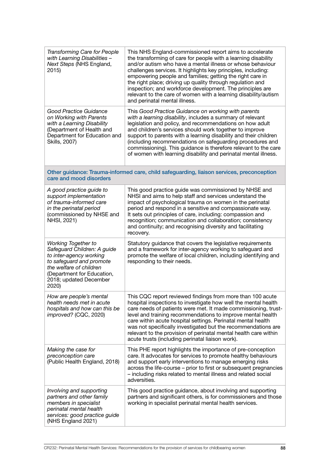| <b>Transforming Care for People</b><br>with Learning Disabilities -<br>Next Steps (NHS England,<br>2015)                                                                                                     | This NHS England-commissioned report aims to accelerate<br>the transforming of care for people with a learning disability<br>and/or autism who have a mental illness or whose behaviour<br>challenges services. It highlights key principles, including:<br>empowering people and families; getting the right care in<br>the right place; driving up quality through regulation and<br>inspection; and workforce development. The principles are<br>relevant to the care of women with a learning disability/autism<br>and perinatal mental illness. |
|--------------------------------------------------------------------------------------------------------------------------------------------------------------------------------------------------------------|------------------------------------------------------------------------------------------------------------------------------------------------------------------------------------------------------------------------------------------------------------------------------------------------------------------------------------------------------------------------------------------------------------------------------------------------------------------------------------------------------------------------------------------------------|
| Good Practice Guidance<br>on Working with Parents<br>with a Learning Disability<br>(Department of Health and<br>Department for Education and<br>Skills, 2007)                                                | This Good Practice Guidance on working with parents<br>with a learning disability, includes a summary of relevant<br>legislation and policy, and recommendations on how adult<br>and children's services should work together to improve<br>support to parents with a learning disability and their children<br>(including recommendations on safeguarding procedures and<br>commissioning). This guidance is therefore relevant to the care<br>of women with learning disability and perinatal mental illness.                                      |
| Other guidance: Trauma-informed care, child safeguarding, liaison services, preconception<br>care and mood disorders                                                                                         |                                                                                                                                                                                                                                                                                                                                                                                                                                                                                                                                                      |
| A good practice guide to<br>support implementation<br>of trauma-informed care<br>in the perinatal period<br>(commissioned by NHSE and<br>NHSI, 2021)                                                         | This good practice guide was commissioned by NHSE and<br>NHSI and aims to help staff and services understand the<br>impact of psychological trauma on women in the perinatal<br>period and respond in a sensitive and compassionate way.<br>It sets out principles of care, including: compassion and<br>recognition; communication and collaboration; consistency<br>and continuity; and recognising diversity and facilitating<br>recovery.                                                                                                        |
| <b>Working Together to</b><br>Safeguard Children: A guide<br>to inter-agency working<br>to safeguard and promote<br>the welfare of children<br>(Department for Education,<br>2018; updated December<br>2020) | Statutory guidance that covers the legislative requirements<br>and a framework for inter-agency working to safeguard and<br>promote the welfare of local children, including identifying and<br>responding to their needs.                                                                                                                                                                                                                                                                                                                           |
| How are people's mental<br>health needs met in acute<br>hospitals and how can this be<br>improved? (CQC, 2020)                                                                                               | This CQC report reviewed findings from more than 100 acute<br>hospital inspections to investigate how well the mental health<br>care needs of patients were met. It made commissioning, trust-<br>level and training recommendations to improve mental health<br>care within acute hospital settings. Perinatal mental health<br>was not specifically investigated but the recommendations are<br>relevant to the provision of perinatal mental health care within<br>acute trusts (including perinatal liaison work).                               |
| Making the case for<br>preconception care<br>(Public Health England, 2018)                                                                                                                                   | This PHE report highlights the importance of pre-conception<br>care. It advocates for services to promote healthy behaviours<br>and support early interventions to manage emerging risks<br>across the life-course - prior to first or subsequent pregnancies<br>- including risks related to mental illness and related social<br>adversities.                                                                                                                                                                                                      |
| Involving and supporting<br>partners and other family<br>members in specialist<br>perinatal mental health<br>services: good practice guide<br>(NHS England 2021)                                             | This good practice guidance, about involving and supporting<br>partners and significant others, is for commissioners and those<br>working in specialist perinatal mental health services.                                                                                                                                                                                                                                                                                                                                                            |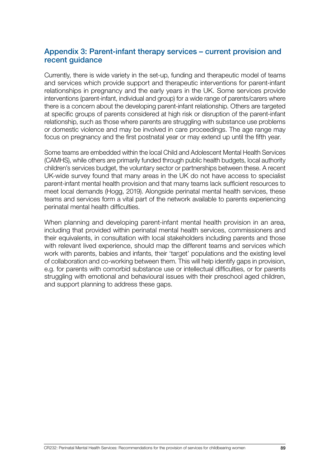## Appendix 3: Parent-infant therapy services – current provision and recent guidance

Currently, there is wide variety in the set-up, funding and therapeutic model of teams and services which provide support and therapeutic interventions for parent-infant relationships in pregnancy and the early years in the UK. Some services provide interventions (parent-infant, individual and group) for a wide range of parents/carers where there is a concern about the developing parent-infant relationship. Others are targeted at specific groups of parents considered at high risk or disruption of the parent-infant relationship, such as those where parents are struggling with substance use problems or domestic violence and may be involved in care proceedings. The age range may focus on pregnancy and the first postnatal year or may extend up until the fifth year.

Some teams are embedded within the local Child and Adolescent Mental Health Services (CAMHS), while others are primarily funded through public health budgets, local authority children's services budget, the voluntary sector or partnerships between these. A recent UK-wide survey found that many areas in the UK do not have access to specialist parent-infant mental health provision and that many teams lack sufficient resources to meet local demands (Hogg, 2019). Alongside perinatal mental health services, these teams and services form a vital part of the network available to parents experiencing perinatal mental health difficulties.

When planning and developing parent-infant mental health provision in an area, including that provided within perinatal mental health services, commissioners and their equivalents, in consultation with local stakeholders including parents and those with relevant lived experience, should map the different teams and services which work with parents, babies and infants, their 'target' populations and the existing level of collaboration and co-working between them. This will help identify gaps in provision, e.g. for parents with comorbid substance use or intellectual difficulties, or for parents struggling with emotional and behavioural issues with their preschool aged children, and support planning to address these gaps.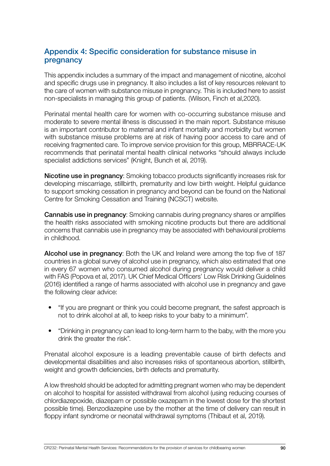## Appendix 4: Specific consideration for substance misuse in pregnancy

This appendix includes a summary of the impact and management of nicotine, alcohol and specific drugs use in pregnancy. It also includes a list of key resources relevant to the care of women with substance misuse in pregnancy. This is included here to assist non-specialists in managing this group of patients. (Wilson, Finch et al,2020).

Perinatal mental health care for women with co-occurring substance misuse and moderate to severe mental illness is discussed in the main report. Substance misuse is an important contributor to maternal and infant mortality and morbidity but women with substance misuse problems are at risk of having poor access to care and of receiving fragmented care. To improve service provision for this group, MBRRACE-UK recommends that perinatal mental health clinical networks "should always include specialist addictions services" (Knight, Bunch et al, 2019).

Nicotine use in pregnancy: Smoking tobacco products significantly increases risk for developing miscarriage, stillbirth, prematurity and low birth weight. Helpful guidance to support smoking cessation in pregnancy and beyond can be found on the National Centre for Smoking Cessation and Training (NCSCT) website.

**Cannabis use in pregnancy:** Smoking cannabis during pregnancy shares or amplifies the health risks associated with smoking nicotine products but there are additional concerns that cannabis use in pregnancy may be associated with behavioural problems in childhood.

Alcohol use in pregnancy: Both the UK and Ireland were among the top five of 187 countries in a global survey of alcohol use in pregnancy, which also estimated that one in every 67 women who consumed alcohol during pregnancy would deliver a child with FAS (Popova et al, 2017). UK Chief Medical Officers' Low Risk Drinking Guidelines (2016) identified a range of harms associated with alcohol use in pregnancy and gave the following clear advice:

- "If you are pregnant or think you could become pregnant, the safest approach is not to drink alcohol at all, to keep risks to your baby to a minimum".
- "Drinking in pregnancy can lead to long-term harm to the baby, with the more you drink the greater the risk".

Prenatal alcohol exposure is a leading preventable cause of birth defects and developmental disabilities and also increases risks of spontaneous abortion, stillbirth, weight and growth deficiencies, birth defects and prematurity.

A low threshold should be adopted for admitting pregnant women who may be dependent on alcohol to hospital for assisted withdrawal from alcohol (using reducing courses of chlordiazepoxide, diazepam or possible oxazepam in the lowest dose for the shortest possible time). Benzodiazepine use by the mother at the time of delivery can result in floppy infant syndrome or neonatal withdrawal symptoms (Thibaut et al, 2019).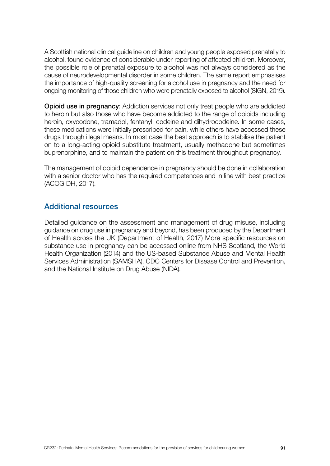A Scottish national clinical guideline on children and young people exposed prenatally to alcohol, found evidence of considerable under-reporting of affected children. Moreover, the possible role of prenatal exposure to alcohol was not always considered as the cause of neurodevelopmental disorder in some children. The same report emphasises the importance of high-quality screening for alcohol use in pregnancy and the need for ongoing monitoring of those children who were prenatally exposed to alcohol (SIGN, 2019).

Opioid use in pregnancy: Addiction services not only treat people who are addicted to heroin but also those who have become addicted to the range of opioids including heroin, oxycodone, tramadol, fentanyl, codeine and dihydrocodeine. In some cases, these medications were initially prescribed for pain, while others have accessed these drugs through illegal means. In most case the best approach is to stabilise the patient on to a long-acting opioid substitute treatment, usually methadone but sometimes buprenorphine, and to maintain the patient on this treatment throughout pregnancy.

The management of opioid dependence in pregnancy should be done in collaboration with a senior doctor who has the required competences and in line with best practice (ACOG DH, 2017).

## Additional resources

Detailed guidance on the assessment and management of drug misuse, including guidance on drug use in pregnancy and beyond, has been produced by the Department of Health across the UK (Department of Health, 2017) More specific resources on substance use in pregnancy can be accessed online from NHS Scotland, the World Health Organization (2014) and the US-based Substance Abuse and Mental Health Services Administration (SAMSHA), CDC Centers for Disease Control and Prevention, and the National Institute on Drug Abuse (NIDA).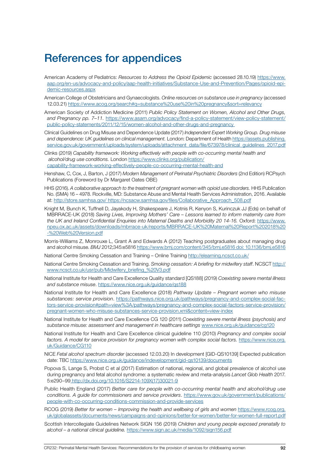## References for appendices

- American Academy of Pediatrics: *Resources to Address the Opioid Epidemic* (accessed 28.10.19) [https://www.](https://www.aap.org/en-us/advocacy-and-policy/aap-health-initiatives/Substance-Use-and-Prevention/Pa) [aap.org/en-us/advocacy-and-policy/aap-health-initiatives/Substance-Use-and-Prevention/Pages/opioid-epi](https://www.aap.org/en-us/advocacy-and-policy/aap-health-initiatives/Substance-Use-and-Prevention/Pa)[demic-resources.aspx](https://www.aap.org/en-us/advocacy-and-policy/aap-health-initiatives/Substance-Use-and-Prevention/Pa)
- American College of Obstetricians and Gynaecologists. *Online resources on substance use in pregnancy* (accessed 12.03.21) [https://www.acog.org/search#q=substance%20use%20in%20pregnancy&sort=relevancy](https://www.acog.org/search#q=substance%20use%20in%20pregnancy&sort=relevancy )
- American Society of Addiction Medicine (2011) *Public Policy Statement on Women, Alcohol and Other Drugs, and Pregnancy pp. 7–11.* [https://www.asam.org/advocacy/find-a-policy-statement/view-policy-statement/](https://www.asam.org/advocacy/find-a-policy-statement/view-policy-statement/public-policy-statements) [public-policy-statements/2011/12/15/women-alcohol-and-other-drugs-and-pregnancy](https://www.asam.org/advocacy/find-a-policy-statement/view-policy-statement/public-policy-statements)
- Clinical Guidelines on Drug Misuse and Dependence Update (2017) *Independent Expert Working Group. Drug misuse and dependence: UK guidelines on clinical management.* London: Department of Health [https://assets.publishing.](https://findings.org.uk/PHP/dl.php?f=Clinical_Guidelines_Working_Group_1.txt) service.gov.uk/government/uploads/system/uploads/attachment\_data/file/673978/clinical\_quidelines\_2017.pdf
- Clinks (2019) *Capability framework: Working effectively with people with co-occurring mental health and alcohol/drug use conditions.* London [https://www.clinks.org/publication/](https://www.clinks.org/publication/capability-framework-working-effectively-people-co-occurring-mental-health-and) [capability-framework-working-effectively-people-co-occurring-mental-health-and](https://www.clinks.org/publication/capability-framework-working-effectively-people-co-occurring-mental-health-and)
- Henshaw, C, Cox, J, Barton, J (2017) *Modern Management of Perinatal Psychiatric Disorders* (2nd Edition) RCPsych Publications (Foreword by Dr Margaret Oates OBE)
- HHS (2016). A collaborative approach to the treatment of pregnant women with opioid use disorders. HHS Publication No. (SMA) 16 – 4978. Rockville, MD: Substance Abuse and Mental Health Services Administration, 2016. Available at: [http://store.samhsa.gov/ https://ncsacw.samhsa.gov/files/Collaborative\\_Approach\\_508.pdf](https://store.samhsa.gov/product/A-Collaborative-Approach-to-the-Treatment-of-Pregnant-Women-with-Opioid-Use-Disorders/SMA16-4978)
- Knight M, Bunch K, Tuffnell D, Jayakody H, Shakespeare J, Kotnis R, Kenyon S, Kurinczuk JJ (Eds) on behalf of MBRRACE-UK (2018) *Saving Lives, Improving Mothers' Care – Lessons learned to inform maternity care from the UK and Ireland Confidential Enquiries into Maternal Deaths and Morbidity 20 14-16.* Oxford: [https://www.](https://www.npeu.ox.ac.uk/assets/downloads/mbrrace-uk/reports/MBRRACE-UK%20Maternal%20Report%202018%20-%20Web%20Version.pdf) [npeu.ox.ac.uk/assets/downloads/mbrrace-uk/reports/MBRRACE-UK%20Maternal%20Report%202018%20](https://www.npeu.ox.ac.uk/assets/downloads/mbrrace-uk/reports/MBRRACE-UK%20Maternal%20Report%202018%20-%20Web%20Version.pdf) [-%20Web%20Version.pdf](https://www.npeu.ox.ac.uk/assets/downloads/mbrrace-uk/reports/MBRRACE-UK%20Maternal%20Report%202018%20-%20Web%20Version.pdf)
- Morris-Williams Z, Monrouxe L, Grant A and Edwards A (2012) Teaching postgraduates about managing drug and alcohol misuse. *BMJ* 2012;345:e5816 [https://www.bmj.com/content/345/bmj.e5816 doi: 10.1136/bmj.e5816](https://www.bmj.com/content/345/bmj.e5816 doi: 10.1136/bmj.e5816 )
- National Centre Smoking Cessation and Training Online Training [http://elearning.ncsct.co.uk/](http://elearning.ncsct.co.uk/ )
- National Centre Smoking Cessation and Training. *Smoking cessation: A briefing for midwifery staff*. NCSCT [http://](http://www.ncsct.co.uk/usr/pub/Midwifery_briefing_%20V3.pdf ) [www.ncsct.co.uk/usr/pub/Midwifery\\_briefing\\_%20V3.pdf](http://www.ncsct.co.uk/usr/pub/Midwifery_briefing_%20V3.pdf )
- National Institute for Health and Care Excellence Quality standard [QS188] (2019) *Coexisting severe mental illness and substance misuse*. [https://www.nice.org.uk/guidance/qs188](https://www.nice.org.uk/guidance/qs188 )
- National Institute for Health and Care Excellence (2018) *Pathway Update Pregnant women who misuse substances: service provision*. [https://pathways.nice.org.uk/pathways/pregnancy-and-complex-social-fac](https://pathways.nice.org.uk/pathways/pregnancy-and-complex-social-factors-service-provision/pregnant-women-who-misuse-substances-service-provision#content=view-node%3Anodes-information-and-support)[tors-service-provision#path=view%3A/pathways/pregnancy-and-complex-social-factors-service-provision/](https://pathways.nice.org.uk/pathways/pregnancy-and-complex-social-factors-service-provision/pregnant-women-who-misuse-substances-service-provision#content=view-node%3Anodes-information-and-support) [pregnant-women-who-misuse-substances-service-provision.xml&content=view-index](https://pathways.nice.org.uk/pathways/pregnancy-and-complex-social-factors-service-provision/pregnant-women-who-misuse-substances-service-provision#content=view-node%3Anodes-information-and-support)
- National Institute for Health and Care Excellence CG 120 (2011) *Coexisting severe mental illness (psychosis) and substance misuse: assessment and management in healthcare settings* [www.nice.org.uk/guidance/cg120](http://www.nice.org.uk/guidance/cg120 )
- National Institute for Health and Care Excellence clinical guideline 110 (2010) *Pregnancy and complex social factors. A model for service provision for pregnancy women with complex social factors.* [https://www.nice.org.](https://www.nice.org.uk/Guidance/CG110 ) [uk/Guidance/CG110](https://www.nice.org.uk/Guidance/CG110 )
- NICE *Fetal alcohol spectrum disorder* (accessed 12.03.20) In development [GID-QS10139] Expected publication date: TBC [https://www.nice.org.uk/guidance/indevelopment/gid-qs10139/documents](https://www.nice.org.uk/guidance/indevelopment/gid-qs10139/documents )
- Popova S, Lange S, Probst C et al (2017) Estimation of national, regional, and global prevalence of alcohol use during pregnancy and fetal alcohol syndrome: a systematic review and meta-analysis *Lancet Glob Health* 2017. 5:e290–9[9 http://dx.doi.org/10.1016/S2214-109X\(17\)30021-9]( http://dx.doi.org/10.1016/S2214-109X(17)30021-9)
- Public Health England (2017) *Better care for people with co-occurring mental health and alcohol/drug use conditions. A guide for commissioners and service providers*. [https://www.gov.uk/government/publications/](https://assets.publishing.service.gov.uk/government/uploads/system/uploads/attachment_data/file/625809/Co-occurring_mental_health_and_alcohol_drug_use_conditions.pdf) [people-with-co-occurring-conditions-commission-and-provide-services](https://assets.publishing.service.gov.uk/government/uploads/system/uploads/attachment_data/file/625809/Co-occurring_mental_health_and_alcohol_drug_use_conditions.pdf)
- RCOG (2019) *Better for women Improving the health and wellbeing of girls and women* [https://www.rcog.org.](https://www.rcog.org.uk/better-for-women) [uk/globalassets/documents/news/campaigns-and-opinions/better-for-women/better-for-women-full-report.pdf](https://www.rcog.org.uk/better-for-women)
- Scottish Intercollegiate Guidelines Network SIGN 156 (2019) *Children and young people exposed prenatally to alcohol – a national clinical guideline.* <https://www.sign.ac.uk/media/1092/sign156.pdf>